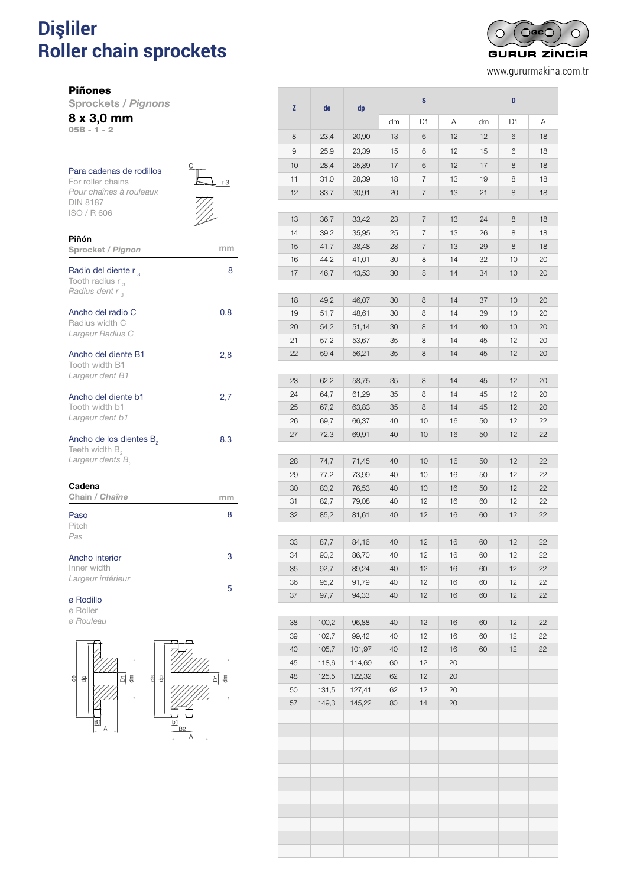# **Dişliler** PARA CADENAS DE RODILLOS DIN 818787 **Roller chain sprockets** *Pignons pour chaînes à rouleaux DIN 8187*

Piñones

Sprockets / *Pignons*

8 x 3,0 mm

05B - 1 - 2

| Para cadenas de rodillos<br>For roller chains<br>Pour chaînes à rouleaux<br><b>DIN 8187</b><br>ISO / R 606 | С<br>r 3 |
|------------------------------------------------------------------------------------------------------------|----------|
| Piñón<br>Sprocket / Pignon                                                                                 | mm       |
| Radio del diente r <sub>2</sub><br>Tooth radius $r_{3}$<br>Radius dent r,                                  | 8        |
| Ancho del radio C<br>Radius width C<br>Largeur Radius C                                                    | 0,8      |
| Ancho del diente B1<br>Tooth width B1<br>Largeur dent B1                                                   | 2,8      |
| Ancho del diente b1<br>Tooth width b1<br>Largeur dent b1                                                   | 2,7      |
| Ancho de los dientes B <sub>2</sub><br>Teeth width B <sub>2</sub><br>Largeur dents B <sub>2</sub>          | 8,3      |
| Cadena<br>Chain / Chaîne                                                                                   | mm       |
| Paso<br>Pitch<br>Pas                                                                                       | 8        |

| Ancho interior    |  |
|-------------------|--|
| Inner width       |  |
| Largeur intérieur |  |

3

5

#### ø Rodillo

ø Roller *ø Rouleau*



| Z  | de    | dp     | S  |    | D  |    |    |    |
|----|-------|--------|----|----|----|----|----|----|
|    |       |        | dm | D1 | Α  | dm | D1 | Α  |
| 8  | 23,4  | 20,90  | 13 | 6  | 12 | 12 | 6  | 18 |
| 9  | 25,9  | 23,39  | 15 | 6  | 12 | 15 | 6  | 18 |
| 10 | 28,4  | 25,89  | 17 | 6  | 12 | 17 | 8  | 18 |
| 11 | 31,0  | 28,39  | 18 | 7  | 13 | 19 | 8  | 18 |
| 12 | 33,7  | 30,91  | 20 | 7  | 13 | 21 | 8  | 18 |
|    |       |        |    |    |    |    |    |    |
| 13 | 36,7  | 33,42  | 23 | 7  | 13 | 24 | 8  | 18 |
| 14 | 39,2  | 35,95  | 25 | 7  | 13 | 26 | 8  | 18 |
| 15 | 41,7  | 38,48  | 28 | 7  | 13 | 29 | 8  | 18 |
| 16 | 44,2  | 41,01  | 30 | 8  | 14 | 32 | 10 | 20 |
| 17 | 46,7  | 43,53  | 30 | 8  | 14 | 34 | 10 | 20 |
|    |       |        |    |    |    |    |    |    |
| 18 | 49,2  | 46,07  | 30 | 8  | 14 | 37 | 10 | 20 |
| 19 | 51,7  | 48,61  | 30 | 8  | 14 | 39 | 10 | 20 |
| 20 | 54,2  | 51,14  | 30 | 8  | 14 | 40 | 10 | 20 |
| 21 | 57,2  | 53,67  | 35 | 8  | 14 | 45 | 12 | 20 |
| 22 | 59,4  | 56,21  | 35 | 8  | 14 | 45 | 12 | 20 |
| 23 | 62,2  | 58,75  | 35 | 8  | 14 | 45 | 12 | 20 |
| 24 | 64,7  | 61,29  | 35 | 8  | 14 | 45 | 12 | 20 |
| 25 | 67,2  | 63,83  | 35 | 8  | 14 | 45 | 12 | 20 |
| 26 | 69,7  | 66,37  | 40 | 10 | 16 | 50 | 12 | 22 |
| 27 | 72,3  | 69,91  | 40 | 10 | 16 | 50 | 12 | 22 |
|    |       |        |    |    |    |    |    |    |
| 28 | 74,7  | 71,45  | 40 | 10 | 16 | 50 | 12 | 22 |
| 29 | 77,2  | 73,99  | 40 | 10 | 16 | 50 | 12 | 22 |
| 30 | 80,2  | 76,53  | 40 | 10 | 16 | 50 | 12 | 22 |
| 31 | 82,7  | 79,08  | 40 | 12 | 16 | 60 | 12 | 22 |
| 32 | 85,2  | 81,61  | 40 | 12 | 16 | 60 | 12 | 22 |
|    |       |        |    |    |    |    |    |    |
| 33 | 87,7  | 84,16  | 40 | 12 | 16 | 60 | 12 | 22 |
| 34 | 90,2  | 86,70  | 40 | 12 | 16 | 60 | 12 | 22 |
| 35 | 92,7  | 89,24  | 40 | 12 | 16 | 60 | 12 | 22 |
| 36 | 95,2  | 91,79  | 40 | 12 | 16 | 60 | 12 | 22 |
| 37 | 97,7  | 94,33  | 40 | 12 | 16 | 60 | 12 | 22 |
| 38 | 100,2 | 96,88  | 40 | 12 | 16 | 60 | 12 | 22 |
| 39 | 102,7 | 99,42  | 40 | 12 | 16 | 60 | 12 | 22 |
| 40 | 105,7 | 101,97 | 40 | 12 | 16 | 60 | 12 | 22 |
| 45 | 118,6 | 114,69 | 60 | 12 | 20 |    |    |    |
| 48 | 125,5 | 122,32 | 62 | 12 | 20 |    |    |    |
| 50 | 131,5 | 127,41 | 62 | 12 | 20 |    |    |    |
| 57 | 149,3 | 145,22 | 80 | 14 | 20 |    |    |    |
|    |       |        |    |    |    |    |    |    |
|    |       |        |    |    |    |    |    |    |
|    |       |        |    |    |    |    |    |    |
|    |       |        |    |    |    |    |    |    |
|    |       |        |    |    |    |    |    |    |
|    |       |        |    |    |    |    |    |    |
|    |       |        |    |    |    |    |    |    |
|    |       |        |    |    |    |    |    |    |
|    |       |        |    |    |    |    |    |    |
|    |       |        |    |    |    |    |    |    |
|    |       |        |    |    |    |    |    |    |



www.gururmakina.com.tr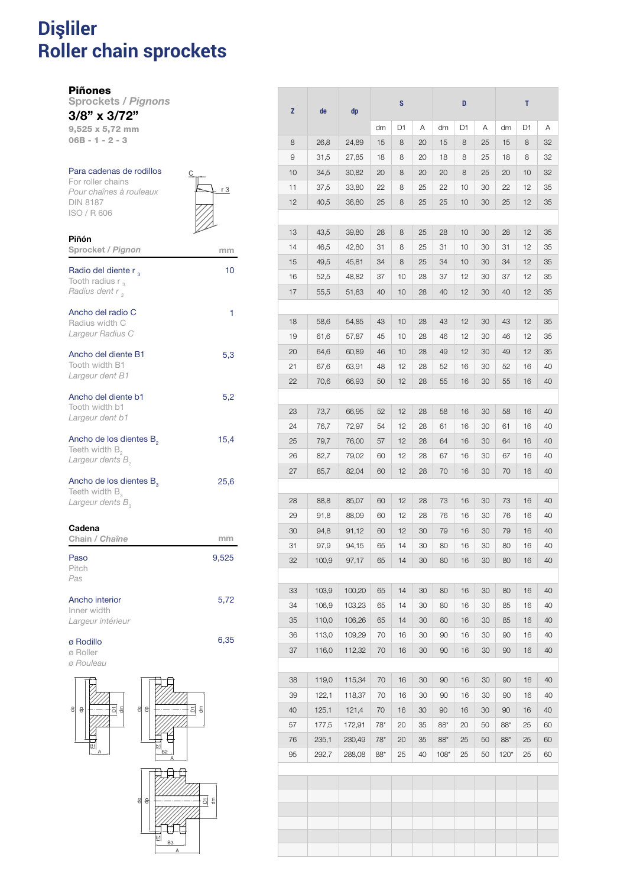### **Dişliler Roller chain sprockets** 11 PIÑONES PARA CADENAS DE RODILLOS DE RODILLOS DE RODILLOS DE RODILLOS DE RODILLOS DE RODILLOS DE RODILLOS D *Pignons pour chaînes à rouleaux DIN 8187*

Piñones

Piñón

Sprockets / *Pignons* 3/8" x 3/72"

9,525 x 5,72 mm 06B - 1 - 2 - 3

#### Para cadenas de rodillos For roller chains

*Pour chaînes à rouleaux* DIN 8187 ISO / R 606

| U | r 3 |
|---|-----|
|   |     |

| Sprocket / Pignon                                                                        | mm    |
|------------------------------------------------------------------------------------------|-------|
| Radio del diente r,<br>Tooth radius $r_{3}$<br>Radius dent r <sub>3</sub>                | 10    |
| Ancho del radio C<br>Radius width C<br>Largeur Radius C                                  | 1     |
| Ancho del diente B1<br>Tooth width B1<br>Largeur dent B1                                 | 5,3   |
| Ancho del diente b1<br>Tooth width b1<br>Largeur dent b1                                 | 5,2   |
| Ancho de los dientes B <sub>2</sub><br>Teeth width $B_{2}$<br>Largeur dents B            | 15,4  |
| Ancho de los dientes B <sub>2</sub><br>Teeth width $B_3$<br>Largeur dents B <sub>2</sub> | 25,6  |
| Cadena<br>Chain / Chaîne                                                                 | mm    |
| Paso<br>Pitch<br>Pas                                                                     | 9,525 |
| Ancho interior<br>Inner width<br>Largeur intérieur                                       | 5,72  |
| ø Rodillo<br>ø Roller                                                                    | 6,35  |



| Z        | de             | dp               |           | $\mathbf s$ |          |             | D        |          |          | T        |          |
|----------|----------------|------------------|-----------|-------------|----------|-------------|----------|----------|----------|----------|----------|
|          |                |                  | dm        | D1          | Α        | dm          | D1       | Α        | dm       | D1       | Α        |
| 8        | 26,8           | 24,89            | 15        | 8           | 20       | 15          | 8        | 25       | 15       | 8        | 32       |
| 9        | 31,5           | 27,85            | 18        | 8           | 20       | 18          | 8        | 25       | 18       | 8        | 32       |
| 10       | 34,5           | 30,82            | 20        | 8           | 20       | 20          | 8        | 25       | 20       | 10       | 32       |
| 11       | 37,5           | 33,80            | 22        | 8           | 25       | 22          | 10       | 30       | 22       | 12       | 35       |
| 12       | 40,5           | 36,80            | 25        | 8           | 25       | 25          | 10       | 30       | 25       | 12       | 35       |
| 13       | 43,5           | 39,80            | 28        | 8           | 25       | 28          | 10       | 30       | 28       | 12       | 35       |
| 14       | 46,5           | 42,80            | 31        | 8           | 25       | 31          | 10       | 30       | 31       | 12       | 35       |
| 15       | 49,5           | 45,81            | 34        | 8           | 25       | 34          | 10       | 30       | 34       | 12       | 35       |
| 16       | 52,5           | 48,82            | 37        | 10          | 28       | 37          | 12       | 30       | 37       | 12       | 35       |
| 17       | 55,5           | 51,83            | 40        | 10          | 28       | 40          | 12       | 30       | 40       | 12       | 35       |
|          |                |                  |           |             |          |             |          |          |          |          |          |
| 18       | 58,6           | 54,85            | 43        | 10          | 28       | 43          | 12       | 30       | 43       | 12       | 35       |
| 19       | 61,6           | 57,87            | 45        | 10          | 28       | 46          | 12       | 30       | 46       | 12       | 35       |
| 20       | 64,6           | 60,89            | 46        | 10          | 28       | 49          | 12       | 30       | 49       | 12       | 35       |
| 21       | 67,6           | 63,91            | 48        | 12          | 28       | 52          | 16       | 30       | 52       | 16       | 40       |
| 22       | 70,6           | 66,93            | 50        | 12          | 28       | 55          | 16       | 30       | 55       | 16       | 40       |
|          |                |                  |           |             |          |             |          |          |          |          |          |
| 23       | 73,7           | 66,95            | 52        | 12          | 28       | 58          | 16       | 30       | 58       | 16       | 40       |
| 24       | 76,7           | 72,97            | 54        | 12          | 28       | 61          | 16       | 30       | 61       | 16       | 40       |
| 25       | 79,7           | 76,00            | 57        | 12          | 28       | 64          | 16       | 30       | 64       | 16       | 40       |
| 26       | 82,7           | 79,02            | 60        | 12          | 28       | 67          | 16       | 30       | 67       | 16       | 40       |
| 27       | 85,7           | 82,04            | 60        | 12          | 28       | 70          | 16       | 30       | 70       | 16       | 40       |
| 28       | 88,8           | 85,07            | 60        | 12          | 28       | 73          | 16       | 30       | 73       | 16       | 40       |
| 29       | 91,8           | 88,09            | 60        | 12          | 28       | 76          | 16       | 30       | 76       | 16       | 40       |
| 30       | 94,8           | 91,12            | 60        | 12          | 30       | 79          | 16       | 30       | 79       | 16       | 40       |
| 31       | 97,9           | 94,15            | 65        | 14          | 30       | 80          | 16       | 30       | 80       | 16       | 40       |
| 32       | 100,9          | 97,17            | 65        | 14          | 30       | 80          | 16       | 30       | 80       | 16       | 40       |
|          |                |                  |           |             |          |             |          |          |          |          |          |
| 33       | 103,9          | 100,20           | 65        | 14          | 30       | 80          | 16       | 30       | 80       | 16       | 40       |
| 34       | 106,9          | 103,23           | 65        | 14          | 30       | 80          | 16       | 30       | 85       | 16       | 40       |
| 35       | 110,0          | 106,26           | 65        | 14          | 30       | 80          | 16       | 30       | 85       | 16       | 40       |
| 36       | 113,0          | 109,29           | 70        | 16          | 30       | 90          | 16       | 30       | 90       | 16       | 40       |
| 37       | 116,0          | 112,32           | 70        | 16          | 30       | 90          | 16       | 30       | 90       | 16       | 40       |
|          |                |                  |           |             |          |             |          |          |          |          |          |
| 38<br>39 | 119,0<br>122,1 | 115,34<br>118,37 | 70<br>70  | 16<br>16    | 30<br>30 | 90<br>90    | 16<br>16 | 30<br>30 | 90<br>90 | 16<br>16 | 40<br>40 |
| 40       | 125,1          | 121,4            |           | 16          |          |             | 16       |          | 90       |          | 40       |
| 57       | 177,5          | 172,91           | 70<br>78* | 20          | 30<br>35 | 90<br>$88*$ | 20       | 30<br>50 | $88*$    | 16<br>25 | 60       |
| 76       | 235,1          | 230,49           | 78*       | 20          | 35       | $88*$       | 25       | 50       | $88*$    | 25       | 60       |
| 95       | 292,7          | 288,08           | $88*$     | 25          | 40       | $108*$      | 25       | 50       | $120*$   | 25       | 60       |
|          |                |                  |           |             |          |             |          |          |          |          |          |
|          |                |                  |           |             |          |             |          |          |          |          |          |
|          |                |                  |           |             |          |             |          |          |          |          |          |
|          |                |                  |           |             |          |             |          |          |          |          |          |
|          |                |                  |           |             |          |             |          |          |          |          |          |
|          |                |                  |           |             |          |             |          |          |          |          |          |
|          |                |                  |           |             |          |             |          |          |          |          |          |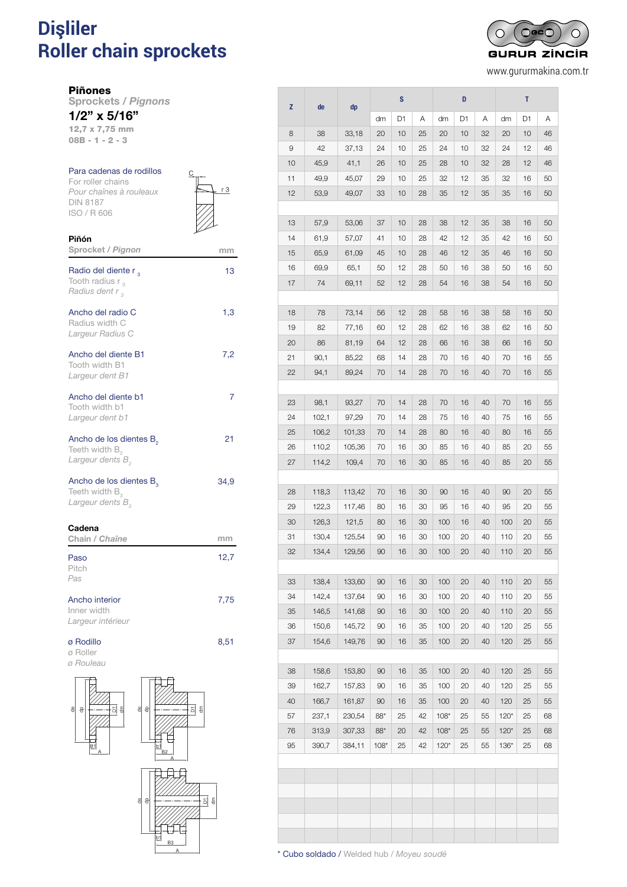# **Dişliler** PARA CADENAS DE RODILLOS DIN 818787 **Roller chain sprockets** *Pignons pour chaînes à rouleaux DIN 8187*

 $O$ GC $C$  $\cap$ ┌ **GURUR ZINCIR** 

www.gururmakina.com.tr

Piñones

Piñón

Sprockets / *Pignons* 1/2" x 5/16"

12,7 x 7,75 mm 08B - 1 - 2 - 3

## Para cadenas de rodillos For roller chains *Pour chaînes à rouleaux* DIN 8187 ISO / R 606



| Sprocket / Pignon                                                                          | mm   |
|--------------------------------------------------------------------------------------------|------|
| Radio del diente r,<br>Tooth radius $r_{3}$<br>Radius dent r,                              | 13   |
| Ancho del radio C<br>Radius width C<br>Largeur Radius C                                    | 1,3  |
| Ancho del diente B1<br>Tooth width B1<br>Largeur dent B1                                   | 7,2  |
| Ancho del diente b1<br>Tooth width b1<br>Largeur dent b1                                   | 7    |
| Ancho de los dientes B <sub>2</sub><br>Teeth width $B_{2}$<br>Largeur dents B <sub>2</sub> | 21   |
| Ancho de los dientes B <sub>2</sub><br>Teeth width $B_{3}$<br>Largeur dents B <sub>3</sub> | 34,9 |
| Cadena<br>Chain / Chaîne                                                                   | mm   |
| Paso<br>Pitch<br>Pas                                                                       | 12,7 |
| Ancho interior<br>Inner width<br>Largeur intérieur                                         | 7,75 |
| ø Rodillo<br>ø Roller<br>ø Rouleau                                                         | 8,51 |





| z  |                |                  |        | S              |    |        | D  |          |        | т  |    |
|----|----------------|------------------|--------|----------------|----|--------|----|----------|--------|----|----|
|    | de             | dp               | dm     | D <sub>1</sub> | Α  | dm     | D1 | Α        | dm     | D1 | Α  |
| 8  | 38             | 33,18            | 20     | 10             | 25 | 20     | 10 | 32       | 20     | 10 | 46 |
| 9  | 42             | 37,13            | 24     | 10             | 25 | 24     | 10 | 32       | 24     | 12 | 46 |
| 10 | 45,9           | 41,1             | 26     | 10             | 25 | 28     | 10 | 32       | 28     | 12 | 46 |
| 11 | 49,9           | 45,07            | 29     | 10             | 25 | 32     | 12 | 35       | 32     | 16 | 50 |
| 12 | 53,9           | 49,07            | 33     | 10             | 28 | 35     | 12 | 35       | 35     | 16 | 50 |
|    |                |                  |        |                |    |        |    |          |        |    |    |
| 13 | 57,9           | 53,06            | 37     | 10             | 28 | 38     | 12 | 35       | 38     | 16 | 50 |
| 14 | 61,9           | 57,07            | 41     | 10             | 28 | 42     | 12 | 35       | 42     | 16 | 50 |
| 15 | 65,9           | 61,09            | 45     | 10             | 28 | 46     | 12 | 35       | 46     | 16 | 50 |
| 16 | 69,9           | 65,1             | 50     | 12             | 28 | 50     | 16 | 38       | 50     | 16 | 50 |
| 17 | 74             | 69,11            | 52     | 12             | 28 | 54     | 16 | 38       | 54     | 16 | 50 |
|    |                |                  |        |                |    |        |    |          |        |    |    |
| 18 | 78             | 73,14            | 56     | 12             | 28 | 58     | 16 | 38       | 58     | 16 | 50 |
| 19 | 82             | 77,16            | 60     | 12             | 28 | 62     | 16 | 38       | 62     | 16 | 50 |
| 20 | 86             | 81,19            | 64     | 12             | 28 | 66     | 16 | 38       | 66     | 16 | 50 |
| 21 | 90,1           | 85,22            | 68     | 14             | 28 | 70     | 16 | 40       | 70     | 16 | 55 |
| 22 | 94,1           | 89,24            | 70     | 14             | 28 | 70     | 16 | 40       | 70     | 16 | 55 |
|    |                |                  |        |                |    |        |    |          |        |    |    |
| 23 | 98,1           | 93,27            | 70     | 14             | 28 | 70     | 16 | 40       | 70     | 16 | 55 |
| 24 | 102,1          | 97,29            | 70     | 14             | 28 | 75     | 16 | 40       | 75     | 16 | 55 |
| 25 | 106,2          | 101,33           | 70     | 14             | 28 | 80     | 16 | 40       | 80     | 16 | 55 |
| 26 | 110,2          | 105,36           | 70     | 16             | 30 | 85     | 16 | 40       | 85     | 20 | 55 |
| 27 | 114,2          | 109,4            | 70     | 16             | 30 | 85     | 16 | 40       | 85     | 20 | 55 |
|    |                |                  |        |                |    |        |    |          |        |    |    |
| 28 | 118,3          | 113,42           | 70     | 16             | 30 | 90     | 16 | 40       | 90     | 20 | 55 |
| 29 | 122,3          | 117,46           | 80     | 16             | 30 | 95     | 16 | 40       | 95     | 20 | 55 |
| 30 | 126,3          | 121,5            | 80     | 16             | 30 | 100    | 16 | 40       | 100    | 20 | 55 |
| 31 | 130,4          | 125,54           | 90     | 16             | 30 | 100    | 20 | 40       | 110    | 20 | 55 |
| 32 | 134,4          | 129,56           | 90     | 16             | 30 | 100    | 20 | 40       | 110    | 20 | 55 |
|    |                |                  |        |                |    |        |    |          |        |    |    |
| 33 | 138,4          | 133,60           | 90     | 16             | 30 | 100    | 20 | 40       | 110    | 20 | 55 |
| 34 | 142,4          | 137,64           | 90     | 16             | 30 | 100    | 20 | 40       | 110    | 20 | 55 |
| 35 | 146,5          | 141,68           | 90     | 16             | 30 | 100    | 20 | 40       | 110    | 20 | 55 |
| 36 | 150,6<br>154,6 | 145,72<br>149,76 | 90     | 16             | 35 | 100    | 20 | 40<br>40 | 120    | 25 | 55 |
| 37 |                |                  | 90     | 16             | 35 | 100    | 20 |          | 120    | 25 | 55 |
| 38 | 158,6          | 153,80           | 90     | 16             | 35 | 100    | 20 | 40       | 120    | 25 | 55 |
| 39 | 162,7          | 157,83           | 90     | 16             | 35 | 100    | 20 | 40       | 120    | 25 | 55 |
| 40 | 166,7          | 161,87           | 90     | 16             | 35 | 100    | 20 | 40       | 120    | 25 | 55 |
| 57 | 237,1          | 230,54           | 88*    | 25             | 42 | $108*$ | 25 | 55       | $120*$ | 25 | 68 |
| 76 | 313,9          | 307,33           | $88*$  | 20             | 42 | $108*$ | 25 | 55       | $120*$ | 25 | 68 |
| 95 | 390,7          | 384,11           | $108*$ | 25             | 42 | $120*$ | 25 | 55       | $136*$ | 25 | 68 |
|    |                |                  |        |                |    |        |    |          |        |    |    |
|    |                |                  |        |                |    |        |    |          |        |    |    |
|    |                |                  |        |                |    |        |    |          |        |    |    |
|    |                |                  |        |                |    |        |    |          |        |    |    |
|    |                |                  |        |                |    |        |    |          |        |    |    |
|    |                |                  |        |                |    |        |    |          |        |    |    |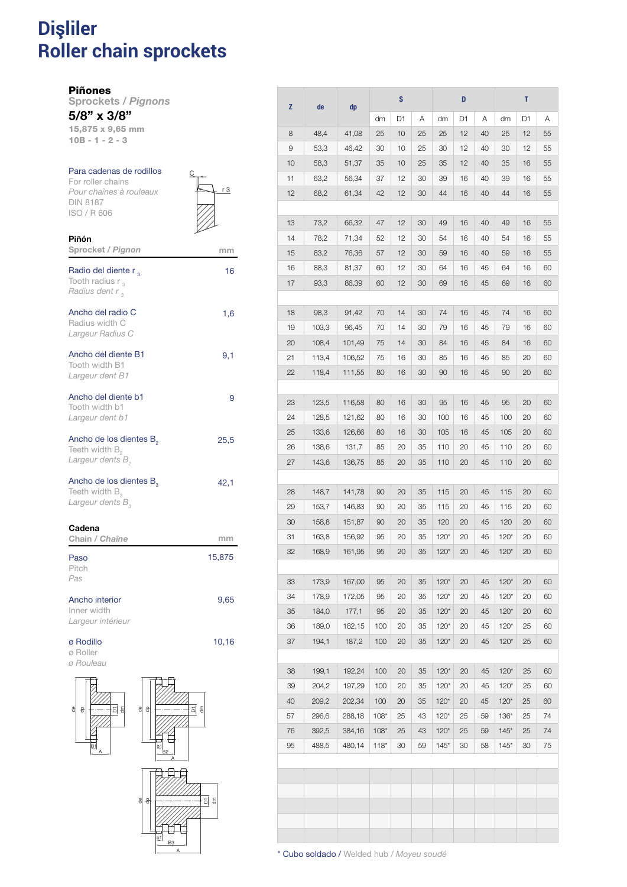### **Dişliler Roller chain sprockets** PIÑONES PARA CADENAS DE RODILLOS DIN 8187 *Pignons pour chaînes à rouleaux DIN 8187*

Piñones

Piñón

Sprockets / *Pignons* 5/8" x 3/8"

15,875 x 9,65 mm 10B - 1 - 2 - 3

## Para cadenas de rodillos

For roller chains *Pour chaînes à rouleaux* DIN 8187 ISO / R 606



| Sprocket / Pignon                                                                                 | mm     |
|---------------------------------------------------------------------------------------------------|--------|
| Radio del diente r,<br>Tooth radius $r_{3}$<br>Radius dent r <sub>3</sub>                         | 16     |
| Ancho del radio C<br>Radius width C<br>Largeur Radius C                                           | 1,6    |
| Ancho del diente B1<br>Tooth width B1<br>Largeur dent B1                                          | 9,1    |
| Ancho del diente b1<br>Tooth width b1<br>Largeur dent b1                                          | 9      |
| Ancho de los dientes B <sub>2</sub><br>Teeth width B <sub>2</sub><br>Largeur dents B <sub>2</sub> | 25,5   |
| Ancho de los dientes B <sub>3</sub><br>Teeth width $B_{3}$<br>Largeur dents B <sub>2</sub>        | 42,1   |
| Cadena<br>Chain / Chaîne                                                                          | mm     |
| Paso<br>Pitch<br>Pas                                                                              | 15,875 |
| Ancho interior<br>Inner width<br>Largeur intérieur                                                | 9,65   |
| ø Rodillo<br>ø Roller                                                                             | 10,16  |



| z  | de    | dp     |        | S  |    |        | D  |    |        | т  |    |
|----|-------|--------|--------|----|----|--------|----|----|--------|----|----|
|    |       |        | dm     | D1 | Α  | dm     | D1 | Α  | dm     | D1 | Α  |
| 8  | 48,4  | 41,08  | 25     | 10 | 25 | 25     | 12 | 40 | 25     | 12 | 55 |
| 9  | 53,3  | 46,42  | 30     | 10 | 25 | 30     | 12 | 40 | 30     | 12 | 55 |
| 10 | 58,3  | 51,37  | 35     | 10 | 25 | 35     | 12 | 40 | 35     | 16 | 55 |
| 11 | 63,2  | 56,34  | 37     | 12 | 30 | 39     | 16 | 40 | 39     | 16 | 55 |
| 12 | 68,2  | 61,34  | 42     | 12 | 30 | 44     | 16 | 40 | 44     | 16 | 55 |
| 13 | 73,2  | 66,32  | 47     | 12 | 30 | 49     | 16 | 40 | 49     | 16 | 55 |
| 14 | 78,2  | 71,34  | 52     | 12 | 30 | 54     | 16 | 40 | 54     | 16 | 55 |
| 15 | 83,2  | 76,36  | 57     | 12 | 30 | 59     | 16 | 40 | 59     | 16 | 55 |
| 16 | 88,3  | 81,37  | 60     | 12 | 30 | 64     | 16 | 45 | 64     | 16 | 60 |
| 17 | 93,3  | 86,39  | 60     | 12 | 30 | 69     | 16 | 45 | 69     | 16 | 60 |
|    |       |        |        |    |    |        |    |    |        |    |    |
| 18 | 98,3  | 91,42  | 70     | 14 | 30 | 74     | 16 | 45 | 74     | 16 | 60 |
| 19 | 103,3 | 96,45  | 70     | 14 | 30 | 79     | 16 | 45 | 79     | 16 | 60 |
| 20 | 108,4 | 101,49 | 75     | 14 | 30 | 84     | 16 | 45 | 84     | 16 | 60 |
| 21 | 113,4 | 106,52 | 75     | 16 | 30 | 85     | 16 | 45 | 85     | 20 | 60 |
| 22 | 118,4 | 111,55 | 80     | 16 | 30 | 90     | 16 | 45 | 90     | 20 | 60 |
|    |       |        |        |    |    |        |    |    |        |    |    |
| 23 | 123,5 | 116,58 | 80     | 16 | 30 | 95     | 16 | 45 | 95     | 20 | 60 |
| 24 | 128,5 | 121,62 | 80     | 16 | 30 | 100    | 16 | 45 | 100    | 20 | 60 |
| 25 | 133,6 | 126,66 | 80     | 16 | 30 | 105    | 16 | 45 | 105    | 20 | 60 |
| 26 | 138,6 | 131,7  | 85     | 20 | 35 | 110    | 20 | 45 | 110    | 20 | 60 |
| 27 | 143,6 | 136,75 | 85     | 20 | 35 | 110    | 20 | 45 | 110    | 20 | 60 |
| 28 | 148,7 | 141,78 | 90     | 20 | 35 | 115    | 20 | 45 | 115    | 20 | 60 |
| 29 | 153,7 | 146,83 | 90     | 20 | 35 | 115    | 20 | 45 | 115    | 20 | 60 |
| 30 | 158,8 | 151,87 | 90     | 20 | 35 | 120    | 20 | 45 | 120    | 20 | 60 |
| 31 | 163,8 | 156,92 | 95     | 20 | 35 | $120*$ | 20 | 45 | $120*$ | 20 | 60 |
| 32 | 168,9 | 161,95 | 95     | 20 | 35 | $120*$ | 20 | 45 | $120*$ | 20 | 60 |
|    |       |        |        |    |    |        |    |    |        |    |    |
| 33 | 173,9 | 167,00 | 95     | 20 | 35 | $120*$ | 20 | 45 | $120*$ | 20 | 60 |
| 34 | 178,9 | 172,05 | 95     | 20 | 35 | $120*$ | 20 | 45 | $120*$ | 20 | 60 |
| 35 | 184,0 | 177,1  | 95     | 20 | 35 | $120*$ | 20 | 45 | $120*$ | 20 | 60 |
| 36 | 189,0 | 182,15 | 100    | 20 | 35 | $120*$ | 20 | 45 | $120*$ | 25 | 60 |
| 37 | 194,1 | 187,2  | 100    | 20 | 35 | $120*$ | 20 | 45 | $120*$ | 25 | 60 |
| 38 | 199,1 | 192,24 | 100    | 20 | 35 | $120*$ | 20 | 45 | $120*$ | 25 | 60 |
| 39 | 204,2 | 197,29 | 100    | 20 | 35 | $120*$ | 20 | 45 | $120*$ | 25 | 60 |
| 40 | 209,2 | 202,34 | 100    | 20 | 35 | $120*$ | 20 | 45 | $120*$ | 25 | 60 |
| 57 | 296,6 | 288,18 | $108*$ | 25 | 43 | $120*$ | 25 | 59 | $136*$ | 25 | 74 |
| 76 | 392,5 | 384,16 | $108*$ | 25 | 43 | $120*$ | 25 | 59 | $145*$ | 25 | 74 |
| 95 | 488,5 | 480,14 | $118*$ | 30 | 59 | $145*$ | 30 | 58 | $145*$ | 30 | 75 |
|    |       |        |        |    |    |        |    |    |        |    |    |
|    |       |        |        |    |    |        |    |    |        |    |    |
|    |       |        |        |    |    |        |    |    |        |    |    |
|    |       |        |        |    |    |        |    |    |        |    |    |
|    |       |        |        |    |    |        |    |    |        |    |    |
|    |       |        |        |    |    |        |    |    |        |    |    |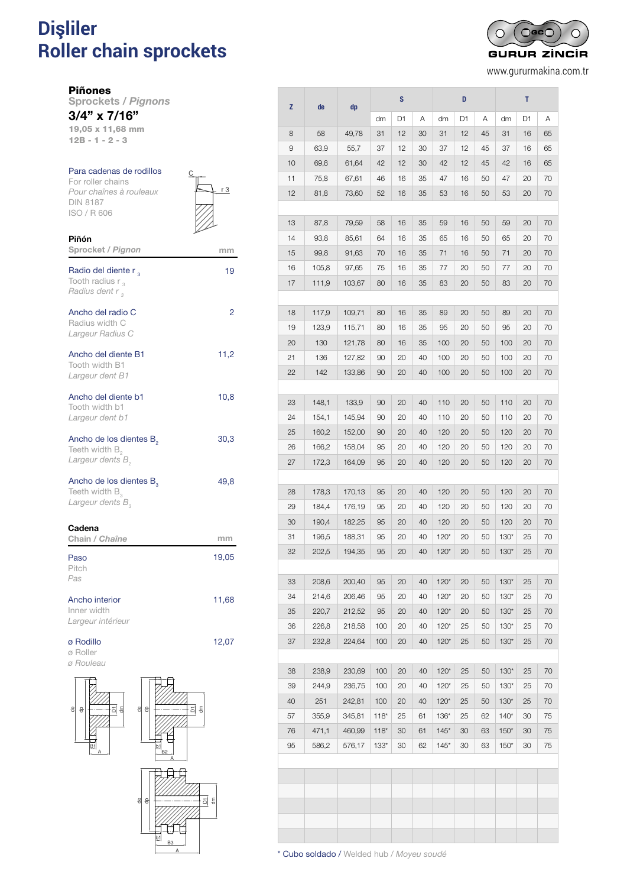# **Dişliler** PARA CADENAS DE RODILLOS DIN 818787 **Roller chain sprockets** *Pignons pour chaînes à rouleaux DIN 8187*

 $\bigcap$ GC $\bigcap$  $\subset$ **GURUR ZINCIR** 

www.gururmakina.com.tr

Piñones

Piñón

Sprockets / *Pignons* 3/4" x 7/16"

19,05 x 11,68 mm 12B - 1 - 2 - 3

#### Para cadenas de rodillos For roller chains *Pour chaînes à rouleaux* DIN 8187 ISO / R 606

|  | 3 |
|--|---|
|  |   |
|  |   |

| Sprocket / Pignon                                                                          | mm    |
|--------------------------------------------------------------------------------------------|-------|
| Radio del diente r,<br>Tooth radius $r_{3}$<br>Radius dent r <sub>3</sub>                  | 19    |
| Ancho del radio C<br>Radius width C<br>Largeur Radius C                                    | 2     |
| Ancho del diente B1<br>Tooth width B1<br>Largeur dent B1                                   | 11,2  |
| Ancho del diente b1<br>Tooth width b1<br>Largeur dent b1                                   | 10,8  |
| Ancho de los dientes B <sub>2</sub><br>Teeth width $B_{2}$<br>Largeur dents B <sub>2</sub> | 30,3  |
| Ancho de los dientes $B_a$<br>Teeth width B <sub>3</sub><br>Largeur dents $B_{3}$          | 49,8  |
| Cadena<br>Chain / Chaîne                                                                   | mm    |
| Paso<br>Pitch<br>Pas                                                                       | 19,05 |
| Ancho interior<br>Inner width<br>Largeur intérieur                                         | 11,68 |
| ø Rodillo<br>ø Roller<br>ø Rouleau                                                         | 12,07 |



|          |                |                  | S        |          | D        |                  |          | т        |                  |          |          |
|----------|----------------|------------------|----------|----------|----------|------------------|----------|----------|------------------|----------|----------|
| z        | de             | dp               | dm       | D1       | Α        | dm               | D1       | Α        | dm               | D1       | Α        |
| 8        | 58             | 49,78            | 31       | 12       | 30       | 31               | 12       | 45       | 31               | 16       | 65       |
| 9        | 63,9           | 55,7             | 37       | 12       | 30       | 37               | 12       | 45       | 37               | 16       | 65       |
| 10       | 69,8           | 61,64            | 42       | 12       | 30       | 42               | 12       | 45       | 42               | 16       | 65       |
| 11       | 75,8           | 67,61            | 46       | 16       | 35       | 47               | 16       | 50       | 47               | 20       | 70       |
| 12       | 81,8           | 73,60            | 52       | 16       | 35       | 53               | 16       | 50       | 53               | 20       | 70       |
|          |                |                  |          |          |          |                  |          |          |                  |          |          |
| 13       | 87,8           | 79,59            | 58       | 16       | 35       | 59               | 16       | 50       | 59               | 20       | 70       |
| 14       | 93,8           | 85,61            | 64       | 16       | 35       | 65               | 16       | 50       | 65               | 20       | 70       |
| 15       | 99,8           | 91,63            | 70       | 16       | 35       | 71               | 16       | 50       | 71               | 20       | 70       |
| 16       | 105,8          | 97,65            | 75       | 16       | 35       | 77               | 20       | 50       | 77               | 20       | 70       |
| 17       | 111,9          | 103,67           | 80       | 16       | 35       | 83               | 20       | 50       | 83               | 20       | 70       |
|          |                |                  |          |          |          |                  |          |          |                  |          |          |
| 18       | 117,9          | 109,71           | 80       | 16       | 35       | 89               | 20       | 50       | 89               | 20       | 70       |
| 19       | 123,9          | 115,71           | 80       | 16       | 35       | 95               | 20       | 50       | 95               | 20       | 70       |
| 20       | 130            | 121,78           | 80       | 16       | 35       | 100              | 20       | 50       | 100              | 20       | 70       |
| 21       | 136            | 127,82           | 90       | 20       | 40       | 100              | 20       | 50       | 100              | 20       | 70       |
| 22       | 142            | 133,86           | 90       | 20       | 40       | 100              | 20       | 50       | 100              | 20       | 70       |
|          |                |                  |          |          |          |                  |          |          |                  |          |          |
| 23       | 148,1          | 133,9            | 90       | 20       | 40       | 110              | 20       | 50       | 110              | 20       | 70       |
| 24       | 154,1          | 145,94           | 90       | 20       | 40       | 110              | 20       | 50       | 110              | 20       | 70       |
| 25       | 160,2          | 152,00           | 90       | 20       | 40       | 120              | 20       | 50       | 120              | 20       | 70       |
| 26       | 166,2          | 158,04           | 95       | 20       | 40       | 120              | 20       | 50       | 120              | 20       | 70       |
| 27       | 172,3          | 164,09           | 95       | 20       | 40       | 120              | 20       | 50       | 120              | 20       | 70       |
|          |                |                  |          |          |          |                  |          |          |                  |          |          |
| 28       | 178,3          | 170,13           | 95       | 20       | 40       | 120              | 20       | 50       | 120              | 20       | 70       |
| 29       | 184,4          | 176,19           | 95       | 20       | 40       | 120              | 20       | 50       | 120              | 20       | 70       |
| 30       | 190,4          | 182,25           | 95       | 20       | 40       | 120              | 20       | 50       | 120              | 20       | 70       |
| 31       | 196,5          | 188,31           | 95       | 20       | 40       | $120*$           | 20       | 50       | $130*$           | 25       | 70       |
| 32       | 202,5          | 194,35           | 95       | 20       | 40       | $120*$           | 20       | 50       | $130*$           | 25       | 70       |
| 33       |                |                  | 95       | 20       | 40       |                  | 20       | 50       | $130*$           |          | 70       |
|          | 208,6          | 200,40<br>206,46 |          |          |          | $120*$           |          |          |                  | 25       |          |
| 34<br>35 | 214,6          | 212,52           | 95<br>95 | 20<br>20 | 40<br>40 | $120*$<br>$120*$ | 20<br>20 | 50<br>50 | $130*$<br>$130*$ | 25<br>25 | 70<br>70 |
| 36       | 220,7<br>226,8 | 218,58           | 100      | 20       | 40       | $120*$           | 25       | 50       | $130*$           | 25       | 70       |
| 37       | 232,8          | 224,64           | 100      | 20       | 40       | $120*$           | 25       | 50       | $130*$           | 25       | 70       |
|          |                |                  |          |          |          |                  |          |          |                  |          |          |
| 38       | 238,9          | 230,69           | 100      | 20       | 40       | $120*$           | 25       | 50       | $130*$           | 25       | 70       |
| 39       | 244,9          | 236,75           | 100      | 20       | 40       | $120*$           | 25       | 50       | $130*$           | 25       | 70       |
| 40       | 251            | 242,81           | 100      | 20       | 40       | $120*$           | 25       | 50       | $130*$           | 25       | 70       |
| 57       | 355,9          | 345,81           | $118*$   | 25       | 61       | $136*$           | 25       | 62       | $140*$           | 30       | 75       |
| 76       | 471,1          | 460,99           | $118*$   | 30       | 61       | $145*$           | 30       | 63       | $150*$           | 30       | 75       |
| 95       | 586,2          | 576,17           | $133*$   | 30       | 62       | $145*$           | 30       | 63       | $150*$           | 30       | 75       |
|          |                |                  |          |          |          |                  |          |          |                  |          |          |
|          |                |                  |          |          |          |                  |          |          |                  |          |          |
|          |                |                  |          |          |          |                  |          |          |                  |          |          |
|          |                |                  |          |          |          |                  |          |          |                  |          |          |
|          |                |                  |          |          |          |                  |          |          |                  |          |          |
|          |                |                  |          |          |          |                  |          |          |                  |          |          |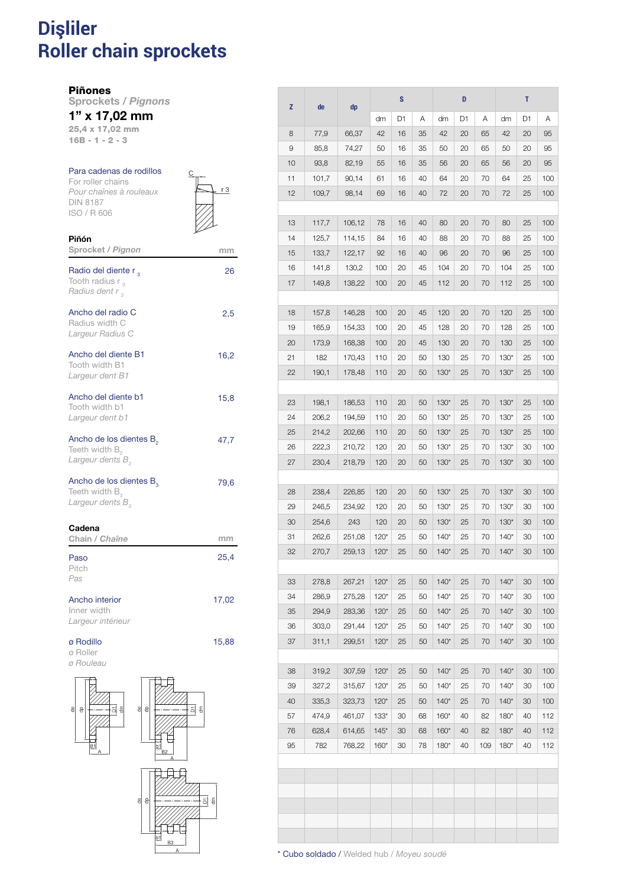### **Dişliler Roller chain sprockets** 1105 PIÑONES PARA CADENAS DE RODILLOS DE RODILLOS DE RODILLOS DE RODILLOS DE RODILLOS DE RODILLOS DE RODILLOS *Pignons pour chaînes à rouleaux DIN 8187*

## Piñones

Piñón

Sprockets / *Pignons*

## 1" x 17,02 mm

25,4 x 17,02 mm 16B - 1 - 2 - 3

## Para cadenas de rodillos

For roller chains *Pour chaînes à rouleaux* DIN 8187 ISO / R 606



| Sprocket / Pignon                                                                                 | mm    |
|---------------------------------------------------------------------------------------------------|-------|
| Radio del diente r,<br>Tooth radius $r_{3}$<br>Radius dent r,                                     | 26    |
| Ancho del radio C<br>Radius width C<br>Largeur Radius C                                           | 2,5   |
| Ancho del diente B1<br>Tooth width B1<br>Largeur dent B1                                          | 16,2  |
| Ancho del diente b1<br>Tooth width b1<br>Largeur dent b1                                          | 15,8  |
| Ancho de los dientes B <sub>2</sub><br>Teeth width B <sub>2</sub><br>Largeur dents B <sub>2</sub> | 47,7  |
| Ancho de los dientes B <sub>2</sub><br>Teeth width $B_{3}$<br>Largeur dents $B_{3}$               | 79,6  |
| Cadena<br>Chain / Chaîne                                                                          | mm    |
| Paso<br>Pitch<br>Pas                                                                              | 25,4  |
| Ancho interior<br>Inner width<br>Largeur intérieur                                                | 17,02 |
| ø Rodillo<br>ø Roller<br>ø Rouleau                                                                | 15,88 |



|          |                |                  |                  | S        |          |                  | D        |          |                  | т        |                 |
|----------|----------------|------------------|------------------|----------|----------|------------------|----------|----------|------------------|----------|-----------------|
| z        | de             | dp               | dm               | D1       | Α        | dm               | D1       | Α        | dm               | D1       | Α               |
| 8        | 77,9           | 66,37            | 42               | 16       | 35       | 42               | 20       | 65       | 42               | 20       | 95              |
| 9        | 85,8           | 74,27            | 50               | 16       | 35       | 50               | 20       | 65       | 50               | 20       | 95              |
| 10       | 93,8           | 82,19            | 55               | 16       | 35       | 56               | 20       | 65       | 56               | 20       | 95              |
| 11       | 101,7          | 90,14            | 61               | 16       | 40       | 64               | 20       | 70       | 64               | 25       | 100             |
| 12       | 109,7          | 98,14            | 69               | 16       | 40       | 72               | 20       | 70       | 72               | 25       | 100             |
|          |                |                  |                  |          |          |                  |          |          |                  |          |                 |
| 13       | 117,7          | 106,12           | 78               | 16       | 40       | 80               | 20       | 70       | 80               | 25       | 100             |
| 14       | 125,7          | 114,15           | 84               | 16       | 40       | 88               | 20       | 70       | 88               | 25       | 100             |
| 15       | 133,7          | 122,17           | 92               | 16       | 40       | 96               | 20       | 70       | 96               | 25       | 100             |
| 16       | 141,8          | 130,2            | 100              | 20       | 45       | 104              | 20       | 70       | 104              | 25       | 100             |
| 17       | 149,8          | 138,22           | 100              | 20       | 45       | 112              | 20       | 70       | 112              | 25       | 100             |
|          |                |                  |                  |          |          |                  |          |          |                  |          |                 |
| 18       | 157,8          | 146,28           | 100              | 20       | 45       | 120              | 20       | 70       | 120              | 25       | 100             |
| 19       | 165,9          | 154,33           | 100              | 20       | 45       | 128              | 20       | 70       | 128              | 25       | 100             |
| 20       | 173,9          | 168,38           | 100              | 20       | 45       | 130              | 20       | 70       | 130              | 25       | 100             |
| 21       | 182            | 170,43           | 110              | 20       | 50       | 130              | 25       | 70       | $130*$           | 25       | 100             |
| 22       | 190,1          | 178,48           | 110              | 20       | 50       | $130*$           | 25       | 70       | $130*$           | 25       | 100             |
|          |                |                  |                  |          |          |                  |          |          |                  |          |                 |
| 23       | 198,1          | 186,53           | 110              | 20       | 50       | $130*$           | 25       | 70       | $130*$           | 25       | 100             |
| 24       | 206,2          | 194,59           | 110              | 20       | 50       | $130*$           | 25       | 70       | $130*$           | 25       | 100             |
| 25       | 214,2          | 202,66           | 110              | 20       | 50       | $130*$           | 25       | 70       | $130*$           | 25       | 100             |
| 26       | 222,3          | 210,72           | 120              | 20       | 50       | $130*$           | 25       | 70       | $130*$           | 30       | 100             |
| 27       | 230,4          | 218,79           | 120              | 20       | 50       | $130*$           | 25       | 70       | $130*$           | 30       | 100             |
|          |                |                  |                  |          |          |                  |          |          |                  |          |                 |
| 28       | 238,4          | 226,85           | 120              | 20       | 50       | $130*$           | 25       | 70       | $130*$           | 30       | 100             |
| 29       | 246,5          | 234,92           | 120              | 20       | 50       | $130*$           | 25       | 70       | $130*$           | 30       | 100             |
| 30       | 254,6          | 243              | 120              | 20       | 50       | $130*$           | 25       | 70       | $130*$           | 30       | 100             |
| 31       | 262,6          | 251,08           | $120*$           | 25       | 50       | $140*$           | 25       | 70       | $140*$           | 30       | 100             |
| 32       | 270,7          | 259,13           | $120*$           | 25       | 50       | $140*$           | 25       | 70       | $140*$           | 30       | 100             |
|          |                |                  |                  |          |          |                  |          |          |                  |          |                 |
| 33       | 278,8          | 267,21           | $120*$           | 25       | 50       | $140*$           | 25       | 70       | $140*$           | 30       | 100             |
| 34       | 286,9          | 275,28           | $120*$           | 25       | 50       | $140*$           | 25       | 70       | $140*$           | 30       | 100             |
| 35       | 294,9          | 283,36           | $120*$           | 25       | 50       | $140*$           | 25       | 70       | $140*$           | 30       | 10C             |
| 36       | 303,0          | 291,44           | $120*$           | 25       | 50       | $140*$           | 25       | 70       | $140*$           | 30       | 10 <sup>c</sup> |
| 37       | 311,1          | 299,51           | $120*$           | 25       | 50       | $140*$           | 25       | 70       | $140*$           | 30       | 10 <sup>C</sup> |
|          |                |                  |                  |          |          |                  |          |          |                  |          |                 |
| 38       | 319,2          | 307,59           | $120*$           | 25       | 50       | $140*$           | 25       | 70       | $140*$           | 30       | 10 <sub>C</sub> |
| 39       | 327,2          | 315,67           | $120*$           | 25       | 50       | $140*$           | 25       | 70       | $140*$           | 30       | 10 <sup>C</sup> |
| 40<br>57 | 335,3          | 323,73           | $120*$<br>$133*$ | 25<br>30 | 50       | $140*$<br>$160*$ | 25<br>40 | 70<br>82 | $140*$<br>$180*$ | 30<br>40 | 100             |
| 76       | 474,9<br>628,4 | 461,07<br>614,65 | $145*$           | 30       | 68<br>68 | $160*$           | 40       | 82       | $180*$           | 40       | 112<br>112      |
| 95       | 782            | 768,22           | $160*$           | 30       | 78       | $180*$           | 40       | 109      | $180*$           | 40       | 112             |
|          |                |                  |                  |          |          |                  |          |          |                  |          |                 |
|          |                |                  |                  |          |          |                  |          |          |                  |          |                 |
|          |                |                  |                  |          |          |                  |          |          |                  |          |                 |
|          |                |                  |                  |          |          |                  |          |          |                  |          |                 |
|          |                |                  |                  |          |          |                  |          |          |                  |          |                 |
|          |                |                  |                  |          |          |                  |          |          |                  |          |                 |
|          |                |                  |                  |          |          |                  |          |          |                  |          |                 |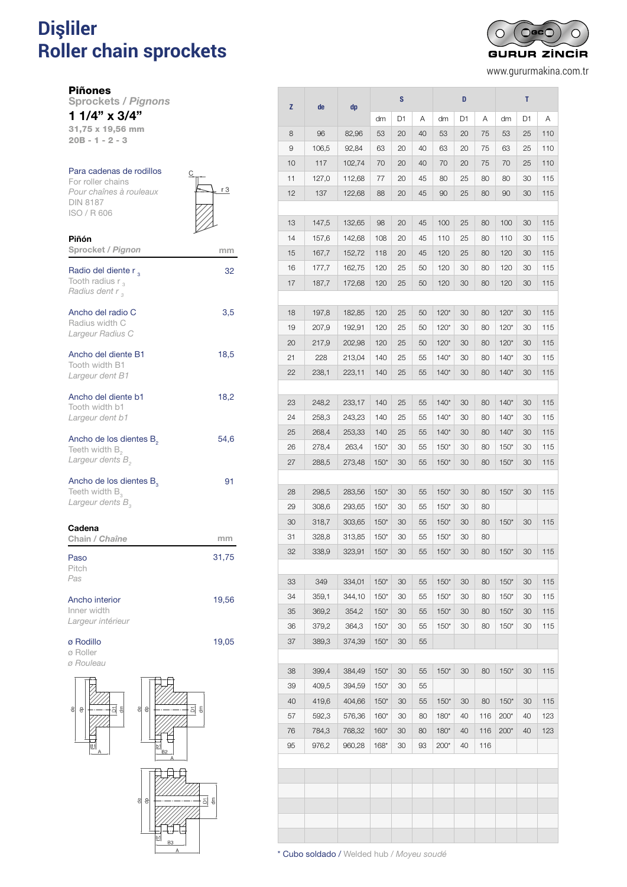# **Dişliler** PARA CADENAS DE RODILLOS DIN 81876 **Roller chain sprockets** *Pignons pour chaînes à rouleaux DIN 8187*

 $O$ GC $C$ ∩ ┌ **GURUR ZINCIR** 

www.gururmakina.com.tr

Piñones

Piñón

Sprockets / *Pignons* 1 1/4" x 3/4"

31,75 x 19,56 mm 20B - 1 - 2 - 3

## Para cadenas de rodillos

For roller chains *Pour chaînes à rouleaux* DIN 8187 ISO / R 606



| Sprocket / Pignon                                                                          | mm    |
|--------------------------------------------------------------------------------------------|-------|
| Radio del diente r,<br>Tooth radius $r_{3}$<br>Radius dent r,                              | 32    |
| Ancho del radio C<br>Radius width C<br>Largeur Radius C                                    | 3,5   |
| Ancho del diente B1<br>Tooth width B1<br>Largeur dent B1                                   | 18,5  |
| Ancho del diente b1<br>Tooth width b1<br>Largeur dent b1                                   | 18,2  |
| Ancho de los dientes B <sub>2</sub><br>Teeth width $B_{2}$<br>Largeur dents B <sub>2</sub> | 54,6  |
| Ancho de los dientes B <sub>3</sub><br>Teeth width $B_3$<br>Largeur dents B <sub>2</sub>   | 91    |
| Cadena<br>Chain / Chaîne                                                                   | mm    |
| Paso<br>Pitch<br>Pas                                                                       | 31,75 |
| Ancho interior<br>Inner width<br>Largeur intérieur                                         | 19,56 |
| ø Rodillo<br>ø Roller                                                                      | 19,05 |





 $\overline{5}$ 

| z        | de             | dp               |                  | S        |          |                  | D        |          |        | T  |     |
|----------|----------------|------------------|------------------|----------|----------|------------------|----------|----------|--------|----|-----|
|          |                |                  | dm               | D1       | Α        | dm               | D1       | Α        | dm     | D1 | Α   |
| 8        | 96             | 82,96            | 53               | 20       | 40       | 53               | 20       | 75       | 53     | 25 | 110 |
| 9        | 106,5          | 92,84            | 63               | 20       | 40       | 63               | 20       | 75       | 63     | 25 | 110 |
| 10       | 117            | 102,74           | 70               | 20       | 40       | 70               | 20       | 75       | 70     | 25 | 110 |
| 11       | 127,0          | 112,68           | 77               | 20       | 45       | 80               | 25       | 80       | 80     | 30 | 115 |
| 12       | 137            | 122,68           | 88               | 20       | 45       | 90               | 25       | 80       | 90     | 30 | 115 |
|          |                |                  |                  |          |          |                  |          |          |        |    |     |
| 13       | 147,5          | 132,65           | 98               | 20       | 45       | 100              | 25       | 80       | 100    | 30 | 115 |
| 14       | 157,6          | 142,68           | 108              | 20       | 45       | 110              | 25       | 80       | 110    | 30 | 115 |
| 15       | 167,7          | 152,72           | 118              | 20       | 45       | 120              | 25       | 80       | 120    | 30 | 115 |
| 16       | 177,7          | 162,75           | 120              | 25       | 50       | 120              | 30       | 80       | 120    | 30 | 115 |
| 17       | 187,7          | 172,68           | 120              | 25       | 50       | 120              | 30       | 80       | 120    | 30 | 115 |
|          |                |                  |                  |          |          |                  |          |          |        |    |     |
| 18       | 197,8          | 182,85           | 120              | 25       | 50       | $120*$           | 30       | 80       | $120*$ | 30 | 115 |
| 19       | 207,9          | 192,91           | 120              | 25       | 50       | $120*$           | 30       | 80       | $120*$ | 30 | 115 |
| 20       | 217,9          | 202,98           | 120              | 25       | 50       | $120*$           | 30       | 80       | $120*$ | 30 | 115 |
| 21       | 228            | 213,04           | 140              | 25       | 55       | $140*$           | 30       | 80       | $140*$ | 30 | 115 |
| 22       | 238,1          | 223,11           | 140              | 25       | 55       | $140*$           | 30       | 80       | $140*$ | 30 | 115 |
|          |                |                  |                  |          |          |                  |          |          |        |    |     |
| 23       | 248,2          | 233,17           | 140              | 25       | 55       | $140*$           | 30       | 80       | $140*$ | 30 | 115 |
| 24       | 258,3          | 243,23           | 140              | 25       | 55       | $140*$           | 30       | 80       | $140*$ | 30 | 115 |
| 25       | 268,4          | 253,33           | 140              | 25       | 55       | $140*$           | 30       | 80       | $140*$ | 30 | 115 |
| 26       | 278,4          | 263,4            | $150*$           | 30       | 55       | $150*$           | 30       | 80       | $150*$ | 30 | 115 |
| 27       | 288,5          | 273,48           | $150*$           | 30       | 55       | $150*$           | 30       | 80       | $150*$ | 30 | 115 |
|          |                |                  |                  |          |          |                  |          |          |        |    |     |
| 28<br>29 | 298,5<br>308,6 | 283,56<br>293,65 | $150*$<br>$150*$ | 30<br>30 | 55<br>55 | $150*$<br>$150*$ | 30<br>30 | 80<br>80 | $150*$ | 30 | 115 |
| 30       | 318,7          | 303,65           | $150*$           | 30       | 55       | $150*$           | 30       | 80       | $150*$ | 30 | 115 |
| 31       | 328,8          | 313,85           | $150*$           | 30       | 55       | $150*$           | 30       | 80       |        |    |     |
| 32       | 338,9          | 323,91           | $150*$           | 30       | 55       | $150*$           | 30       | 80       | $150*$ | 30 | 115 |
|          |                |                  |                  |          |          |                  |          |          |        |    |     |
| 33       | 349            | 334,01           | $150*$           | 30       | 55       | $150*$           | 30       | 80       | $150*$ | 30 | 115 |
| 34       | 359,1          | 344,10           | $150*$           | 30       | 55       | $150*$           | 30       | 80       | $150*$ | 30 | 115 |
| 35       | 369,2          | 354,2            | $150*$           | 30       | 55       | $150*$           | 30       | 80       | $150*$ | 30 | 115 |
| 36       | 379,2          | 364,3            | $150*$           | 30       | 55       | $150*$           | 30       | 80       | $150*$ | 30 | 115 |
| 37       | 389,3          | 374,39           | $150*$           | 30       | 55       |                  |          |          |        |    |     |
|          |                |                  |                  |          |          |                  |          |          |        |    |     |
| 38       | 399,4          | 384,49           | $150*$           | 30       | 55       | $150*$           | 30       | 80       | $150*$ | 30 | 115 |
| 39       | 409,5          | 394,59           | $150*$           | 30       | 55       |                  |          |          |        |    |     |
| 40       | 419,6          | 404,66           | $150*$           | 30       | 55       | $150*$           | 30       | 80       | $150*$ | 30 | 115 |
| 57       | 592,3          | 576,36           | $160*$           | 30       | 80       | $180*$           | 40       | 116      | $200*$ | 40 | 123 |
| 76       | 784,3          | 768,32           | $160*$           | 30       | 80       | $180*$           | 40       | 116      | 200*   | 40 | 123 |
| 95       | 976,2          | 960,28           | $168*$           | 30       | 93       | $200*$           | 40       | 116      |        |    |     |
|          |                |                  |                  |          |          |                  |          |          |        |    |     |
|          |                |                  |                  |          |          |                  |          |          |        |    |     |
|          |                |                  |                  |          |          |                  |          |          |        |    |     |
|          |                |                  |                  |          |          |                  |          |          |        |    |     |
|          |                |                  |                  |          |          |                  |          |          |        |    |     |
|          |                |                  |                  |          |          |                  |          |          |        |    |     |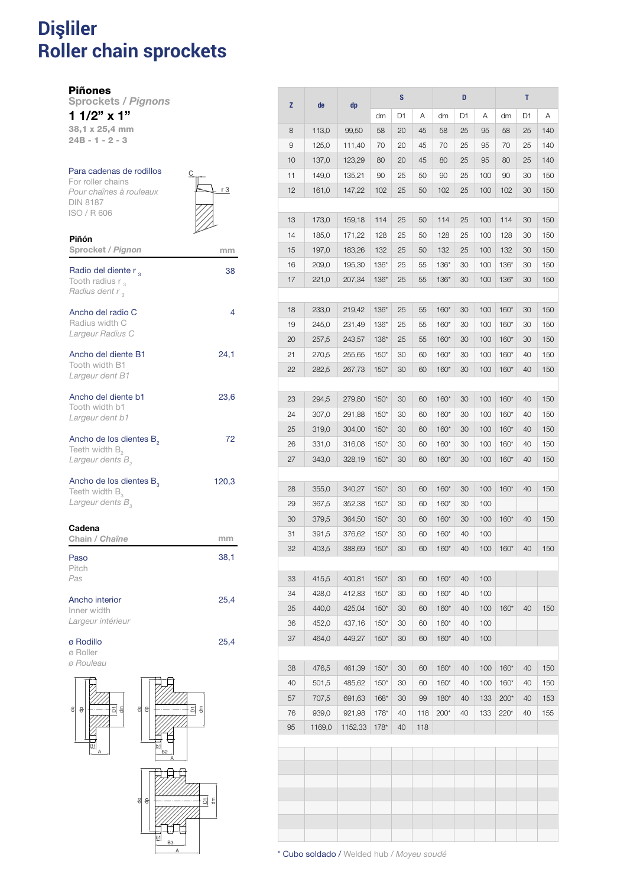### **Dişliler Roller chain sprockets** 1107 PIÑONES PARA CADENAS DE RODILLOS DE RODILLOS DE RODILLOS DE RODILLOS DE RODILLOS DE RODILLOS DE RODILLOS *Pignons pour chaînes à rouleaux DIN 8187*

Piñones

Sprockets / *Pignons* 1 1/2" x 1"

38,1 x 25,4 mm

24B - 1 - 2 - 3

Piñón

#### Para cadenas de rodillos For roller chains

*Pour chaînes à rouleaux* DIN 8187 ISO / R 606



| Sprocket / Pignon                                                                        | mm    |
|------------------------------------------------------------------------------------------|-------|
| Radio del diente r <sub>3</sub><br>Tooth radius $r_{3}$<br>Radius dent r <sub>3</sub>    | 38    |
| Ancho del radio C<br>Radius width C<br>Largeur Radius C                                  | 4     |
| Ancho del diente B1<br>Tooth width B1<br>Largeur dent B1                                 | 24,1  |
| Ancho del diente b1<br>Tooth width b1<br>Largeur dent b1                                 | 23,6  |
| Ancho de los dientes B <sub>2</sub><br>Teeth width $B_{2}$<br>Largeur dents B            | 72    |
| Ancho de los dientes B <sub>2</sub><br>Teeth width $B_3$<br>Largeur dents B <sub>2</sub> | 120,3 |
| Cadena<br>Chain / Chaîne                                                                 | mm    |
| Paso<br>Pitch<br>Pas                                                                     | 38,1  |
| Ancho interior<br>Inner width<br>Largeur intérieur                                       | 25,4  |
| ø Rodillo<br>ø Roller<br>ø Rouleau<br>$\sqrt{2}$<br>_____                                | 25,4  |



 $\epsilon$ 

| z        | de              | dp                |                  | S        |            |        | D  |     |        | т  |     |
|----------|-----------------|-------------------|------------------|----------|------------|--------|----|-----|--------|----|-----|
|          |                 |                   | dm               | D1       | Α          | dm     | D1 | Α   | dm     | D1 | Α   |
| 8        | 113,0           | 99,50             | 58               | 20       | 45         | 58     | 25 | 95  | 58     | 25 | 140 |
| 9        | 125,0           | 111,40            | 70               | 20       | 45         | 70     | 25 | 95  | 70     | 25 | 140 |
| 10       | 137,0           | 123,29            | 80               | 20       | 45         | 80     | 25 | 95  | 80     | 25 | 140 |
| 11       | 149,0           | 135,21            | 90               | 25       | 50         | 90     | 25 | 100 | 90     | 30 | 150 |
| 12       | 161,0           | 147,22            | 102              | 25       | 50         | 102    | 25 | 100 | 102    | 30 | 150 |
| 13       | 173,0           | 159,18            | 114              | 25       | 50         | 114    | 25 | 100 | 114    | 30 | 150 |
| 14       | 185,0           | 171,22            | 128              | 25       | 50         | 128    | 25 | 100 | 128    | 30 | 150 |
| 15       | 197,0           | 183,26            | 132              | 25       | 50         | 132    | 25 | 100 | 132    | 30 | 150 |
| 16       | 209,0           | 195,30            | $136*$           | 25       | 55         | $136*$ | 30 | 100 | $136*$ | 30 | 150 |
| 17       | 221,0           | 207,34            | $136*$           | 25       | 55         | $136*$ | 30 | 100 | $136*$ | 30 | 150 |
|          |                 |                   |                  |          |            |        |    |     |        |    |     |
| 18       | 233,0           | 219,42            | $136*$           | 25       | 55         | $160*$ | 30 | 100 | $160*$ | 30 | 150 |
| 19       | 245,0           | 231,49            | $136*$           | 25       | 55         | $160*$ | 30 | 100 | $160*$ | 30 | 150 |
| 20       | 257,5           | 243,57            | $136*$           | 25       | 55         | $160*$ | 30 | 100 | $160*$ | 30 | 150 |
| 21       | 270,5           | 255,65            | $150*$           | 30       | 60         | $160*$ | 30 | 100 | $160*$ | 40 | 150 |
| 22       | 282,5           | 267,73            | $150*$           | 30       | 60         | $160*$ | 30 | 100 | $160*$ | 40 | 150 |
|          |                 |                   |                  |          |            |        |    |     |        |    |     |
| 23       | 294,5           | 279,80            | $150*$           | 30       | 60         | $160*$ | 30 | 100 | $160*$ | 40 | 150 |
| 24       | 307,0           | 291,88            | $150*$           | 30       | 60         | $160*$ | 30 | 100 | $160*$ | 40 | 150 |
| 25       | 319,0           | 304,00            | $150*$           | 30       | 60         | $160*$ | 30 | 100 | $160*$ | 40 | 150 |
| 26       | 331,0           | 316,08            | $150*$           | 30       | 60         | $160*$ | 30 | 100 | $160*$ | 40 | 150 |
| 27       | 343,0           | 328,19            | $150*$           | 30       | 60         | $160*$ | 30 | 100 | $160*$ | 40 | 150 |
| 28       | 355,0           | 340,27            | $150*$           | 30       | 60         | $160*$ | 30 | 100 | $160*$ | 40 | 150 |
| 29       | 367,5           | 352,38            | $150*$           | 30       | 60         | $160*$ | 30 | 100 |        |    |     |
| 30       | 379,5           | 364,50            | $150*$           | 30       | 60         | $160*$ | 30 | 100 | $160*$ | 40 | 150 |
| 31       | 391,5           | 376,62            | $150*$           | 30       | 60         | $160*$ | 40 | 100 |        |    |     |
| 32       | 403,5           | 388,69            | $150*$           | 30       | 60         | $160*$ | 40 | 100 | $160*$ | 40 | 150 |
|          |                 |                   |                  |          |            |        |    |     |        |    |     |
| 33       | 415,5           | 400,81            | $150*$           | 30       | 60         | 160*   | 40 | 100 |        |    |     |
| 34       | 428,0           | 412,83            | $150*$           | 30       | 60         | $160*$ | 40 | 100 |        |    |     |
| 35       | 440,0           | 425,04            | $150*$           | 30       | 60         | 160*   | 40 | 100 | $160*$ | 40 | 150 |
| 36       | 452,0           | 437,16            | $150*$           | 30       | 60         | $160*$ | 40 | 100 |        |    |     |
| 37       | 464,0           | 449,27            | $150*$           | 30       | 60         | $160*$ | 40 | 100 |        |    |     |
|          |                 |                   |                  |          |            |        |    |     |        |    |     |
| 38       | 476,5           | 461,39            | $150*$           | 30       | 60         | 160*   | 40 | 100 | $160*$ | 40 | 150 |
| 40       | 501,5           | 485,62            | $150*$           | 30       | 60         | $160*$ | 40 | 100 | 160*   | 40 | 150 |
| 57       | 707,5           | 691,63            | $168*$           | 30       | 99         | $180*$ | 40 | 133 | 200*   | 40 | 153 |
| 76<br>95 | 939,0<br>1169,0 | 921,98<br>1152,33 | $178*$<br>$178*$ | 40<br>40 | 118<br>118 | $200*$ | 40 | 133 | $220*$ | 40 | 155 |
|          |                 |                   |                  |          |            |        |    |     |        |    |     |
|          |                 |                   |                  |          |            |        |    |     |        |    |     |
|          |                 |                   |                  |          |            |        |    |     |        |    |     |
|          |                 |                   |                  |          |            |        |    |     |        |    |     |
|          |                 |                   |                  |          |            |        |    |     |        |    |     |
|          |                 |                   |                  |          |            |        |    |     |        |    |     |
|          |                 |                   |                  |          |            |        |    |     |        |    |     |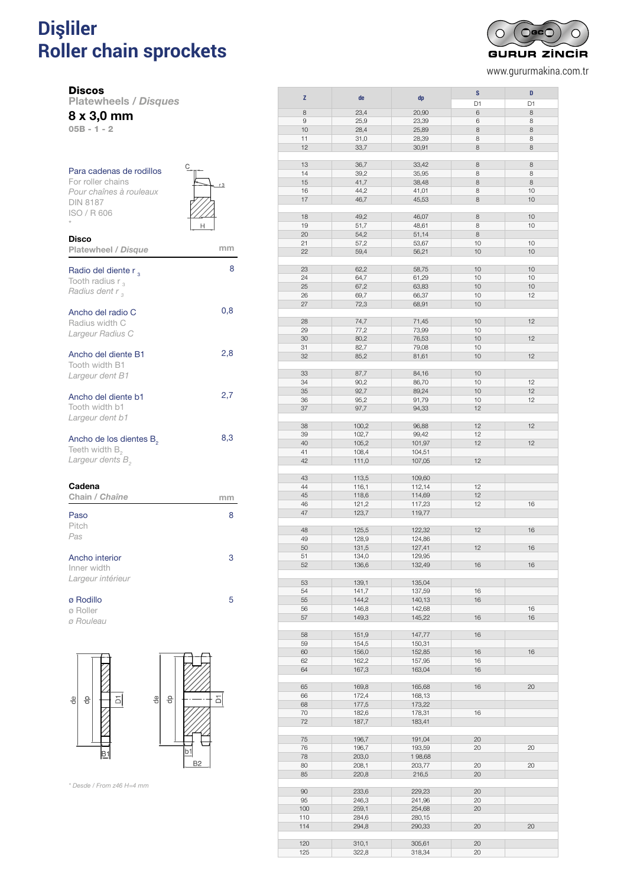# **Dişliler** istifadə bir alında bir alında bir alında bir alında bir alında bir alında bir alında bir alında bir **Roller chain sprockets** *Disques pour chaînes à rouleaux DIN 8187*

**Discos** 

Platewheels / *Disques*

8 x 3,0 mm

05B - 1 - 2

| Para cadenas de rodillos<br>For roller chains<br>Pour chaînes à rouleaux<br><b>DIN 8187</b><br>ISO / R 606 |  |
|------------------------------------------------------------------------------------------------------------|--|
| <b>Disco</b><br>Platewheel / Disque                                                                        |  |
| Radio del diente r <sub>2</sub><br>Tooth radius r                                                          |  |

8

| Tooth radius $r_{\alpha}$<br><i>Radius dent r</i> ,                                            |     |
|------------------------------------------------------------------------------------------------|-----|
| Ancho del radio C<br>Radius width C<br>Largeur Radius C                                        | 0,8 |
| Ancho del diente B1<br>Tooth width B1<br><i>Largeur dent B1</i>                                | 2,8 |
| Ancho del diente b1<br>Tooth width b1<br>Largeur dent b1                                       | 2,7 |
| Ancho de los dientes B <sub>2</sub><br>Teeth width $B_{\circ}$<br>Largeur dents B <sub>2</sub> | 8,3 |

| Cadena<br>Chain / Chaîne                           |   |
|----------------------------------------------------|---|
| Paso<br>Pitch<br>Pas                               | 8 |
| Ancho interior<br>Inner width<br>Largeur intérieur | з |
| ø Rodillo                                          | ∽ |

 $\Box$  $\overline{5}$  $\frac{e}{c}$   $\frac{e}{c}$  $\left| \cdot \right|$   $\left| \cdot \right|$  $B<sub>1</sub>$ b. B<sub>2</sub>

 $\overline{b}$ 

*\* Desde / From z46 H=4 mm*

ø Roller *ø Rouleau*

| z   | de    | dp     | S  | D  |
|-----|-------|--------|----|----|
|     |       |        | D1 | D1 |
| 8   | 23,4  | 20,90  | 6  | 8  |
| 9   | 25,9  | 23,39  | 6  | 8  |
| 10  | 28,4  | 25,89  | 8  | 8  |
| 11  | 31,0  | 28,39  | 8  | 8  |
| 12  | 33,7  | 30,91  | 8  | 8  |
|     |       |        |    |    |
| 13  | 36,7  | 33,42  | 8  | 8  |
| 14  | 39,2  | 35,95  | 8  | 8  |
| 15  | 41,7  | 38,48  | 8  | 8  |
| 16  | 44,2  | 41,01  | 8  | 10 |
| 17  | 46,7  | 45,53  | 8  | 10 |
|     |       |        |    |    |
| 18  | 49,2  | 46,07  | 8  | 10 |
| 19  | 51,7  | 48,61  | 8  | 10 |
| 20  | 54,2  | 51,14  | 8  |    |
| 21  | 57,2  | 53,67  | 10 | 10 |
| 22  | 59,4  | 56,21  | 10 | 10 |
|     |       |        |    |    |
| 23  | 62,2  | 58,75  | 10 | 10 |
| 24  | 64,7  | 61,29  | 10 | 10 |
| 25  | 67,2  | 63,83  | 10 | 10 |
| 26  | 69,7  | 66,37  | 10 | 12 |
| 27  | 72,3  | 68,91  | 10 |    |
|     |       |        |    |    |
| 28  | 74,7  | 71,45  | 10 | 12 |
| 29  | 77,2  | 73,99  | 10 |    |
| 30  | 80,2  | 76,53  | 10 | 12 |
| 31  | 82,7  | 79,08  | 10 |    |
| 32  | 85,2  | 81,61  | 10 | 12 |
|     |       |        |    |    |
| 33  | 87,7  | 84,16  | 10 |    |
| 34  | 90,2  | 86,70  | 10 | 12 |
| 35  | 92,7  | 89,24  | 10 | 12 |
| 36  | 95,2  | 91,79  | 10 | 12 |
| 37  | 97,7  | 94,33  | 12 |    |
|     |       |        |    |    |
| 38  | 100,2 | 96,88  | 12 | 12 |
| 39  | 102,7 | 99,42  | 12 |    |
| 40  | 105,2 | 101,97 | 12 | 12 |
| 41  | 108,4 | 104,51 |    |    |
| 42  | 111,0 | 107,05 | 12 |    |
|     |       |        |    |    |
| 43  | 113,5 | 109,60 |    |    |
| 44  | 116,1 | 112,14 | 12 |    |
| 45  | 118,6 | 114,69 | 12 |    |
| 46  | 121,2 | 117,23 | 12 | 16 |
| 47  | 123,7 | 119,77 |    |    |
|     |       |        |    |    |
| 48  | 125,5 | 122,32 | 12 | 16 |
| 49  | 128,9 | 124,86 |    |    |
| 50  | 131,5 | 127,41 | 12 | 16 |
| 51  | 134,0 | 129,95 |    |    |
| 52  | 136,6 | 132,49 | 16 | 16 |
|     |       |        |    |    |
| 53  | 139,1 | 135,04 |    |    |
| 54  | 141,7 | 137,59 | 16 |    |
| 55  | 144,2 | 140,13 | 16 |    |
| 56  | 146,8 | 142,68 |    | 16 |
| 57  | 149,3 | 145,22 | 16 | 16 |
|     |       |        |    |    |
| 58  | 151,9 | 147,77 | 16 |    |
| 59  | 154,5 | 150,31 |    |    |
| 60  | 156,0 | 152,85 | 16 | 16 |
| 62  | 162,2 | 157,95 | 16 |    |
| 64  | 167,3 | 163,04 | 16 |    |
|     |       |        |    |    |
| 65  | 169,8 | 165,68 | 16 | 20 |
| 66  | 172,4 | 168,13 |    |    |
| 68  | 177,5 | 173,22 |    |    |
| 70  | 182,6 | 178,31 | 16 |    |
| 72  | 187,7 | 183,41 |    |    |
|     |       |        |    |    |
| 75  | 196,7 | 191,04 | 20 |    |
| 76  | 196,7 | 193,59 | 20 | 20 |
| 78  | 203,0 | 198,68 |    |    |
| 80  | 208,1 | 203,77 | 20 | 20 |
| 85  | 220,8 | 216,5  | 20 |    |
|     |       |        |    |    |
| 90  | 233,6 | 229,23 | 20 |    |
| 95  | 246,3 | 241,96 | 20 |    |
| 100 | 259,1 | 254,68 | 20 |    |
| 110 | 284,6 | 280,15 |    |    |
| 114 | 294,8 | 290,33 | 20 | 20 |
|     |       |        |    |    |
| 120 | 310,1 | 305,61 | 20 |    |
| 125 | 322,8 | 318,34 | 20 |    |



www.gururmakina.com.tr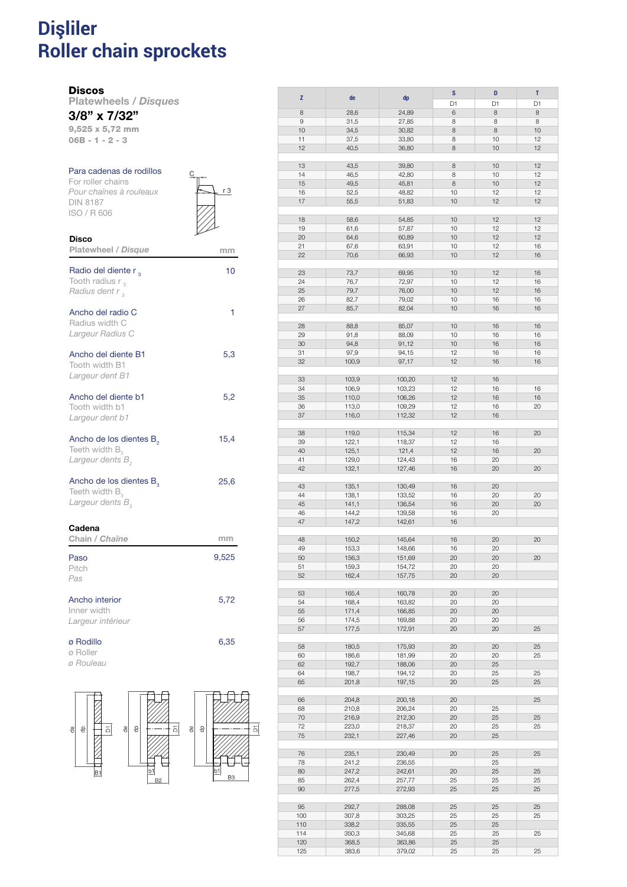### **Dişliler Roller chain sprockets** DISCOS PARA CADENAS DE RODILLOS DIN 8187 *Disques pour chaînes à rouleaux DIN 8187*

#### **Discos**

Disco

Platewheels / *Disques* 3/8" x 7/32"

9,525 x 5,72 mm 06B - 1 - 2 - 3

#### Para cadenas de rodillos For roller chains

*Pour chaînes à rouleaux* DIN 8187 ISO / R 606

| C |     |
|---|-----|
|   | r 3 |
|   |     |
|   |     |

| Platewheel / Disque                                                               | mm    |
|-----------------------------------------------------------------------------------|-------|
| Radio del diente r <sub>3</sub><br>Tooth radius $r_{3}$<br>Radius dent r,         | 10    |
| Ancho del radio C<br>Radius width C<br>Largeur Radius C                           | 1     |
| Ancho del diente B1<br>Tooth width B1<br>Largeur dent B1                          | 5,3   |
| Ancho del diente b1<br>Tooth width b1<br>Largeur dent b1                          | 5,2   |
| Ancho de los dientes B <sub>2</sub><br>Teeth width $B_{2}$<br>Largeur dents B     | 15,4  |
| Ancho de los dientes $B_a$<br>Teeth width $B_{3}$<br>Largeur dents B <sub>2</sub> | 25,6  |
| Cadena<br>Chain / Chaîne                                                          | mm    |
| Paso<br>Pitch<br>Pas                                                              | 9,525 |
| Ancho interior<br>Inner width<br>Largeur intérieur                                | 5,72  |
| ø Rodillo<br>ø Roller                                                             | 6,35  |





| Z          | de             |                  | ${\bf S}$      | D        | T        |
|------------|----------------|------------------|----------------|----------|----------|
|            |                | dp               | D <sub>1</sub> | D1       | D1       |
| 8          | 28,6           | 24,89            | 6              | 8        | 8        |
| 9          | 31,5           | 27,85            | 8              | 8        | 8        |
| 10         | 34,5           | 30,82            | 8              | 8        | 10       |
| 11         | 37,5           | 33,80            | 8              | 10       | 12       |
| 12         | 40,5           | 36,80            | 8              | 10       | 12       |
|            |                |                  |                |          |          |
| 13         | 43,5           | 39,80            | 8              | 10       | 12       |
| 14         | 46,5           | 42,80            | 8              | 10       | 12       |
| 15         | 49,5           | 45,81            | 8              | 10       | 12       |
| 16         | 52,5           | 48,82            | 10             | 12       | 12       |
| 17         | 55,5           | 51,83            | 10             | 12       | 12       |
|            |                |                  |                |          |          |
| 18         | 58,6           | 54,85            | 10             | 12       | 12       |
| 19         | 61,6           | 57,87            | 10             | 12       | 12       |
| 20         | 64,6           | 60,89            | 10             | 12       | 12       |
| 21         | 67,6           | 63,91            | 10             | 12       | 16       |
| 22         | 70,6           | 66,93            | 10             | 12       | 16       |
|            |                |                  |                |          |          |
| 23         | 73,7           | 69,95            | 10             | 12       | 16       |
| 24         | 76,7           | 72,97            | 10             | 12       | 16       |
| 25         | 79,7           | 76,00            | 10             | 12       | 16       |
| 26         | 82,7           | 79,02            | 10             | 16       | 16       |
| 27         | 85,7           | 82,04            | 10             | 16       | 16       |
|            |                |                  |                |          |          |
| 28         | 88,8           | 85,07            | 10             | 16       | 16       |
| 29         |                |                  | 10             | 16       | 16       |
| 30         | 91,8<br>94,8   | 88,09<br>91,12   | 10             | 16       | 16       |
|            |                |                  |                |          |          |
| 31         | 97,9           | 94,15            | 12             | 16       | 16       |
| 32         | 100,9          | 97,17            | 12             | 16       | 16       |
|            |                |                  |                |          |          |
| 33         | 103,9          | 100,20           | 12             | 16       |          |
| 34         | 106,9          | 103,23           | 12             | 16       | 16       |
| 35         | 110,0          | 106,26           | 12             | 16       | 16       |
| 36         | 113,0          | 109,29           | 12             | 16       | 20       |
| 37         | 116,0          | 112,32           | 12             | 16       |          |
|            |                |                  |                |          |          |
| 38         | 119,0          | 115,34           | 12             | 16       | 20       |
| 39         | 122,1          | 118,37           | 12             | 16       |          |
| 40         | 125,1          | 121,4            | 12             | 16       | 20       |
| 41         | 129,0          | 124,43           | 16             | 20       |          |
| 42         | 132,1          | 127,46           | 16             | 20       | 20       |
|            |                |                  |                |          |          |
| 43         | 135,1          | 130,49           | 16             | 20       |          |
| 44         | 138,1          | 133,52           | 16             | 20       | 20       |
| 45         | 141,1          | 136,54           | 16             | 20       | 20       |
| 46         | 144,2          | 139,58           | 16             | 20       |          |
| 47         | 147,2          | 142,61           | 16             |          |          |
|            |                |                  |                |          |          |
| 48         | 150,2          | 145,64           | 16             | 20       | 20       |
| 49         | 153,3          | 148,66           | 16             | 20       |          |
| 50         | 156,3          | 151,69           | 20             | 20       | 20       |
| 51         | 159,3          | 154,72           | 20             | 20       |          |
| 52         | 162,4          | 157,75           | 20             | 20       |          |
|            |                |                  |                |          |          |
| 53         | 165,4          | 160,78           | 20             | 20       |          |
| 54         | 168,4          | 163,82           | 20             | 20       |          |
| 55         | 171,4          | 166,85           | 20             | 20       |          |
| 56         | 174,5          | 169,88           | 20             | 20       |          |
| 57         | 177,5          | 172,91           | 20             | 20       | 25       |
|            |                |                  |                |          |          |
| 58         | 180,5          | 175,93           | 20             | 20       | 25       |
| 60         | 186,6          | 181,99           | 20             | 20       | 25       |
| 62         | 192,7          | 188,06           | 20             | 25       |          |
| 64         | 198,7          | 194,12           | 20             | 25       | 25       |
| 65         | 201,8          | 197,15           | 20             | 25       | 25       |
|            |                |                  |                |          |          |
| 66         | 204,8          | 200,18           | 20             |          | 25       |
| 68         | 210,8          | 206,24           | 20             | 25       |          |
| 70         | 216,9          | 212,30           | 20             | 25       | 25       |
| 72         | 223,0          | 218,37           | $20\,$         | 25       | 25       |
| 75         | 232,1          | 227,46           | 20             | 25       |          |
|            |                |                  |                |          |          |
| 76         | 235,1          | 230,49           | 20             | 25       | 25       |
| 78         | 241,2          | 236,55           |                | 25       |          |
| 80         |                | 242,61           | 20             | 25       | 25       |
|            | 247,2          |                  |                |          |          |
|            |                | 257,77           | 25             | 25<br>25 | 25<br>25 |
| 85         | 262,4          |                  |                |          |          |
| 90         | 277,5          | 272,93           | 25             |          |          |
|            |                |                  |                |          |          |
| 95         | 292,7          | 288,08           | 25             | 25       | 25       |
| 100        | 307,8          | 303,25           | 25             | 25       | 25       |
| 110        | 338,2          | 335,55           | 25             | 25       |          |
| 114        | 350,3          | 345,68           | 25             | 25       | 25       |
| 120<br>125 | 368,5<br>383,6 | 363,86<br>379,02 | 25<br>25       | 25<br>25 | 25       |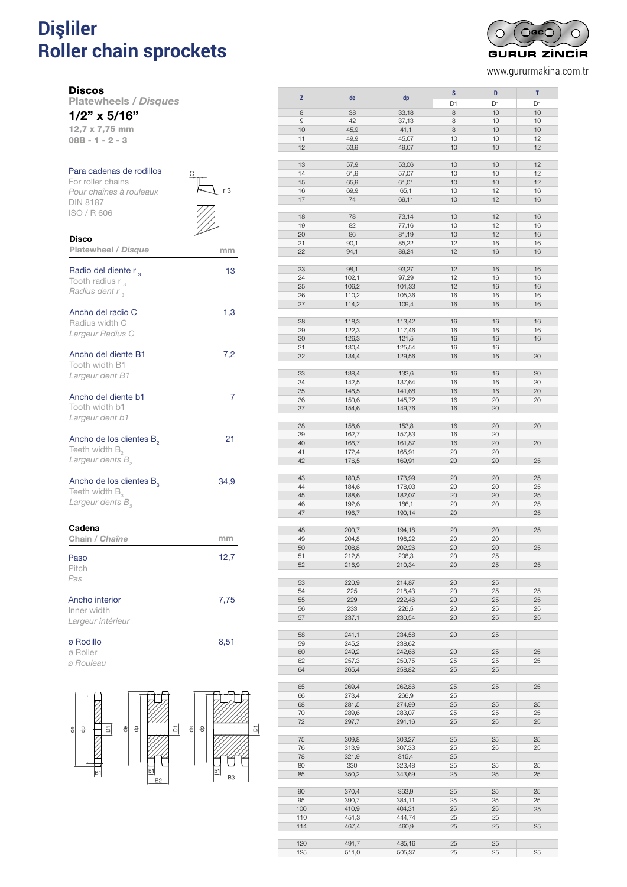# **Dişliler** <sup>110</sup> DISCOS PARA CADENAS DE RODILLOS DIN 8187 **Roller chain sprockets** *Disques pour chaînes à rouleaux DIN 8187*



www.gururmakina.com.tr

Disco

Platewheels / *Disques* 1/2" x 5/16"

12,7 x 7,75 mm

08B - 1 - 2 - 3

## Para cadenas de rodillos

For roller chains *Pour chaînes à rouleaux* DIN 8187 ISO / R 606



| <b>Platewheel / Disque</b>                                                                 | mm   |
|--------------------------------------------------------------------------------------------|------|
| Radio del diente r,<br>Tooth radius $r_{3}$<br>Radius dent r,                              | 13   |
| Ancho del radio C<br>Radius width C<br>Largeur Radius C                                    | 1,3  |
| Ancho del diente B1<br>Tooth width B1<br>Largeur dent B1                                   | 7,2  |
| Ancho del diente b1<br>Tooth width b1<br>Largeur dent b1                                   | 7    |
| Ancho de los dientes B <sub>2</sub><br>Teeth width $B_{2}$<br>Largeur dents B <sub>2</sub> | 21   |
| Ancho de los dientes $B_a$<br>Teeth width $B_{3}$<br>Largeur dents B,                      | 34,9 |
| Cadena<br>Chain / Chaîne                                                                   | mm   |
| Paso<br>Pitch<br>Pas                                                                       | 12,7 |
| Ancho interior<br>Inner width<br>Largeur intérieur                                         | 7,75 |
| ø Rodillo                                                                                  | 8,51 |

ø Roller

*ø Rouleau*



|          |       |        | S        | D  | T  |
|----------|-------|--------|----------|----|----|
| Z        | de    | dp     | D1       | D1 | D1 |
| 8        | 38    | 33,18  | 8        | 10 | 10 |
| 9        | 42    | 37,13  | 8        | 10 | 10 |
| 10       | 45,9  | 41,1   | 8        | 10 | 10 |
|          |       |        |          |    | 12 |
| 11       | 49,9  | 45,07  | 10       | 10 |    |
| 12       | 53,9  | 49,07  | 10       | 10 | 12 |
|          |       |        |          |    |    |
| 13       | 57,9  | 53,06  | 10       | 10 | 12 |
| 14       | 61,9  | 57,07  | 10       | 10 | 12 |
| 15       | 65,9  | 61,01  | 10       | 10 | 12 |
| 16       | 69,9  | 65,1   | 10       | 12 | 16 |
| 17       | 74    | 69,11  | 10       | 12 | 16 |
|          |       |        |          |    |    |
| 18       | 78    | 73,14  | 10       | 12 | 16 |
| 19       | 82    | 77,16  | 10       | 12 | 16 |
| 20       | 86    | 81,19  | 10       | 12 | 16 |
| 21       | 90,1  | 85,22  | 12       | 16 | 16 |
| 22       | 94,1  | 89,24  | 12       | 16 | 16 |
|          |       |        |          |    |    |
| 23       | 98,1  | 93,27  | 12       | 16 | 16 |
| 24       | 102,1 | 97,29  | 12       | 16 | 16 |
| 25       | 106,2 | 101,33 | 12       | 16 | 16 |
| 26       | 110,2 | 105,36 | 16       | 16 | 16 |
| 27       | 114,2 | 109,4  | 16       | 16 | 16 |
|          |       |        |          |    |    |
| 28       | 118,3 | 113,42 | 16       | 16 | 16 |
| 29       | 122,3 | 117,46 | 16       | 16 | 16 |
| 30       | 126,3 | 121,5  | 16       | 16 | 16 |
| 31       | 130,4 | 125,54 | 16       | 16 |    |
| 32       | 134,4 | 129,56 | 16       | 16 | 20 |
|          |       |        |          |    |    |
| 33       | 138,4 | 133,6  | 16       | 16 | 20 |
| 34       | 142,5 | 137,64 | 16       | 16 | 20 |
| 35       | 146,5 | 141,68 | 16       | 16 | 20 |
|          |       |        |          |    |    |
| 36       | 150,6 | 145,72 | 16       | 20 | 20 |
| 37       | 154,6 | 149,76 | 16       | 20 |    |
|          |       |        |          |    |    |
| 38       | 158,6 | 153,8  | 16       | 20 | 20 |
| 39       | 162,7 | 157,83 | 16       | 20 |    |
| 40       | 166,7 | 161,87 | 16       | 20 | 20 |
| 41       | 172,4 | 165,91 | 20       | 20 |    |
| 42       | 176,5 | 169,91 | 20       | 20 | 25 |
|          |       |        |          |    |    |
| 43       | 180,5 | 173,99 | 20       | 20 | 25 |
| 44       | 184,6 | 178,03 | 20       | 20 | 25 |
| 45       | 188,6 | 182,07 | 20       | 20 | 25 |
| 46       | 192,6 | 186,1  | 20       | 20 | 25 |
| 47       | 196,7 | 190,14 | 20       |    | 25 |
|          |       |        |          |    |    |
| 48       | 200,7 | 194,18 | 20       | 20 | 25 |
| 49       | 204,8 | 198,22 | 20       | 20 |    |
| 50       | 208,8 | 202,26 | 20       | 20 | 25 |
| 51       | 212,8 | 206,3  | 20       | 25 |    |
| 52       | 216,9 | 210,34 | 20       | 25 | 25 |
|          |       |        |          |    |    |
| 53       | 220,9 | 214,87 | 20       | 25 |    |
| 54       | 225   | 218,43 | 20       | 25 | 25 |
| 55       | 229   | 222,46 | 20       | 25 | 25 |
| 56       | 233   | 226,5  | 20       | 25 | 25 |
| 57       | 237,1 | 230,54 | 20       | 25 | 25 |
|          |       |        |          |    |    |
| 58       | 241,1 | 234,58 | 20       | 25 |    |
| 59       | 245,2 | 238,62 |          |    |    |
| 60       | 249,2 | 242,66 | 20       | 25 | 25 |
| 62       | 257,3 | 250,75 | 25       | 25 | 25 |
| 64       | 265,4 | 258,82 | 25       | 25 |    |
|          |       |        |          |    |    |
|          |       |        |          |    |    |
| 65<br>66 | 269,4 | 262,86 | 25<br>25 | 25 | 25 |
| 68       | 273,4 | 266,9  |          |    | 25 |
|          | 281,5 | 274,99 | 25       | 25 |    |
| 70       | 289,6 | 283,07 | 25       | 25 | 25 |
| 72       | 297,7 | 291,16 | 25       | 25 | 25 |
|          |       |        |          |    |    |
| 75       | 309,8 | 303,27 | 25       | 25 | 25 |
| 76       | 313,9 | 307,33 | 25       | 25 | 25 |
| 78       | 321,9 | 315,4  | 25       |    |    |
| 80       | 330   | 323,48 | 25       | 25 | 25 |
| 85       | 350,2 | 343,69 | 25       | 25 | 25 |
|          |       |        |          |    |    |
| 90       | 370,4 | 363,9  | 25       | 25 | 25 |
| 95       | 390,7 | 384,11 | 25       | 25 | 25 |
| 100      | 410,9 | 404,31 | 25       | 25 | 25 |
| 110      | 451,3 | 444,74 | 25       | 25 |    |
| 114      | 467,4 | 460,9  | 25       | 25 | 25 |
|          |       |        |          |    |    |
| 120      | 491,7 | 485,16 | 25       | 25 |    |
| 125      | 511,0 | 505,37 | 25       | 25 | 25 |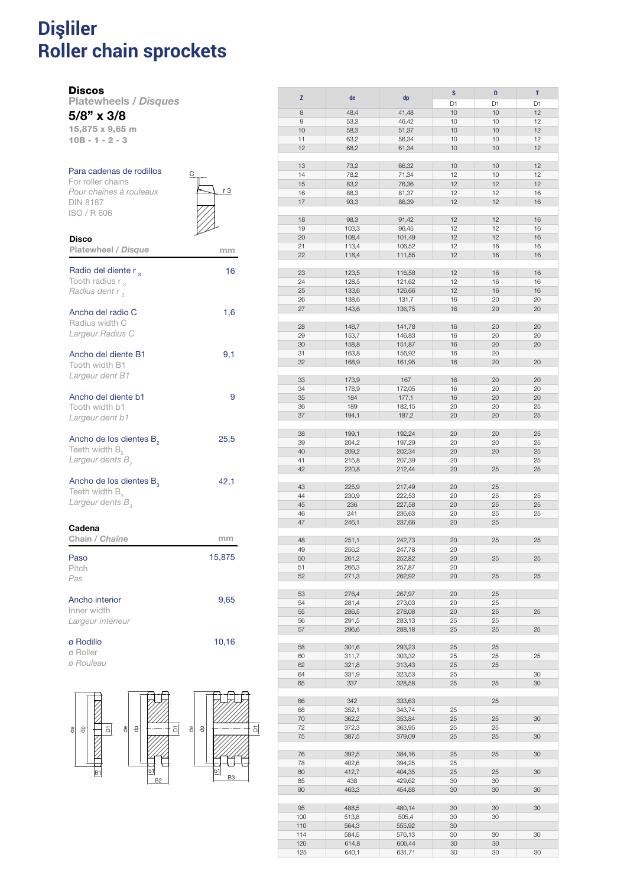### **Dişliler Roller chain sprockets** DISCOS PARA CADENAS DE RODILLOS DIN 8187 *Disques pour chaînes à rouleaux DIN 8187*

#### **Discos**

Disco

Platewheels / *Disques* 5/8" x 3/8

15,875 x 9,65 m 10B - 1 - 2 - 3

### Para cadenas de rodillos For roller chains *Pour chaînes à rouleaux* DIN 8187 ISO / R 606

| C | r 3 |
|---|-----|
|   |     |

| Platewheel / Disque                                                                        | mm     |
|--------------------------------------------------------------------------------------------|--------|
| Radio del diente r,<br>Tooth radius $r_{\alpha}$<br>Radius dent r,                         | 16     |
| Ancho del radio C<br>Radius width C<br>Largeur Radius C                                    | 1,6    |
| Ancho del diente B1<br>Tooth width B1<br>Largeur dent B1                                   | 9,1    |
| Ancho del diente b1<br>Tooth width b1<br>Largeur dent b1                                   | 9      |
| Ancho de los dientes B <sub>2</sub><br>Teeth width $B_{2}$<br>Largeur dents B <sub>2</sub> | 25,5   |
| Ancho de los dientes B <sub>2</sub><br>Teeth width $B_{\alpha}$<br>Largeur dents $B_{3}$   | 42,1   |
| Cadena<br>Chain / Chaîne                                                                   | mm     |
| Paso<br>Pitch<br>Pas                                                                       | 15,875 |
| Ancho interior<br>Inner width<br>Largeur intérieur                                         | 9,65   |
| ø Rodillo                                                                                  | 10,16  |

ø Roller

*ø Rouleau*



|     |       |        | S  | D              | T  |
|-----|-------|--------|----|----------------|----|
| Z   | de    | dp     |    |                |    |
|     |       |        | D1 | D <sub>1</sub> | D1 |
| 8   | 48,4  | 41,48  | 10 | 10             | 12 |
|     |       |        |    |                |    |
| 9   | 53,3  | 46,42  | 10 | 10             | 12 |
| 10  | 58,3  | 51,37  | 10 | 10             | 12 |
|     |       |        |    |                |    |
| 11  | 63,2  | 56,34  | 10 | 10             | 12 |
| 12  | 68,2  | 61,34  | 10 | 10             | 12 |
|     |       |        |    |                |    |
|     |       |        |    |                |    |
| 13  | 73,2  | 66,32  | 10 | 10             | 12 |
| 14  | 78,2  | 71,34  | 12 | 10             | 12 |
|     |       |        |    |                |    |
| 15  | 83,2  | 76,36  | 12 | 12             | 12 |
| 16  | 88,3  | 81,37  | 12 | 12             | 16 |
| 17  |       |        | 12 | 12             | 16 |
|     | 93,3  | 86,39  |    |                |    |
|     |       |        |    |                |    |
| 18  | 98,3  | 91,42  | 12 | 12             | 16 |
|     |       |        |    |                |    |
| 19  | 103,3 | 96,45  | 12 | 12             | 16 |
| 20  | 108,4 | 101,49 | 12 | 12             | 16 |
| 21  |       |        | 12 | 16             | 16 |
|     | 113,4 | 106,52 |    |                |    |
| 22  | 118,4 | 111,55 | 12 | 16             | 16 |
|     |       |        |    |                |    |
|     |       |        |    |                |    |
| 23  | 123,5 | 116,58 | 12 | 16             | 16 |
| 24  | 128,5 | 121,62 | 12 | 16             | 16 |
|     |       |        |    |                |    |
| 25  | 133,6 | 126,66 | 12 | 16             | 16 |
| 26  | 138,6 | 131,7  | 16 | 20             | 20 |
| 27  | 143,6 | 136,75 | 16 | 20             | 20 |
|     |       |        |    |                |    |
|     |       |        |    |                |    |
| 28  | 148,7 | 141,78 | 16 | 20             | 20 |
|     |       |        |    |                |    |
| 29  | 153,7 | 146,83 | 16 | 20             | 20 |
| 30  | 158,8 | 151,87 | 16 | 20             | 20 |
|     |       |        |    |                |    |
| 31  | 163,8 | 156,92 | 16 | 20             |    |
| 32  | 168,9 | 161,95 | 16 | 20             | 20 |
|     |       |        |    |                |    |
|     |       |        |    |                |    |
| 33  | 173,9 | 167    | 16 | 20             | 20 |
| 34  | 178,9 | 172,05 | 16 | 20             | 20 |
|     |       |        |    |                |    |
| 35  | 184   | 177,1  | 16 | 20             | 20 |
| 36  | 189   | 182,15 | 20 | 20             | 25 |
| 37  | 194,1 | 187,2  | 20 | 20             | 25 |
|     |       |        |    |                |    |
|     |       |        |    |                |    |
| 38  | 199,1 | 192,24 | 20 | 20             | 25 |
|     |       |        |    |                |    |
| 39  | 204,2 | 197,29 | 20 | 20             | 25 |
| 40  | 209,2 | 202,34 | 20 | 20             | 25 |
|     |       |        |    |                |    |
| 41  | 215,8 | 207,39 | 20 |                | 25 |
| 42  | 220,8 | 212,44 | 20 | 25             | 25 |
|     |       |        |    |                |    |
|     |       |        |    |                |    |
| 43  | 225,9 | 217,49 | 20 | 25             |    |
| 44  | 230,9 | 222,53 | 20 | 25             | 25 |
|     |       |        |    |                |    |
| 45  | 236   | 227,58 | 20 | 25             | 25 |
| 46  | 241   | 236,63 | 20 | 25             | 25 |
| 47  | 246,1 | 237,66 | 20 | 25             |    |
|     |       |        |    |                |    |
|     |       |        |    |                |    |
| 48  | 251,1 | 242,73 | 20 | 25             | 25 |
| 49  | 256,2 |        | 20 |                |    |
|     |       | 247,78 |    |                |    |
| 50  | 261,2 | 252,82 | 20 | 25             | 25 |
| 51  | 266,3 | 257,87 | 20 |                |    |
|     |       |        |    |                |    |
| 52  | 271,3 | 262,92 | 20 | 25             | 25 |
|     |       |        |    |                |    |
| 53  | 276,4 | 267,97 | 20 | 25             |    |
|     |       |        |    |                |    |
| 54  | 281,4 | 273,03 | 20 | 25             |    |
| 55  | 286,5 | 278,08 | 20 | 25             | 25 |
| 56  | 291,5 | 283,13 | 25 | 25             |    |
|     |       |        |    |                |    |
| 57  | 296,6 | 288,18 | 25 | 25             | 25 |
|     |       |        |    |                |    |
| 58  | 301,6 | 293,23 | 25 | 25             |    |
|     |       |        |    |                |    |
| 60  | 311,7 | 303,32 | 25 | 25             | 25 |
| 62  | 321,8 | 313,43 | 25 | 25             |    |
|     |       |        |    |                |    |
| 64  | 331,9 | 323,53 | 25 |                | 30 |
| 65  | 337   | 328,58 | 25 | 25             | 30 |
|     |       |        |    |                |    |
|     |       |        |    |                |    |
| 66  | 342   | 333,63 |    | 25             |    |
| 68  | 352,1 | 343,74 | 25 |                |    |
|     |       |        |    |                |    |
| 70  | 362,2 | 353,84 | 25 | 25             | 30 |
| 72  | 372,3 | 363,95 | 25 | 25             |    |
| 75  | 387,5 | 379,09 | 25 | 25             | 30 |
|     |       |        |    |                |    |
|     |       |        |    |                |    |
| 76  | 392,5 | 384,16 | 25 | 25             | 30 |
| 78  |       |        |    |                |    |
|     | 402,6 | 394,25 | 25 |                |    |
| 80  | 412,7 | 404,35 | 25 | 25             | 30 |
| 85  | 438   | 429,62 | 30 | 30             |    |
|     |       |        |    |                |    |
| 90  | 463,3 | 454,88 | 30 | 30             | 30 |
|     |       |        |    |                |    |
| 95  | 488,5 | 480,14 | 30 | 30             | 30 |
|     |       |        |    |                |    |
| 100 | 513,8 | 505,4  | 30 | 30             |    |
| 110 | 564,3 | 555,92 | 30 |                |    |
|     |       |        |    |                |    |
| 114 | 584,5 | 576,13 | 30 | 30             | 30 |
| 120 | 614,8 | 606,44 | 30 | 30             |    |

125 640,1 631,71 30 30 30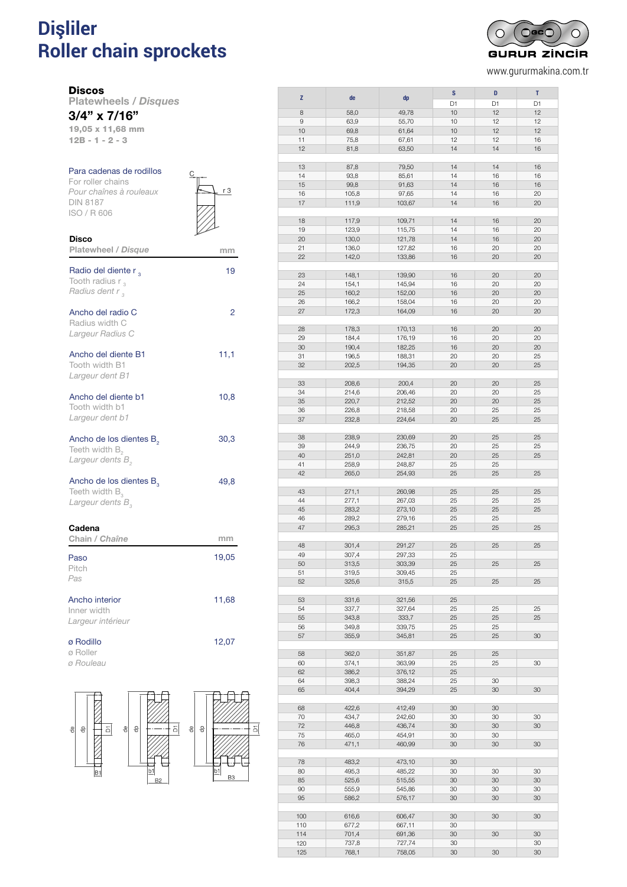### **Dişliler Roller chain sprockets** DISCOS PARA CADENAS DE RODILLOS DIN 8187 *Disques pour chaînes à rouleaux DIN 8187*



www.gururmakina.com.tr

Disco

Platewheels / *Disques* 3/4" x 7/16"

19,05 x 11,68 mm 12B - 1 - 2 - 3

| Para cadenas de rodillos |  |
|--------------------------|--|
| For roller chains        |  |
| Pour chaînes à rouleaux  |  |
| <b>DIN 8187</b>          |  |
| ISO/R606                 |  |
|                          |  |
|                          |  |

 $r3$ 

| <b>Platewheel / Disque</b>                                                                 | mm    |
|--------------------------------------------------------------------------------------------|-------|
| Radio del diente r,<br>Tooth radius $r_{3}$<br>Radius dent r <sub>3</sub>                  | 19    |
| Ancho del radio C<br>Radius width C<br>Largeur Radius C                                    | 2     |
| Ancho del diente B1<br>Tooth width B1<br>Largeur dent B1                                   | 11,1  |
| Ancho del diente b1<br>Tooth width b1<br>Largeur dent b1                                   | 10,8  |
| Ancho de los dientes B <sub>2</sub><br>Teeth width $B_{2}$<br>Largeur dents B <sub>2</sub> | 30,3  |
| Ancho de los dientes $B_a$<br>Teeth width $B_{\alpha}$<br>Largeur dents B <sub>2</sub>     | 49,8  |
| Cadena<br>Chain / Chaîne                                                                   | mm    |
| Paso<br>Pitch<br>Pas                                                                       | 19,05 |
| Ancho interior<br>Inner width<br>Largeur intérieur                                         | 11,68 |
| ø Rodillo                                                                                  | 12,07 |

ø Rodillo

ø Roller *ø Rouleau*



|                    |       |        | S  | D  | т  |
|--------------------|-------|--------|----|----|----|
| Z                  | de    | dp     |    |    |    |
|                    |       |        | D1 | D1 | D1 |
|                    |       |        |    |    |    |
| 8                  | 58,0  | 49,78  | 10 | 12 | 12 |
| $\hbox{ }^{\rm 9}$ | 63,9  | 55,70  | 10 | 12 | 12 |
| 10                 |       |        | 10 | 12 | 12 |
|                    | 69,8  | 61,64  |    |    |    |
| 11                 | 75,8  | 67,61  | 12 | 12 | 16 |
| 12                 | 81,8  | 63,50  | 14 | 14 | 16 |
|                    |       |        |    |    |    |
|                    |       |        |    |    |    |
| 13                 | 87,8  | 79,50  | 14 | 14 | 16 |
| 14                 | 93,8  |        | 14 | 16 | 16 |
|                    |       | 85,61  |    |    |    |
| 15                 | 99,8  | 91,63  | 14 | 16 | 16 |
| 16                 | 105,8 | 97,65  | 14 | 16 | 20 |
|                    |       |        |    |    |    |
| 17                 | 111,9 | 103,67 | 14 | 16 | 20 |
|                    |       |        |    |    |    |
| 18                 | 117,9 | 109,71 | 14 | 16 | 20 |
|                    |       |        |    |    |    |
| 19                 | 123,9 | 115,75 | 14 | 16 | 20 |
| 20                 | 130,0 | 121,78 | 14 | 16 | 20 |
|                    |       |        |    |    |    |
| 21                 | 136,0 | 127,82 | 16 | 20 | 20 |
| 22                 | 142,0 | 133,86 | 16 | 20 | 20 |
|                    |       |        |    |    |    |
|                    |       |        |    |    |    |
| 23                 | 148,1 | 139,90 | 16 | 20 | 20 |
| 24                 | 154,1 | 145,94 | 16 | 20 | 20 |
|                    |       |        |    |    |    |
| 25                 | 160,2 | 152,00 | 16 | 20 | 20 |
| 26                 | 166,2 | 158,04 | 16 | 20 | 20 |
| 27                 | 172,3 | 164,09 | 16 | 20 | 20 |
|                    |       |        |    |    |    |
|                    |       |        |    |    |    |
| 28                 | 178,3 | 170,13 | 16 | 20 | 20 |
|                    |       |        |    |    |    |
| 29                 | 184,4 | 176,19 | 16 | 20 | 20 |
| 30                 | 190,4 | 182,25 | 16 | 20 | 20 |
| 31                 | 196,5 | 188,31 | 20 | 20 | 25 |
|                    |       |        |    |    |    |
| 32                 | 202,5 | 194,35 | 20 | 20 | 25 |
|                    |       |        |    |    |    |
| 33                 |       |        | 20 | 20 | 25 |
|                    | 208,6 | 200,4  |    |    |    |
| 34                 | 214,6 | 206,46 | 20 | 20 | 25 |
| 35                 | 220,7 | 212,52 | 20 | 20 | 25 |
|                    |       |        |    |    |    |
| 36                 | 226,8 | 218,58 | 20 | 25 | 25 |
| 37                 | 232,8 | 224,64 | 20 | 25 | 25 |
|                    |       |        |    |    |    |
|                    |       |        |    |    |    |
| 38                 | 238,9 | 230,69 | 20 | 25 | 25 |
| 39                 | 244,9 | 236,75 | 20 | 25 | 25 |
| 40                 |       |        | 20 | 25 | 25 |
|                    | 251,0 | 242,81 |    |    |    |
| 41                 | 258,9 | 248,87 | 25 | 25 |    |
| 42                 | 265,0 | 254,93 | 25 | 25 | 25 |
|                    |       |        |    |    |    |
|                    |       |        |    |    |    |
| 43                 | 271,1 | 260,98 | 25 | 25 | 25 |
| 44                 | 277,1 | 267,03 | 25 | 25 | 25 |
|                    |       |        |    |    |    |
| 45                 | 283,2 | 273,10 | 25 | 25 | 25 |
| 46                 | 289,2 | 279,16 | 25 | 25 |    |
| 47                 | 295,3 | 285,21 | 25 | 25 | 25 |
|                    |       |        |    |    |    |
|                    |       |        |    |    |    |
| 48                 | 301,4 | 291,27 | 25 | 25 | 25 |
|                    |       |        |    |    |    |
| 49                 | 307,4 | 297,33 | 25 |    |    |
| 50                 | 313,5 | 303,39 | 25 | 25 | 25 |
| 51                 | 319,5 | 309,45 | 25 |    |    |
|                    |       |        |    |    |    |
| 52                 | 325,6 | 315,5  | 25 | 25 | 25 |
|                    |       |        |    |    |    |
| 53                 | 331,6 | 321,56 | 25 |    |    |
|                    |       |        |    |    |    |
| 54                 | 337,7 | 327,64 | 25 | 25 | 25 |
| 55                 | 343,8 | 333,7  | 25 | 25 | 25 |
| 56                 | 349,8 | 339,75 | 25 | 25 |    |
|                    |       |        |    |    |    |
| 57                 | 355,9 | 345,81 | 25 | 25 | 30 |
|                    |       |        |    |    |    |
| 58                 |       |        |    | 25 |    |
|                    | 362,0 | 351,87 | 25 |    |    |
| 60                 | 374,1 | 363,99 | 25 | 25 | 30 |
| 62                 | 386,2 | 376,12 | 25 |    |    |
|                    |       |        |    |    |    |
| 64                 | 398,3 | 388,24 | 25 | 30 |    |
| 65                 | 404,4 | 394,29 | 25 | 30 | 30 |
|                    |       |        |    |    |    |
|                    |       |        |    |    |    |
| 68                 | 422,6 | 412,49 | 30 | 30 |    |
| 70                 | 434,7 | 242,60 | 30 | 30 | 30 |
| 72                 | 446,8 | 436,74 | 30 | 30 | 30 |
|                    |       |        |    |    |    |
| 75                 | 465,0 | 454,91 | 30 | 30 |    |
| 76                 | 471,1 | 460,99 | 30 | 30 | 30 |
|                    |       |        |    |    |    |
|                    |       |        |    |    |    |
| 78                 | 483,2 | 473,10 | 30 |    |    |
| 80                 | 495,3 | 485,22 | 30 | 30 | 30 |
| 85                 | 525,6 | 515,55 | 30 | 30 | 30 |
|                    |       |        |    |    |    |
| 90                 | 555,9 | 545,86 | 30 | 30 | 30 |
| 95                 | 586,2 | 576,17 | 30 | 30 | 30 |
|                    |       |        |    |    |    |
|                    |       |        |    |    |    |
| 100                | 616,6 | 606,47 | 30 | 30 | 30 |
| 110                | 677,2 | 667,11 | 30 |    |    |
| 114                | 701,4 | 691,36 | 30 | 30 | 30 |
|                    |       |        |    |    |    |

120 737,8 727,74 30 30 125 768,1 758,05 30 30 30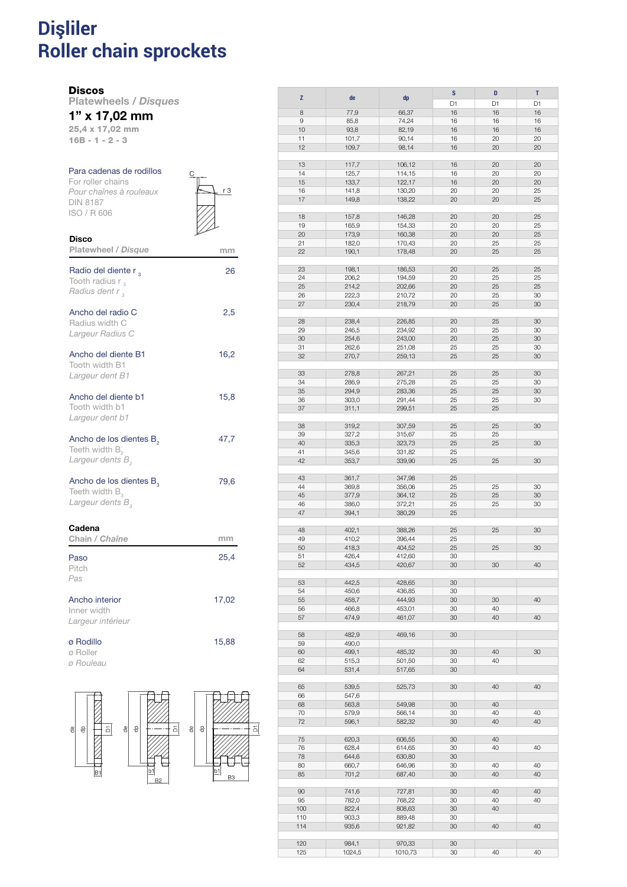### **Dişliler Roller chain sprockets** discos para cadenas de romanos e estados para cadenas de romanos e estados para cadenas de romanos e estados p *Disques pour chaînes à rouleaux DIN 8187*

#### **Discos**

Disco

Platewheels / *Disques*

## 1" x 17,02 mm

25,4 x 17,02 mm 16B - 1 - 2 - 3

### Para cadenas de rodillos

For roller chains *Pour chaînes à rouleaux* DIN 8187 ISO / R 606



| <b>Platewheel / Disque</b>                                                                 | mm    |
|--------------------------------------------------------------------------------------------|-------|
| Radio del diente r,<br>Tooth radius $r_{3}$<br>Radius dent r,                              | 26    |
| Ancho del radio C<br>Radius width C<br>Largeur Radius C                                    | 2,5   |
| Ancho del diente B1<br>Tooth width B1<br>Largeur dent B1                                   | 16,2  |
| Ancho del diente b1<br>Tooth width b1<br>Largeur dent b1                                   | 15,8  |
| Ancho de los dientes B <sub>2</sub><br>Teeth width $B_{2}$<br>Largeur dents B <sub>2</sub> | 47,7  |
| Ancho de los dientes $B_a$<br>Teeth width $B_{\alpha}$<br>Largeur dents B <sub>2</sub>     | 79,6  |
| Cadena<br>Chain / Chaîne                                                                   | mm    |
| Paso<br>Pitch<br>Pas                                                                       | 25,4  |
| Ancho interior<br>Inner width<br>Largeur intérieur                                         | 17,02 |
| ø Rodillo                                                                                  | 15,88 |

ø Roller

*ø Rouleau*



|                    |       |        | S              | D  | T  |
|--------------------|-------|--------|----------------|----|----|
| Z                  | de    | dp     |                |    |    |
|                    |       |        | D <sub>1</sub> | D1 | D1 |
| 8                  | 77,9  | 66,37  | 16             | 16 | 16 |
| $\hbox{ }^{\rm 9}$ | 85,8  | 74,24  | 16             | 16 | 16 |
| 10                 | 93,8  | 82,19  | 16             | 16 | 16 |
| 11                 | 101,7 | 90,14  | 16             | 20 | 20 |
| 12                 |       |        |                |    |    |
|                    | 109,7 | 98,14  | 16             | 20 | 20 |
|                    |       |        |                |    |    |
| 13                 | 117,7 | 106,12 | 16             | 20 | 20 |
| 14                 | 125,7 | 114,15 | 16             | 20 | 20 |
| 15                 | 133,7 | 122,17 | 16             | 20 | 20 |
| 16                 | 141,8 | 130,20 | 20             | 20 | 25 |
| 17                 | 149,8 | 138,22 | 20             | 20 | 25 |
|                    |       |        |                |    |    |
|                    |       |        |                |    |    |
| 18                 | 157,8 | 146,28 | 20             | 20 | 25 |
| 19                 | 165,9 | 154,33 | 20             | 20 | 25 |
| 20                 | 173,9 | 160,38 | 20             | 20 | 25 |
| 21                 | 182,0 | 170,43 | 20             | 25 | 25 |
| 22                 | 190,1 | 178,48 | 20             | 25 | 25 |
|                    |       |        |                |    |    |
|                    |       |        |                |    |    |
| 23                 | 198,1 | 186,53 | 20             | 25 | 25 |
| 24                 | 206,2 | 194,59 | 20             | 25 | 25 |
| 25                 | 214,2 | 202,66 | 20             | 25 | 25 |
| 26                 | 222,3 | 210,72 | 20             | 25 | 30 |
| 27                 | 230,4 | 218,79 | 20             | 25 | 30 |
|                    |       |        |                |    |    |
|                    |       |        |                |    |    |
| 28                 | 238,4 | 226,85 | 20             | 25 | 30 |
| 29                 | 246,5 | 234,92 | 20             | 25 | 30 |
| 30                 | 254,6 | 243,00 | 20             | 25 | 30 |
| 31                 | 262,6 | 251,08 | 25             | 25 | 30 |
| 32                 | 270,7 | 259,13 | 25             | 25 | 30 |
|                    |       |        |                |    |    |
| 33                 | 278,8 | 267,21 | 25             | 25 | 30 |
|                    |       |        |                |    |    |
| 34                 | 286,9 | 275,28 | 25             | 25 | 30 |
| 35                 | 294,9 | 283,36 | 25             | 25 | 30 |
| 36                 | 303,0 | 291,44 | 25             | 25 | 30 |
| 37                 | 311,1 | 299,51 | 25             | 25 |    |
|                    |       |        |                |    |    |
| 38                 | 319,2 |        | 25             | 25 | 30 |
|                    |       | 307,59 |                |    |    |
| 39                 | 327,2 | 315,67 | 25             | 25 |    |
| 40                 | 335,3 | 323,73 | 25             | 25 | 30 |
| 41                 | 345,6 | 331,82 | 25             |    |    |
| 42                 | 353,7 | 339,90 | 25             | 25 | 30 |
|                    |       |        |                |    |    |
| 43                 | 361,7 | 347,98 | 25             |    |    |
|                    |       |        |                |    |    |
| 44                 | 369,8 | 356,06 | 25             | 25 | 30 |
| 45                 | 377,9 | 364,12 | 25             | 25 | 30 |
| 46                 | 386,0 | 372,21 | 25             | 25 | 30 |
| 47                 | 394,1 | 380,29 | 25             |    |    |
|                    |       |        |                |    |    |
| 48                 | 402,1 | 388,26 | 25             | 25 | 30 |
| 49                 | 410,2 | 396,44 | 25             |    |    |
|                    |       |        |                |    |    |
| 50                 | 418,3 | 404,52 | 25             | 25 | 30 |
| 51                 | 426,4 | 412,60 | 30             |    |    |
| 52                 | 434,5 | 420,67 | 30             | 30 | 40 |
|                    |       |        |                |    |    |
| 53                 | 442,5 | 428,65 | 30             |    |    |
| 54                 | 450,6 | 436,85 | 30             |    |    |
|                    |       |        |                |    |    |
| 55                 | 458,7 | 444,93 | 30             | 30 | 40 |
| 56                 | 466,8 | 453,01 | 30             | 40 |    |
| 57                 | 474,9 | 461,07 | 30             | 40 | 40 |
|                    |       |        |                |    |    |
| 58                 | 482,9 | 469,16 | 30             |    |    |
| 59                 | 490,0 |        |                |    |    |
| 60                 | 499,1 | 485,32 | 30             | 40 | 30 |
|                    |       |        |                |    |    |
| 62                 | 515,3 | 501,50 | 30             | 40 |    |
| 64                 | 531,4 | 517,65 | 30             |    |    |
|                    |       |        |                |    |    |
| 65                 | 539,5 | 525,73 | 30             | 40 | 40 |
| 66                 | 547,6 |        |                |    |    |
| 68                 | 563,8 | 549,98 | 30             | 40 |    |
|                    |       |        |                |    | 40 |
| 70                 | 579,9 | 566,14 | 30             | 40 |    |
| 72                 | 596,1 | 582,32 | 30             | 40 | 40 |
|                    |       |        |                |    |    |
| 75                 | 620,3 | 606,55 | 30             | 40 |    |
| 76                 | 628,4 | 614,65 | 30             | 40 | 40 |
| 78                 | 644,6 | 630,80 | 30             |    |    |
|                    |       |        |                |    |    |
| 80                 | 660,7 | 646,96 | 30             | 40 | 40 |
| 85                 | 701,2 | 687,40 | 30             | 40 | 40 |
|                    |       |        |                |    |    |
| 90                 | 741,6 | 727,81 | 30             | 40 | 40 |
| 95                 | 782,0 | 768,22 | 30             | 40 | 40 |
| 100                | 822,4 | 808,63 | 30             | 40 |    |
| 110                | 903,3 | 889,48 | 30             |    |    |
| 114                | 935,6 | 921,82 | 30             | 40 | 40 |
|                    |       |        |                |    |    |
|                    |       |        |                |    |    |
| 120                | 984,1 | 970,33 | 30             |    |    |

125 634,1 616,88 63<br>125 1024,5 1010,73 30 40 40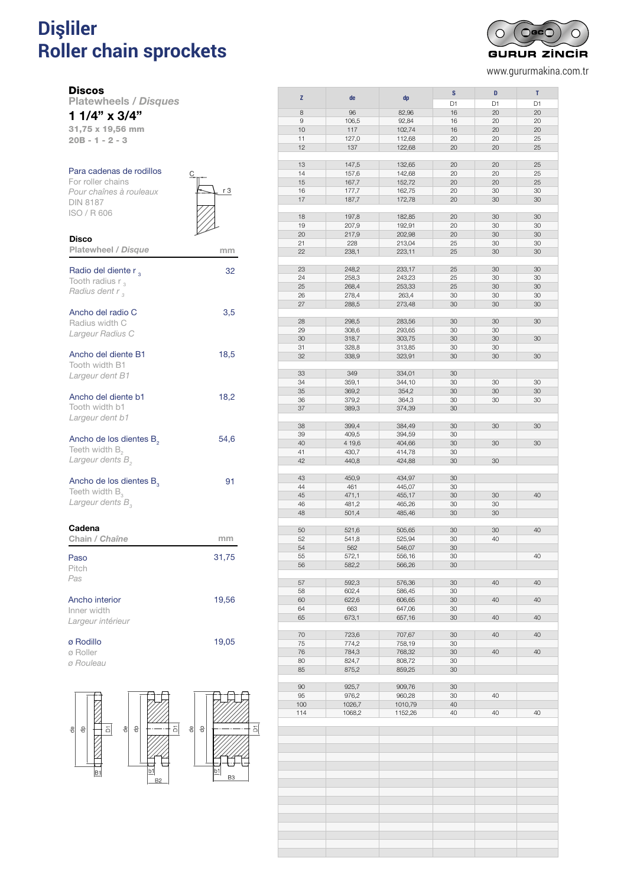# **Dişliler** <sup>114</sup> DISCOS PARA CADENAS DE RODILLOS DIN 8187 **Roller chain sprockets** *Disques pour chaînes à rouleaux DIN 8187*



www.gururmakina.com.tr

#### **Discos**

Disco

Platewheels / *Disques* 1 1/4" x 3/4"

31,75 x 19,56 mm 20B - 1 - 2 - 3

## Para cadenas de rodillos

For roller chains *Pour chaînes à rouleaux* DIN 8187 ISO / R 606



| <b>Platewheel / Disque</b>                                                                      | mm    |
|-------------------------------------------------------------------------------------------------|-------|
| Radio del diente r,<br>Tooth radius $r_{3}$<br>Radius dent r,                                   | 32    |
| Ancho del radio C<br>Radius width C<br>Largeur Radius C                                         | 3,5   |
| Ancho del diente B1<br>Tooth width B1<br>Largeur dent B1                                        | 18,5  |
| Ancho del diente b1<br>Tooth width b1<br>Largeur dent b1                                        | 18,2  |
| Ancho de los dientes B <sub>2</sub><br>Teeth width $B_{2}$<br>Largeur dents B <sub>2</sub>      | 54,6  |
| Ancho de los dientes B <sub>2</sub><br>Teeth width $B_{\alpha}$<br>Largeur dents B <sub>2</sub> | 91    |
| Cadena<br>Chain / Chaîne                                                                        | mm    |
| Paso<br>Pitch<br>Pas                                                                            | 31,75 |
| Ancho interior<br>Inner width<br>Largeur intérieur                                              | 19,56 |
| ø Rodillo                                                                                       | 19,05 |

ø Roller

*ø Rouleau*



| z                  | de     |         | S              | D              | T  |
|--------------------|--------|---------|----------------|----------------|----|
|                    |        | dp      | D <sub>1</sub> | D <sub>1</sub> | D1 |
| 8                  | 96     | 82,96   | 16             | 20             | 20 |
| $\hbox{ }^{\rm 9}$ | 106,5  | 92,84   | 16             | 20             | 20 |
| 10                 | 117    | 102,74  | 16             | 20             | 20 |
| 11                 | 127,0  | 112,68  | 20             | 20             | 25 |
| 12                 |        |         |                |                |    |
|                    | 137    | 122,68  | 20             | 20             | 25 |
|                    |        |         |                |                |    |
| 13                 | 147,5  | 132,65  | 20             | 20             | 25 |
| 14                 | 157,6  | 142,68  | 20             | 20             | 25 |
| 15                 | 167,7  | 152,72  | 20             | 20             | 25 |
| 16                 | 177,7  | 162,75  | 20             | 30             | 30 |
| 17                 | 187,7  | 172,78  | 20             | 30             | 30 |
|                    |        |         |                |                |    |
| 18                 | 197,8  | 182,85  | 20             | 30             | 30 |
| 19                 | 207,9  | 192,91  | 20             | 30             | 30 |
| 20                 | 217,9  | 202,98  | 20             | 30             | 30 |
| 21                 | 228    | 213,04  | 25             | 30             | 30 |
| 22                 | 238,1  | 223,11  | 25             | 30             | 30 |
|                    |        |         |                |                |    |
| 23                 | 248,2  | 233,17  | 25             | 30             | 30 |
| 24                 | 258,3  | 243,23  | 25             | 30             | 30 |
| 25                 | 268,4  | 253,33  | 25             | 30             | 30 |
| 26                 | 278,4  | 263,4   | 30             | 30             | 30 |
| 27                 | 288,5  | 273,48  | 30             | 30             | 30 |
|                    |        |         |                |                |    |
| 28                 | 298,5  | 283,56  | 30             | 30             | 30 |
| 29                 | 308,6  | 293,65  | 30             | 30             |    |
| 30                 | 318,7  | 303,75  | 30             | 30             | 30 |
| 31                 |        |         | 30             | 30             |    |
|                    | 328,8  | 313,85  |                |                |    |
| 32                 | 338,9  | 323,91  | 30             | 30             | 30 |
|                    |        |         |                |                |    |
| 33                 | 349    | 334,01  | 30             |                |    |
| 34                 | 359,1  | 344,10  | 30             | 30             | 30 |
| 35                 | 369,2  | 354,2   | 30             | 30             | 30 |
| 36                 | 379,2  | 364,3   | 30             | 30             | 30 |
| 37                 | 389,3  | 374,39  | 30             |                |    |
|                    |        |         |                |                |    |
| 38                 | 399,4  | 384,49  | 30             | 30             | 30 |
| 39                 | 409,5  | 394,59  | 30             |                |    |
| 40                 | 4 19,6 | 404,66  | 30             | 30             | 30 |
| 41                 | 430,7  | 414,78  | 30             |                |    |
| 42                 | 440,8  | 424,88  | 30             | 30             |    |
|                    |        |         |                |                |    |
| 43                 | 450,9  | 434,97  | 30             |                |    |
| 44                 | 461    | 445,07  | 30             |                |    |
| 45                 | 471,1  | 455,17  | 30             | 30             | 40 |
| 46                 | 481,2  | 465,26  | 30             | 30             |    |
| 48                 | 501,4  | 485,46  | 30             | 30             |    |
|                    |        |         |                |                |    |
| 50                 | 521,6  | 505,65  | 30             | 30             | 40 |
| 52                 | 541,8  | 525,94  | 30             | 40             |    |
| 54                 | 562    | 546,07  | 30             |                |    |
| 55                 | 572.1  | 556.16  | 30             |                | 40 |
| 56                 | 582,2  | 566,26  | 30             |                |    |
|                    |        |         |                |                |    |
| 57                 | 592,3  | 576,36  | 30             | 40             | 40 |
| 58                 | 602,4  | 586,45  | 30             |                |    |
| 60                 | 622,6  | 606,65  | 30             | 40             | 40 |
| 64                 | 663    | 647,06  | 30             |                |    |
| 65                 | 673,1  | 657,16  | 30             | 40             | 40 |
|                    |        |         |                |                |    |
| 70                 | 723,6  | 707,67  | 30             | 40             | 40 |
| 75                 | 774,2  | 758,19  | 30             |                |    |
| 76                 | 784,3  | 768,32  | 30             | 40             | 40 |
| 80                 | 824,7  | 808,72  | 30             |                |    |
| 85                 | 875,2  | 859,25  | 30             |                |    |
|                    |        |         |                |                |    |
| 90                 | 925,7  | 909,76  | 30             |                |    |
| 95                 | 976,2  | 960,28  | 30             | 40             |    |
| 100                | 1026,7 | 1010,79 | 40             |                |    |
| 114                | 1068,2 | 1152,26 | 40             | 40             | 40 |
|                    |        |         |                |                |    |
|                    |        |         |                |                |    |
|                    |        |         |                |                |    |
|                    |        |         |                |                |    |
|                    |        |         |                |                |    |
|                    |        |         |                |                |    |
|                    |        |         |                |                |    |
|                    |        |         |                |                |    |
|                    |        |         |                |                |    |
|                    |        |         |                |                |    |
|                    |        |         |                |                |    |
|                    |        |         |                |                |    |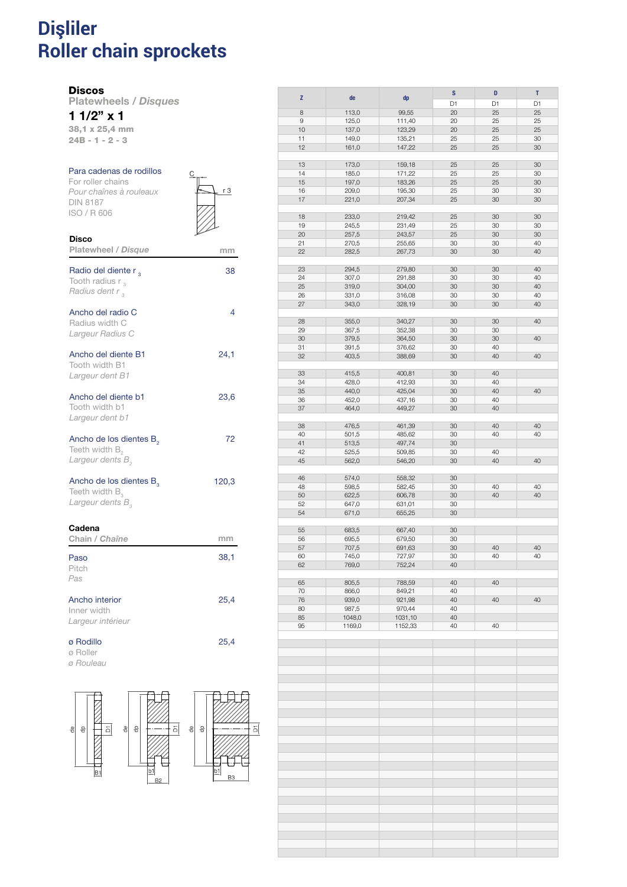### **Dişliler Roller chain sprockets** discos para cadenas de romanos e estados para cadenas de romanos e estados para cadenas de romanos e estados p *Disques pour chaînes à rouleaux DIN 8187*

### **Discos**

Disco

Platewheels / *Disques*

1 1/2" x 1 38,1 x 25,4 mm

24B - 1 - 2 - 3

## Para cadenas de rodillos

For roller chains *Pour chaînes à rouleaux* DIN 8187 ISO / R 606



| <b>Platewheel / Disque</b>                                                                        | mm    |
|---------------------------------------------------------------------------------------------------|-------|
| Radio del diente r,<br>Tooth radius $r_{3}$<br>Radius dent r,                                     | 38    |
| Ancho del radio C<br>Radius width C<br>Largeur Radius C                                           | 4     |
| Ancho del diente B1<br>Tooth width B1<br>Largeur dent B1                                          | 24,1  |
| Ancho del diente b1<br>Tooth width b1<br>Largeur dent b1                                          | 23,6  |
| Ancho de los dientes B <sub>2</sub><br>Teeth width B <sub>2</sub><br>Largeur dents B <sub>2</sub> | 72    |
| Ancho de los dientes B <sub>2</sub><br>Teeth width $B_{3}$<br>Largeur dents B <sub>3</sub>        | 120,3 |
| Cadena<br>Chain / Chaîne                                                                          | mm    |
| Paso<br>Pitch<br>Pas                                                                              | 38,1  |
| Ancho interior<br>Inner width<br>Largeur intérieur                                                | 25,4  |
| ø Rodillo                                                                                         | 25,4  |

ø Roller

*ø Rouleau*



|    |        |         | S              | D              | T  |
|----|--------|---------|----------------|----------------|----|
| Z  | de     | dp      |                |                |    |
|    |        |         | D <sub>1</sub> | D <sub>1</sub> | D1 |
| 8  | 113,0  | 99,55   | 20             | 25             | 25 |
|    |        |         | 20             |                |    |
| 9  | 125,0  | 111,40  |                | 25             | 25 |
| 10 | 137,0  | 123,29  | 20             | 25             | 25 |
| 11 | 149,0  | 135,21  | 25             | 25             | 30 |
| 12 | 161,0  | 147,22  | 25             | 25             | 30 |
|    |        |         |                |                |    |
|    |        |         |                |                |    |
| 13 | 173,0  | 159,18  | 25             | 25             | 30 |
| 14 | 185,0  | 171,22  | 25             | 25             | 30 |
| 15 | 197,0  | 183,26  | 25             | 25             | 30 |
|    |        |         |                |                |    |
| 16 | 209,0  | 195,30  | 25             | 30             | 30 |
| 17 | 221,0  | 207,34  | 25             | 30             | 30 |
|    |        |         |                |                |    |
| 18 | 233,0  | 219,42  | 25             | 30             | 30 |
|    |        |         |                |                |    |
| 19 | 245,5  | 231,49  | 25             | 30             | 30 |
| 20 | 257,5  | 243,57  | 25             | 30             | 30 |
| 21 | 270,5  | 255,65  | 30             | 30             | 40 |
|    |        |         |                |                |    |
| 22 | 282,5  | 267,73  | 30             | 30             | 40 |
|    |        |         |                |                |    |
| 23 | 294,5  | 279,80  | 30             | 30             | 40 |
| 24 | 307,0  | 291,88  | 30             | 30             | 40 |
|    |        |         |                |                |    |
| 25 | 319,0  | 304,00  | 30             | 30             | 40 |
| 26 | 331,0  | 316,08  | 30             | 30             | 40 |
| 27 | 343,0  | 328,19  | 30             | 30             | 40 |
|    |        |         |                |                |    |
|    |        |         |                |                |    |
| 28 | 355,0  | 340,27  | 30             | 30             | 40 |
| 29 | 367,5  | 352,38  | 30             | 30             |    |
| 30 |        |         | 30             | 30             | 40 |
|    | 379,5  | 364,50  |                |                |    |
| 31 | 391,5  | 376,62  | 30             | 40             |    |
| 32 | 403,5  | 388,69  | 30             | 40             | 40 |
|    |        |         |                |                |    |
|    |        |         |                |                |    |
| 33 | 415,5  | 400,81  | 30             | 40             |    |
| 34 | 428,0  | 412,93  | 30             | 40             |    |
| 35 | 440,0  | 425,04  | 30             | 40             | 40 |
|    |        |         |                |                |    |
| 36 | 452,0  | 437,16  | 30             | 40             |    |
| 37 | 464,0  | 449,27  | 30             | 40             |    |
|    |        |         |                |                |    |
| 38 | 476,5  | 461,39  | 30             | 40             | 40 |
|    |        |         |                |                |    |
| 40 | 501,5  | 485,62  | 30             | 40             | 40 |
| 41 | 513,5  | 497,74  | 30             |                |    |
| 42 | 525,5  | 509,85  | 30             | 40             |    |
|    |        |         |                |                |    |
| 45 | 562,0  | 546,20  | 30             | 40             | 40 |
|    |        |         |                |                |    |
| 46 | 574,0  | 558,32  | 30             |                |    |
| 48 | 598,5  | 582,45  | 30             | 40             | 40 |
|    |        |         |                |                |    |
| 50 | 622,5  | 606,78  | 30             | 40             | 40 |
| 52 | 647,0  | 631,01  | 30             |                |    |
| 54 | 671,0  | 655,25  | 30             |                |    |
|    |        |         |                |                |    |
|    |        |         |                |                |    |
| 55 | 683,5  | 667,40  | 30             |                |    |
| 56 | 695,5  | 679,50  | 30             |                |    |
|    |        |         |                |                |    |
| 57 | 707,5  | 691,63  | 30             | 40             | 40 |
| 60 | 745,0  | 727,97  | 30             | 40             | 40 |
| 62 | 769,0  | 752,24  | 40             |                |    |
|    |        |         |                |                |    |
|    |        |         |                |                |    |
| 65 | 805,5  | 788,59  | 40             | 40             |    |
| 70 | 866,0  | 849,21  | 40             |                |    |
| 76 | 939,0  | 921,98  | 40             | 40             | 40 |
|    |        |         |                |                |    |
| 80 | 987,5  | 970,44  | 40             |                |    |
| 85 | 1048,0 | 1031,10 | 40             |                |    |
| 95 | 1169,0 | 1152,33 | 40             | 40             |    |
|    |        |         |                |                |    |
|    |        |         |                |                |    |
|    |        |         |                |                |    |
|    |        |         |                |                |    |
|    |        |         |                |                |    |
|    |        |         |                |                |    |
|    |        |         |                |                |    |
|    |        |         |                |                |    |
|    |        |         |                |                |    |
|    |        |         |                |                |    |
|    |        |         |                |                |    |
|    |        |         |                |                |    |
|    |        |         |                |                |    |
|    |        |         |                |                |    |
|    |        |         |                |                |    |
|    |        |         |                |                |    |
|    |        |         |                |                |    |
|    |        |         |                |                |    |
|    |        |         |                |                |    |
|    |        |         |                |                |    |
|    |        |         |                |                |    |
|    |        |         |                |                |    |
|    |        |         |                |                |    |
|    |        |         |                |                |    |
|    |        |         |                |                |    |
|    |        |         |                |                |    |
|    |        |         |                |                |    |
|    |        |         |                |                |    |
|    |        |         |                |                |    |
|    |        |         |                |                |    |
|    |        |         |                |                |    |
|    |        |         |                |                |    |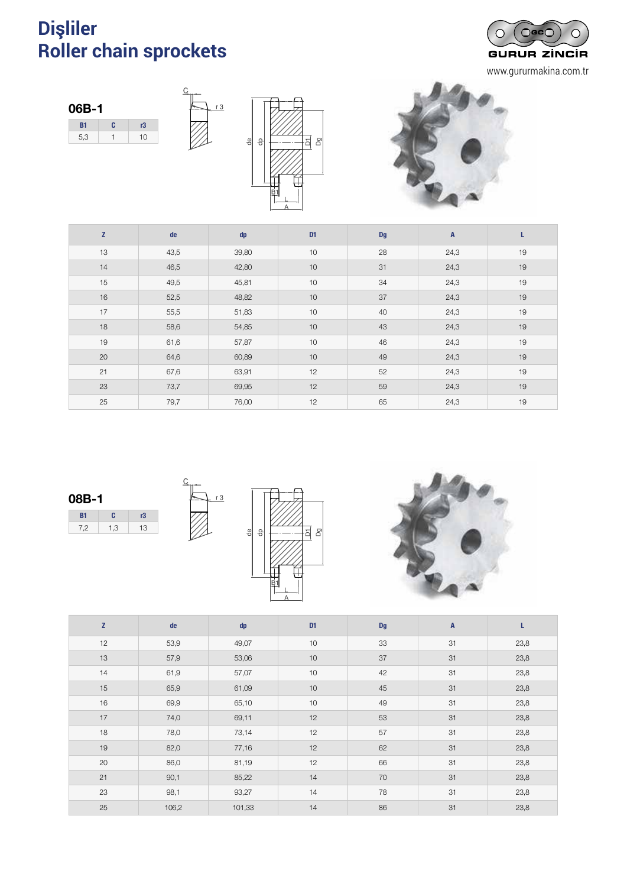# **Dişliler** DISCOS DOBLES PARA DOS CADENAS SIMPLES - DIN 8187 **Roller chain sprockets** *Disques doubles pour deux chaînes simples - DIN 8187*



www.gururmakina.com.tr





 $r3$ 



| Z  | de   | dp    | D <sub>1</sub> | <b>Dg</b> | $\mathbf{A}$ | L  |
|----|------|-------|----------------|-----------|--------------|----|
| 13 | 43,5 | 39,80 | 10             | 28        | 24,3         | 19 |
| 14 | 46,5 | 42,80 | 10             | 31        | 24,3         | 19 |
| 15 | 49,5 | 45,81 | 10             | 34        | 24,3         | 19 |
| 16 | 52,5 | 48,82 | 10             | 37        | 24,3         | 19 |
| 17 | 55,5 | 51,83 | 10             | 40        | 24,3         | 19 |
| 18 | 58,6 | 54,85 | 10             | 43        | 24,3         | 19 |
| 19 | 61,6 | 57,87 | 10             | 46        | 24,3         | 19 |
| 20 | 64,6 | 60,89 | 10             | 49        | 24,3         | 19 |
| 21 | 67,6 | 63,91 | 12             | 52        | 24,3         | 19 |
| 23 | 73,7 | 69,95 | 12             | 59        | 24,3         | 19 |
| 25 | 79,7 | 76,00 | 12             | 65        | 24,3         | 19 |

08B-1 B1 C r3 7,2 1,3 13







| Z  | de    | dp     | D <sub>1</sub> | <b>Dg</b> | A  | L    |
|----|-------|--------|----------------|-----------|----|------|
| 12 | 53,9  | 49,07  | 10             | 33        | 31 | 23,8 |
| 13 | 57,9  | 53,06  | 10             | 37        | 31 | 23,8 |
| 14 | 61,9  | 57,07  | 10             | 42        | 31 | 23,8 |
| 15 | 65,9  | 61,09  | 10             | 45        | 31 | 23,8 |
| 16 | 69,9  | 65,10  | 10             | 49        | 31 | 23,8 |
| 17 | 74,0  | 69,11  | 12             | 53        | 31 | 23,8 |
| 18 | 78,0  | 73,14  | 12             | 57        | 31 | 23,8 |
| 19 | 82,0  | 77,16  | 12             | 62        | 31 | 23,8 |
| 20 | 86,0  | 81,19  | 12             | 66        | 31 | 23,8 |
| 21 | 90,1  | 85,22  | 14             | 70        | 31 | 23,8 |
| 23 | 98,1  | 93,27  | 14             | 78        | 31 | 23,8 |
| 25 | 106,2 | 101,33 | 14             | 86        | 31 | 23,8 |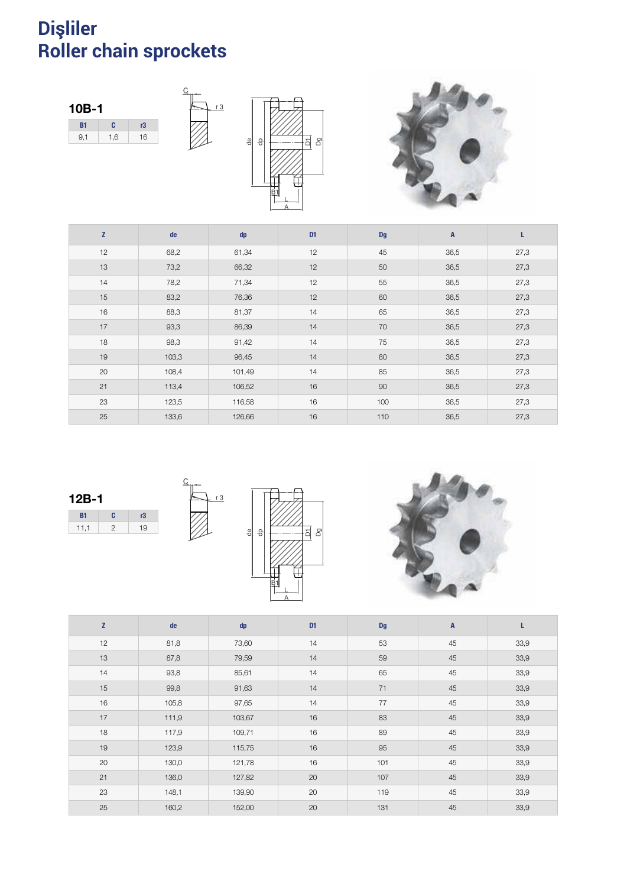#### **Dişliler Roller chain sprockets** DISCOS DOBLES PARA DOS CADENAS SIMPLES - DIN 8187 <sup>117</sup>  $\alpha$ *Disques doubles pour deux chaînes simples - DIN 8187*



| Z  | de    | dp     | D <sub>1</sub> | <b>Dg</b> | $\overline{A}$ | L    |
|----|-------|--------|----------------|-----------|----------------|------|
| 12 | 68,2  | 61,34  | 12             | 45        | 36,5           | 27,3 |
| 13 | 73,2  | 66,32  | 12             | 50        | 36,5           | 27,3 |
| 14 | 78,2  | 71,34  | 12             | 55        | 36,5           | 27,3 |
| 15 | 83,2  | 76,36  | 12             | 60        | 36,5           | 27,3 |
| 16 | 88,3  | 81,37  | 14             | 65        | 36,5           | 27,3 |
| 17 | 93,3  | 86,39  | 14             | 70        | 36,5           | 27,3 |
| 18 | 98,3  | 91,42  | 14             | 75        | 36,5           | 27,3 |
| 19 | 103,3 | 96,45  | 14             | 80        | 36,5           | 27,3 |
| 20 | 108,4 | 101,49 | 14             | 85        | 36,5           | 27,3 |
| 21 | 113,4 | 106,52 | 16             | 90        | 36,5           | 27,3 |
| 23 | 123,5 | 116,58 | 16             | 100       | 36,5           | 27,3 |
| 25 | 133,6 | 126,66 | 16             | 110       | 36,5           | 27,3 |







| Z  | de    | dp     | D <sub>1</sub> | <b>Dg</b> | $\mathsf{A}$ | L    |
|----|-------|--------|----------------|-----------|--------------|------|
| 12 | 81,8  | 73,60  | 14             | 53        | 45           | 33,9 |
| 13 | 87,8  | 79,59  | 14             | 59        | 45           | 33,9 |
| 14 | 93,8  | 85,61  | 14             | 65        | 45           | 33,9 |
| 15 | 99,8  | 91,63  | 14             | 71        | 45           | 33,9 |
| 16 | 105,8 | 97,65  | 14             | 77        | 45           | 33,9 |
| 17 | 111,9 | 103,67 | 16             | 83        | 45           | 33,9 |
| 18 | 117,9 | 109,71 | 16             | 89        | 45           | 33,9 |
| 19 | 123,9 | 115,75 | 16             | 95        | 45           | 33,9 |
| 20 | 130,0 | 121,78 | 16             | 101       | 45           | 33,9 |
| 21 | 136,0 | 127,82 | 20             | 107       | 45           | 33,9 |
| 23 | 148,1 | 139,90 | 20             | 119       | 45           | 33,9 |
| 25 | 160,2 | 152,00 | 20             | 131       | 45           | 33,9 |

 $\frac{1}{10}$  or

T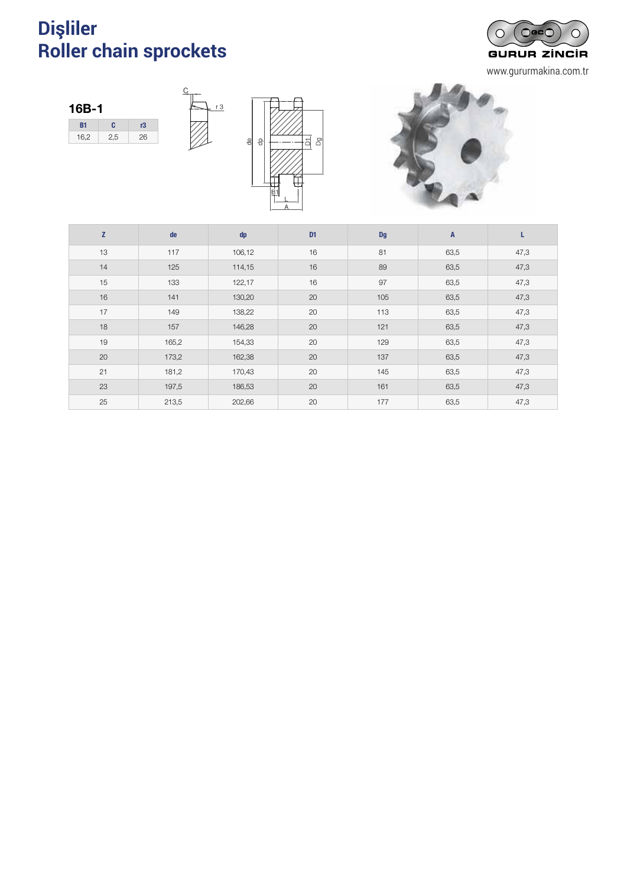# **Dişliler** <sup>118</sup> DISCOS DOBLES PARA DOS CADENAS SIMPLES - DIN 8187 **Roller chain sprockets** *Disques doubles pour deux chaînes simples - DIN 8187*



www.gururmakina.com.tr





 $r3$ 



| $\mathbf{Z}$ | de    | dp     | D <sub>1</sub> | <b>Dg</b> | $\overline{A}$ | L    |
|--------------|-------|--------|----------------|-----------|----------------|------|
| 13           | 117   | 106,12 | 16             | 81        | 63,5           | 47,3 |
| 14           | 125   | 114,15 | 16             | 89        | 63,5           | 47,3 |
| 15           | 133   | 122,17 | 16             | 97        | 63,5           | 47,3 |
| 16           | 141   | 130,20 | 20             | 105       | 63,5           | 47,3 |
| 17           | 149   | 138,22 | 20             | 113       | 63,5           | 47,3 |
| 18           | 157   | 146,28 | 20             | 121       | 63,5           | 47,3 |
| 19           | 165,2 | 154,33 | 20             | 129       | 63,5           | 47,3 |
| 20           | 173,2 | 162,38 | 20             | 137       | 63,5           | 47,3 |
| 21           | 181,2 | 170,43 | 20             | 145       | 63,5           | 47,3 |
| 23           | 197,5 | 186,53 | 20             | 161       | 63,5           | 47,3 |
| 25           | 213,5 | 202,66 | 20             | 177       | 63,5           | 47,3 |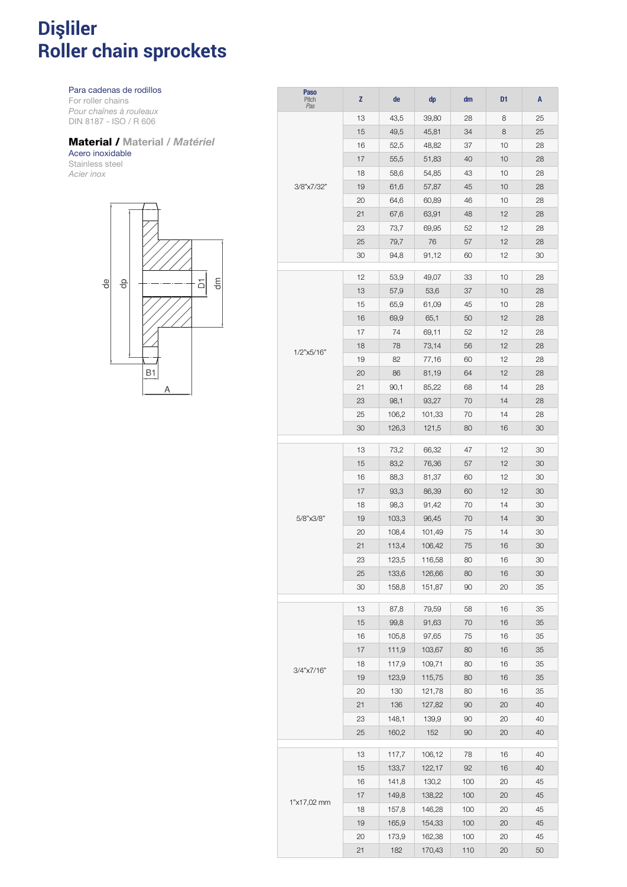### **Dişliler Roller chain sprockets** 119 PIÑONES DE ACERO INOXIDA EL CERCA EL CERCA EL CERCA EL CERCA EL CERCA EL CERCA EL CERCA EL CERCA EL CERCA *Pignons acier inox*

Para cadenas de rodillos

For roller chains *Pour chaînes à rouleaux* DIN 8187 - ISO / R 606

## Material / Material */ Matériel*

#### Acero inoxidable Stainless steel

*Acier inox*



| <b>Paso</b><br>Pitch<br>Pas | z  | de    | dp     | dm  | D <sub>1</sub> | A  |
|-----------------------------|----|-------|--------|-----|----------------|----|
|                             | 13 | 43,5  | 39,80  | 28  | 8              | 25 |
|                             | 15 | 49,5  | 45,81  | 34  | 8              | 25 |
|                             | 16 | 52,5  | 48,82  | 37  | 10             | 28 |
|                             | 17 | 55,5  | 51,83  | 40  | 10             | 28 |
|                             | 18 | 58,6  | 54,85  | 43  | 10             | 28 |
| 3/8"x7/32"                  | 19 | 61,6  | 57,87  | 45  | 10             | 28 |
|                             | 20 | 64,6  | 60,89  | 46  | 10             | 28 |
|                             | 21 | 67,6  | 63,91  | 48  | 12             | 28 |
|                             | 23 | 73,7  | 69,95  | 52  | 12             | 28 |
|                             | 25 | 79,7  | 76     | 57  | 12             | 28 |
|                             | 30 | 94,8  | 91,12  | 60  | 12             | 30 |
|                             |    |       |        |     |                |    |
|                             | 12 | 53,9  | 49,07  | 33  | 10             | 28 |
|                             | 13 | 57,9  | 53,6   | 37  | 10             | 28 |
|                             | 15 | 65,9  | 61,09  | 45  | 10             | 28 |
|                             | 16 | 69,9  | 65,1   | 50  | 12             | 28 |
|                             | 17 | 74    | 69,11  | 52  | 12             | 28 |
| 1/2"x5/16"                  | 18 | 78    | 73,14  | 56  | 12             | 28 |
|                             | 19 | 82    | 77,16  | 60  | 12             | 28 |
|                             | 20 | 86    | 81,19  | 64  | 12             | 28 |
|                             | 21 | 90,1  | 85,22  | 68  | 14             | 28 |
|                             | 23 | 98,1  | 93,27  | 70  | 14             | 28 |
|                             | 25 | 106,2 | 101,33 | 70  | 14             | 28 |
|                             | 30 | 126,3 | 121,5  | 80  | 16             | 30 |
|                             | 13 | 73,2  | 66,32  | 47  | 12             | 30 |
|                             | 15 | 83,2  | 76,36  | 57  | 12             | 30 |
|                             | 16 | 88,3  | 81,37  | 60  | 12             | 30 |
|                             | 17 | 93,3  | 86,39  | 60  | 12             | 30 |
|                             | 18 | 98,3  | 91,42  | 70  | 14             | 30 |
| 5/8"x3/8"                   | 19 | 103,3 | 96,45  | 70  | 14             | 30 |
|                             | 20 | 108,4 | 101,49 | 75  | 14             | 30 |
|                             | 21 | 113,4 | 106,42 | 75  | 16             | 30 |
|                             | 23 | 123,5 | 116,58 | 80  | 16             | 30 |
|                             | 25 | 133,6 | 126,66 | 80  | 16             | 30 |
|                             | 30 | 158,8 | 151,87 | 90  | 20             | 35 |
|                             | 13 | 87,8  | 79,59  | 58  | 16             | 35 |
|                             | 15 | 99,8  | 91,63  | 70  | 16             | 35 |
|                             | 16 | 105,8 | 97,65  | 75  | 16             | 35 |
|                             | 17 | 111,9 | 103,67 | 80  | 16             | 35 |
|                             | 18 | 117,9 | 109,71 | 80  | 16             | 35 |
| 3/4"x7/16"                  | 19 | 123,9 | 115,75 | 80  | 16             | 35 |
|                             | 20 | 130   | 121,78 | 80  | 16             | 35 |
|                             | 21 | 136   | 127,82 | 90  | 20             | 40 |
|                             | 23 | 148,1 | 139,9  | 90  | 20             | 40 |
|                             | 25 | 160,2 | 152    | 90  | 20             | 40 |
|                             | 13 | 117,7 | 106,12 | 78  | 16             | 40 |
|                             | 15 | 133,7 | 122,17 | 92  | 16             | 40 |
|                             | 16 | 141,8 | 130,2  | 100 | 20             | 45 |
|                             | 17 | 149,8 | 138,22 | 100 | 20             | 45 |
| 1"x17,02 mm                 | 18 | 157,8 | 146,28 | 100 | 20             | 45 |
|                             | 19 | 165,9 | 154,33 | 100 | 20             | 45 |
|                             | 20 | 173,9 | 162,38 | 100 | 20             | 45 |
|                             | 21 | 182   | 170,43 | 110 | 20             | 50 |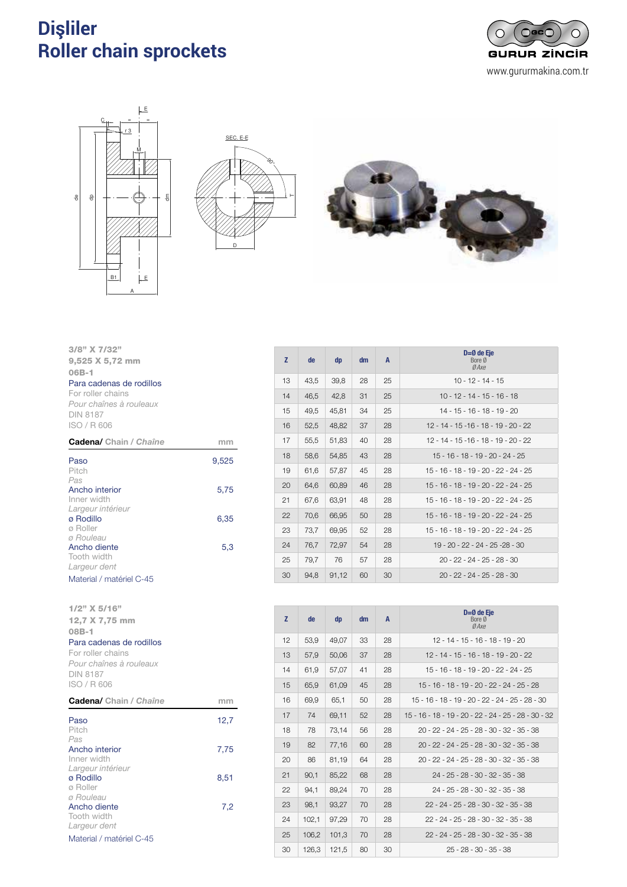#### **Dişliler Roller chain sprockets** 120 PIÑONES CON EJE MECANIZADO Y DIENTES TRATADOS E ELECTRONIZADO Y DIENTES TRATADOS E ELECTRONIZADO Y DIENTES Por aboin anyon Finding bore sprockets with induction  $\mathbf s$









| $3/8$ " X 7/32"<br>9,525 X 5,72 mm<br>$06B-1$<br>Para cadenas de rodillos<br>For roller chains<br>Pour chaînes à rouleaux<br><b>DIN 8187</b><br>ISO / R 606 |       |
|-------------------------------------------------------------------------------------------------------------------------------------------------------------|-------|
| <b>Cadena/</b> Chain / Chaîne                                                                                                                               | mm    |
| Paso<br>Pitch                                                                                                                                               | 9,525 |
| Pas<br>Ancho interior<br>Inner width                                                                                                                        | 5,75  |
| Largeur intérieur<br>ø Rodillo<br>ø Roller                                                                                                                  | 6,35  |
| ø Rouleau<br>Ancho diente<br>Tooth width<br>Largeur dent                                                                                                    | 5,3   |
| Material / matériel C-45                                                                                                                                    |       |

| $1/2$ " X 5/16"<br>12,7 X 7,75 mm<br>$08B-1$<br>Para cadenas de rodillos<br>For roller chains<br>Pour chaînes à rouleaux<br><b>DIN 8187</b><br>ISO / R 606 |      |
|------------------------------------------------------------------------------------------------------------------------------------------------------------|------|
| <b>Cadena/</b> Chain / Chaîne                                                                                                                              | mm   |
| Paso<br>Pitch                                                                                                                                              | 12,7 |
| Pas<br>Ancho interior<br>Inner width                                                                                                                       | 7,75 |
| Largeur intérieur<br>ø Rodillo<br>ø Roller                                                                                                                 | 8,51 |
| ø Rouleau<br>Ancho diente<br>Tooth width<br>Largeur dent                                                                                                   | 7,2  |
| Material / matériel C-45                                                                                                                                   |      |

| z  | de   | dp    | dm | A  | $D=0$ de Eje<br>Bore Ø<br>Ø Axe         |
|----|------|-------|----|----|-----------------------------------------|
| 13 | 43,5 | 39,8  | 28 | 25 | $10 - 12 - 14 - 15$                     |
| 14 | 46,5 | 42,8  | 31 | 25 | $10 - 12 - 14 - 15 - 16 - 18$           |
| 15 | 49,5 | 45,81 | 34 | 25 | $14 - 15 - 16 - 18 - 19 - 20$           |
| 16 | 52,5 | 48,82 | 37 | 28 | $12 - 14 - 15 - 16 - 18 - 19 - 20 - 22$ |
| 17 | 55,5 | 51,83 | 40 | 28 | $12 - 14 - 15 - 16 - 18 - 19 - 20 - 22$ |
| 18 | 58,6 | 54.85 | 43 | 28 | 15 - 16 - 18 - 19 - 20 - 24 - 25        |
| 19 | 61,6 | 57,87 | 45 | 28 | $15 - 16 - 18 - 19 - 20 - 22 - 24 - 25$ |
| 20 | 64,6 | 60,89 | 46 | 28 | 15 - 16 - 18 - 19 - 20 - 22 - 24 - 25   |
| 21 | 67,6 | 63,91 | 48 | 28 | 15 - 16 - 18 - 19 - 20 - 22 - 24 - 25   |
| 22 | 70,6 | 66,95 | 50 | 28 | $15 - 16 - 18 - 19 - 20 - 22 - 24 - 25$ |
| 23 | 73,7 | 69,95 | 52 | 28 | 15 - 16 - 18 - 19 - 20 - 22 - 24 - 25   |
| 24 | 76.7 | 72,97 | 54 | 28 | 19 - 20 - 22 - 24 - 25 -28 - 30         |
| 25 | 79,7 | 76    | 57 | 28 | $20 - 22 - 24 - 25 - 28 - 30$           |
| 30 | 94,8 | 91,12 | 60 | 30 | $20 - 22 - 24 - 25 - 28 - 30$           |

| Z  | de    | dp    | dm | $\mathsf{A}$ | $D=0$ de Eie<br>Bore Ø<br>Ø Axe                      |
|----|-------|-------|----|--------------|------------------------------------------------------|
| 12 | 53.9  | 49.07 | 33 | 28           | $12 - 14 - 15 - 16 - 18 - 19 - 20$                   |
| 13 | 57,9  | 50,06 | 37 | 28           | $12 - 14 - 15 - 16 - 18 - 19 - 20 - 22$              |
| 14 | 61,9  | 57,07 | 41 | 28           | 15 - 16 - 18 - 19 - 20 - 22 - 24 - 25                |
| 15 | 65,9  | 61,09 | 45 | 28           | 15 - 16 - 18 - 19 - 20 - 22 - 24 - 25 - 28           |
| 16 | 69.9  | 65.1  | 50 | 28           | 15 - 16 - 18 - 19 - 20 - 22 - 24 - 25 - 28 - 30      |
| 17 | 74    | 69.11 | 52 | 28           | 15 - 16 - 18 - 19 - 20 - 22 - 24 - 25 - 28 - 30 - 32 |
| 18 | 78    | 73,14 | 56 | 28           | 20 - 22 - 24 - 25 - 28 - 30 - 32 - 35 - 38           |
| 19 | 82    | 77,16 | 60 | 28           | 20 - 22 - 24 - 25 - 28 - 30 - 32 - 35 - 38           |
| 20 | 86    | 81,19 | 64 | 28           | 20 - 22 - 24 - 25 - 28 - 30 - 32 - 35 - 38           |
| 21 | 90,1  | 85,22 | 68 | 28           | 24 - 25 - 28 - 30 - 32 - 35 - 38                     |
| 22 | 94,1  | 89.24 | 70 | 28           | $24 - 25 - 28 - 30 - 32 - 35 - 38$                   |
| 23 | 98.1  | 93,27 | 70 | 28           | $22 - 24 - 25 - 28 - 30 - 32 - 35 - 38$              |
| 24 | 102,1 | 97,29 | 70 | 28           | 22 - 24 - 25 - 28 - 30 - 32 - 35 - 38                |
| 25 | 106,2 | 101,3 | 70 | 28           | 22 - 24 - 25 - 28 - 30 - 32 - 35 - 38                |
| 30 | 126,3 | 121,5 | 80 | 30           | $25 - 28 - 30 - 35 - 38$                             |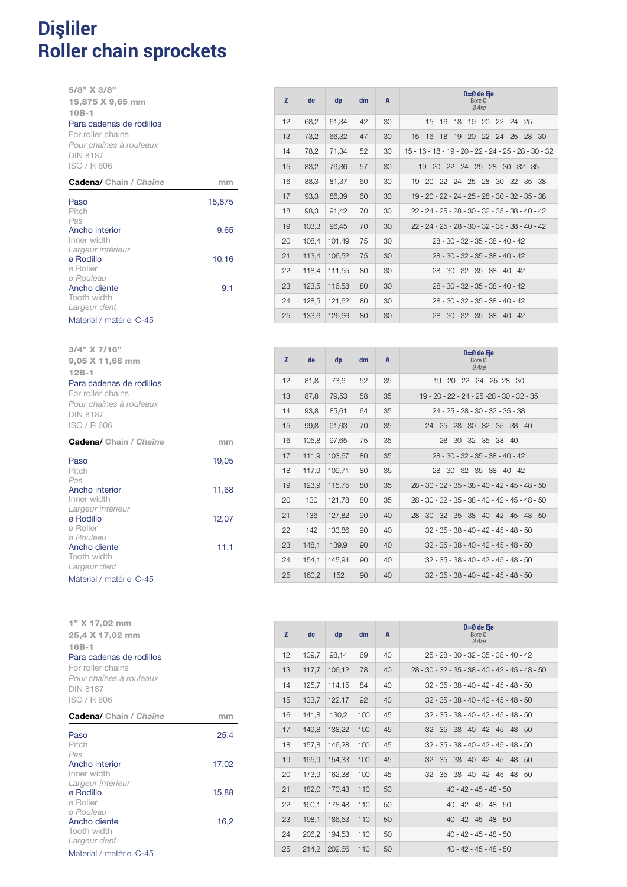### **Dişliler Roller chain sprockets** <sup>121</sup> PIÑONES CON EJE MECANIZADO Y DIENTES TRATADOS Finding bore sprockets with induction  $\mathbf s$

5/8" X 3/8" 15,875 X 9,65 mm 10B-1 Para cadenas de rodillos

For roller chains *Pour chaînes à rouleaux* DIN 8187

ISO / R 606

| Paso                     | 15,875 |
|--------------------------|--------|
| Pitch                    |        |
| Pas                      |        |
| Ancho interior           | 9,65   |
| Inner width              |        |
| Largeur intérieur        |        |
| ø Rodillo                | 10,16  |
| ø Roller                 |        |
| ø Rouleau                |        |
| Ancho diente             | 9,1    |
| Tooth width              |        |
| Largeur dent             |        |
| Material / matériel C-45 |        |

Cadena/ Chain / *Chaîne* mm

19,05

11,68

12,07

11,1

Paso Pitch *Pas* 

Ancho interior Inner width *Largeur intérieur* ø Rodillo ø Roller *ø Rouleau* Ancho diente Tooth width *Largeur dent*

3/4" X 7/16" 9,05 X 11,68 mm

Para cadenas de rodillos For roller chains *Pour chaînes à rouleaux*

12B-1

DIN 8187 ISO / R 606

Material / matériel C-45

1" X 17,02 mm

| z  | de    | dp     | dm | A  | $D=Ø$ de Eje<br>Bore Ø<br>Ø Axe                        |
|----|-------|--------|----|----|--------------------------------------------------------|
| 12 | 68,2  | 61,34  | 42 | 30 | 15 - 16 - 18 - 19 - 20 - 22 - 24 - 25                  |
| 13 | 73,2  | 66,32  | 47 | 30 | 15 - 16 - 18 - 19 - 20 - 22 - 24 - 25 - 28 - 30        |
| 14 | 78,2  | 71,34  | 52 | 30 | $15 - 16 - 18 - 19 - 20 - 22 - 24 - 25 - 28 - 30 - 32$ |
| 15 | 83,2  | 76,36  | 57 | 30 | 19 - 20 - 22 - 24 - 25 - 28 - 30 - 32 - 35             |
| 16 | 88,3  | 81,37  | 60 | 30 | 19 - 20 - 22 - 24 - 25 - 28 - 30 - 32 - 35 - 38        |
| 17 | 93,3  | 86,39  | 60 | 30 | 19 - 20 - 22 - 24 - 25 - 28 - 30 - 32 - 35 - 38        |
| 18 | 98,3  | 91,42  | 70 | 30 | 22 - 24 - 25 - 28 - 30 - 32 - 35 - 38 - 40 - 42        |
| 19 | 103,3 | 96,45  | 70 | 30 | $22 - 24 - 25 - 28 - 30 - 32 - 35 - 38 - 40 - 42$      |
| 20 | 108,4 | 101,49 | 75 | 30 | $28 - 30 - 32 - 35 - 38 - 40 - 42$                     |
| 21 | 113,4 | 106,52 | 75 | 30 | $28 - 30 - 32 - 35 - 38 - 40 - 42$                     |
| 22 | 118,4 | 111,55 | 80 | 30 | $28 - 30 - 32 - 35 - 38 - 40 - 42$                     |
| 23 | 123,5 | 116,58 | 80 | 30 | 28 - 30 - 32 - 35 - 38 - 40 - 42                       |
| 24 | 128,5 | 121,62 | 80 | 30 | $28 - 30 - 32 - 35 - 38 - 40 - 42$                     |
| 25 | 133,6 | 126,66 | 80 | 30 | 28 - 30 - 32 - 35 - 38 - 40 - 42                       |

| Z  | de    | dp     | dm | $\mathbf{A}$ | $D=Ø$ de Eje<br>Bore Ø<br>Ø Axe                   |
|----|-------|--------|----|--------------|---------------------------------------------------|
| 12 | 81,8  | 73,6   | 52 | 35           | 19 - 20 - 22 - 24 - 25 -28 - 30                   |
| 13 | 87,8  | 79.53  | 58 | 35           | 19 - 20 - 22 - 24 - 25 - 28 - 30 - 32 - 35        |
| 14 | 93.8  | 85.61  | 64 | 35           | 24 - 25 - 28 - 30 - 32 - 35 - 38                  |
| 15 | 99,8  | 91,63  | 70 | 35           | $24 - 25 - 28 - 30 - 32 - 35 - 38 - 40$           |
| 16 | 105,8 | 97.65  | 75 | 35           | 28 - 30 - 32 - 35 - 38 - 40                       |
| 17 | 111.9 | 103.67 | 80 | 35           | 28 - 30 - 32 - 35 - 38 - 40 - 42                  |
| 18 | 117,9 | 109,71 | 80 | 35           | $28 - 30 - 32 - 35 - 38 - 40 - 42$                |
| 19 | 123.9 | 115.75 | 80 | 35           | $28 - 30 - 32 - 35 - 38 - 40 - 42 - 45 - 48 - 50$ |
| 20 | 130   | 121.78 | 80 | 35           | 28 - 30 - 32 - 35 - 38 - 40 - 42 - 45 - 48 - 50   |
| 21 | 136   | 127,82 | 90 | 40           | 28 - 30 - 32 - 35 - 38 - 40 - 42 - 45 - 48 - 50   |
| 22 | 142   | 133,86 | 90 | 40           | $32 - 35 - 38 - 40 - 42 - 45 - 48 - 50$           |
| 23 | 148.1 | 139,9  | 90 | 40           | $32 - 35 - 38 - 40 - 42 - 45 - 48 - 50$           |
| 24 | 154.1 | 145.94 | 90 | 40           | $32 - 35 - 38 - 40 - 42 - 45 - 48 - 50$           |
| 25 | 160.2 | 152    | 90 | 40           | $32 - 35 - 38 - 40 - 42 - 45 - 48 - 50$           |

| 25,4 X 17,02 mm               |       |
|-------------------------------|-------|
| $16B-1$                       |       |
| Para cadenas de rodillos      |       |
| For roller chains             |       |
| Pour chaînes à rouleaux       |       |
| <b>DIN 8187</b>               |       |
| ISO / R 606                   |       |
| <b>Cadena/</b> Chain / Chaîne | mm    |
| Paso                          | 25,4  |
| Pitch                         |       |
| Pas                           |       |
| Ancho interior                | 17,02 |
| Inner width                   |       |
| Largeur intérieur             |       |
| ø Rodillo                     | 15,88 |
| ø Roller                      |       |
| ø Rouleau                     |       |
| Ancho diente<br>Tooth width   | 16,2  |
| Largeur dent                  |       |
|                               |       |
| Material / matériel C-45      |       |

| Z  | de    | dp     | dm  | $\mathbf{A}$ | $D=0$ de Eie<br>Bore Ø<br>Ø Axe                   |
|----|-------|--------|-----|--------------|---------------------------------------------------|
| 12 | 109.7 | 98.14  | 69  | 40           | $25 - 28 - 30 - 32 - 35 - 38 - 40 - 42$           |
| 13 | 117.7 | 106.12 | 78  | 40           | $28 - 30 - 32 - 35 - 38 - 40 - 42 - 45 - 48 - 50$ |
| 14 | 125.7 | 114.15 | 84  | 40           | $32 - 35 - 38 - 40 - 42 - 45 - 48 - 50$           |
| 15 | 133.7 | 122.17 | 92  | 40           | $32 - 35 - 38 - 40 - 42 - 45 - 48 - 50$           |
| 16 | 141.8 | 130.2  | 100 | 45           | $32 - 35 - 38 - 40 - 42 - 45 - 48 - 50$           |
| 17 | 149.8 | 138,22 | 100 | 45           | $32 - 35 - 38 - 40 - 42 - 45 - 48 - 50$           |
| 18 | 157.8 | 146.28 | 100 | 45           | $32 - 35 - 38 - 40 - 42 - 45 - 48 - 50$           |
| 19 | 165.9 | 154.33 | 100 | 45           | $32 - 35 - 38 - 40 - 42 - 45 - 48 - 50$           |
| 20 | 173.9 | 162.38 | 100 | 45           | $32 - 35 - 38 - 40 - 42 - 45 - 48 - 50$           |
| 21 | 182,0 | 170,43 | 110 | 50           | $40 - 42 - 45 - 48 - 50$                          |
| 22 | 190.1 | 178.48 | 110 | 50           | $40 - 42 - 45 - 48 - 50$                          |
| 23 | 198.1 | 186.53 | 110 | 50           | $40 - 42 - 45 - 48 - 50$                          |
| 24 | 206.2 | 194.53 | 110 | 50           | $40 - 42 - 45 - 48 - 50$                          |
| 25 | 214,2 | 202,66 | 110 | 50           | $40 - 42 - 45 - 48 - 50$                          |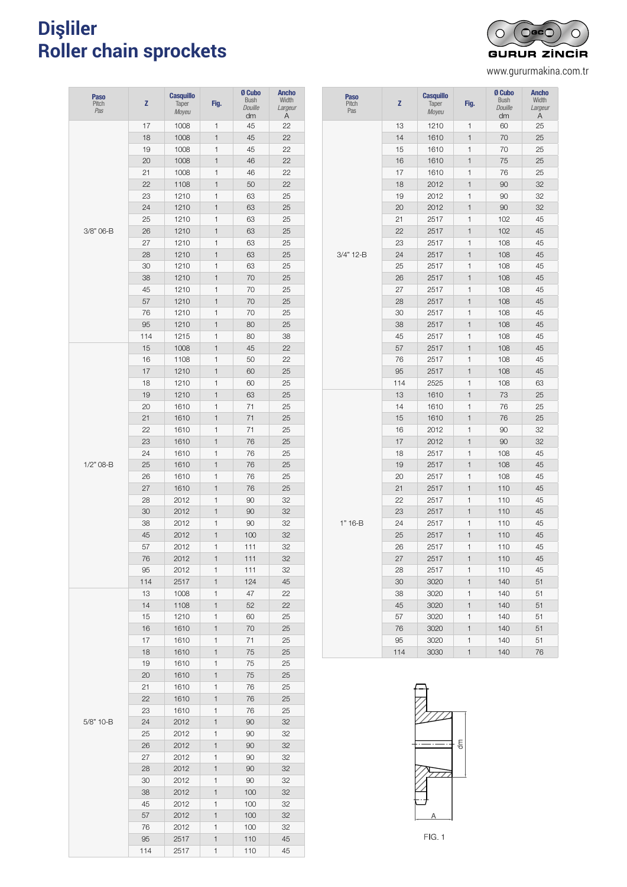#### **Dişliler Roller chain sprockets PIÑONES PARA TAPER - SIMPLE - SIMPLE - SI**MPLE - SIMPLE - SIMPLE - SIMPLE - SIMPLE - SIMPLE - SIMPLE - SIMPLE - SIMPLE - SIMPLE - SIMPLE - SIMPLE - SIMPLE - SIMPLE - SIMPLE - SIMPLE - SIMPLE - SIMPLE - SIMPLE - SIMPLE Lar aboin oprockets *Pignons pour moyeu amovible - simple*



www.gururmakina.com.tr

| <b>Paso</b><br>Pitch<br>Pas | z   | <b>Casquillo</b><br>Taper<br>Moyeu | Fig.         | Ø Cubo<br><b>Bush</b><br>Douille<br>dm | <b>Ancho</b><br>Width<br>Largeur<br>Α |
|-----------------------------|-----|------------------------------------|--------------|----------------------------------------|---------------------------------------|
|                             | 17  | 1008                               | 1            | 45                                     | 22                                    |
|                             | 18  | 1008                               | $\mathbf{1}$ | 45                                     | 22                                    |
|                             | 19  | 1008                               | 1            | 45                                     | 22                                    |
|                             | 20  | 1008                               | $\mathbf{1}$ | 46                                     | 22                                    |
|                             | 21  | 1008                               | 1            | 46                                     | 22                                    |
|                             | 22  | 1108                               | 1            | 50                                     | 22                                    |
|                             | 23  | 1210                               | 1            | 63                                     | 25                                    |
|                             | 24  | 1210                               | 1            | 63                                     | 25                                    |
|                             | 25  | 1210                               | $\mathbf{1}$ | 63                                     | 25                                    |
| 3/8" 06-B                   | 26  | 1210                               | 1            | 63                                     | 25                                    |
|                             | 27  | 1210                               | 1            | 63                                     | 25                                    |
|                             | 28  | 1210                               | 1            | 63                                     | 25                                    |
|                             | 30  | 1210                               | 1            | 63                                     | 25                                    |
|                             | 38  | 1210                               | 1            | 70                                     | 25                                    |
|                             | 45  | 1210                               | 1            | 70                                     | 25                                    |
|                             | 57  | 1210                               | $\mathbf{1}$ | 70                                     | 25                                    |
|                             | 76  | 1210                               | 1            | 70                                     | 25                                    |
|                             |     |                                    |              |                                        |                                       |
|                             | 95  | 1210                               | 1            | 80                                     | 25                                    |
|                             | 114 | 1215                               | 1            | 80                                     | 38                                    |
|                             | 15  | 1008                               | 1            | 45                                     | 22                                    |
|                             | 16  | 1108                               | 1            | 50                                     | 22                                    |
|                             | 17  | 1210                               | 1            | 60                                     | 25                                    |
|                             | 18  | 1210                               | 1            | 60                                     | 25                                    |
|                             | 19  | 1210                               | $\mathbf{1}$ | 63                                     | 25                                    |
|                             | 20  | 1610                               | 1            | 71                                     | 25                                    |
|                             | 21  | 1610                               | 1            | 71                                     | 25                                    |
|                             | 22  | 1610                               | $\mathbf{1}$ | 71                                     | 25                                    |
|                             | 23  | 1610                               | 1            | 76                                     | 25                                    |
|                             | 24  | 1610                               | 1            | 76                                     | 25                                    |
| $1/2"$ 08-B                 | 25  | 1610                               | $\mathbf{1}$ | 76                                     | 25                                    |
|                             | 26  | 1610                               | 1            | 76                                     | 25                                    |
|                             | 27  | 1610                               | 1            | 76                                     | 25                                    |
|                             | 28  | 2012                               | 1            | 90                                     | 32                                    |
|                             | 30  | 2012                               | 1            | 90                                     | 32                                    |
|                             | 38  | 2012                               | 1            | 90                                     | 32                                    |
|                             | 45  | 2012                               | 1            | 100                                    | 32                                    |
|                             | 57  | 2012                               | 1            | 111                                    | 32                                    |
|                             | 76  | 2012                               | 1            | 111                                    | 32                                    |
|                             | 95  | 2012                               | 1            | 111                                    | 32                                    |
|                             | 114 | 2517                               | 1            | 124                                    | 45                                    |
|                             | 13  | 1008                               | 1            | 47                                     | 22                                    |
|                             | 14  | 1108                               | 1            | 52                                     | 22                                    |
|                             | 15  | 1210                               | 1            | 60                                     | 25                                    |
|                             | 16  | 1610                               | 1            | 70                                     | 25                                    |
|                             | 17  | 1610                               | 1            | 71                                     | 25                                    |
|                             | 18  | 1610                               | 1            | 75                                     | 25                                    |
|                             | 19  | 1610                               | 1            | 75                                     | 25                                    |
|                             | 20  | 1610                               | 1            | 75                                     | 25                                    |
|                             | 21  | 1610                               | 1            | 76                                     | 25                                    |
|                             | 22  | 1610                               | 1            | 76                                     | 25                                    |
|                             | 23  | 1610                               | 1            | 76                                     | 25                                    |
| 5/8" 10-B                   | 24  | 2012                               | 1            | 90                                     | 32                                    |
|                             | 25  |                                    | 1            | 90                                     | 32                                    |
|                             |     | 2012                               |              |                                        |                                       |
|                             | 26  | 2012                               | 1            | 90                                     | 32                                    |
|                             | 27  | 2012                               | 1            | 90                                     | 32                                    |
|                             | 28  | 2012                               | 1            | 90                                     | 32                                    |
|                             | 30  | 2012                               | 1            | 90                                     | 32                                    |
|                             | 38  | 2012                               | 1            | 100                                    | 32                                    |
|                             | 45  | 2012                               | 1            | 100                                    | 32                                    |
|                             | 57  | 2012                               | 1            | 100                                    | 32                                    |
|                             | 76  | 2012                               | 1            | 100                                    | 32                                    |
|                             | 95  | 2517                               | 1            | 110                                    | 45                                    |
|                             | 114 | 2517                               | 1            | 110                                    | 45                                    |

| <b>Paso</b><br>Pitch<br>Pas | z   | <b>Casquillo</b><br>Taper<br>Moyeu | Fig.         | Ø Cubo<br><b>Bush</b><br><b>Douille</b><br>dm | <b>Ancho</b><br>Width<br>Largeur<br>Α |
|-----------------------------|-----|------------------------------------|--------------|-----------------------------------------------|---------------------------------------|
|                             | 13  | 1210                               | 1            | 60                                            | 25                                    |
|                             | 14  | 1610                               | $\mathbf{1}$ | 70                                            | 25                                    |
|                             | 15  | 1610                               | 1            | 70                                            | 25                                    |
|                             | 16  | 1610                               | 1            | 75                                            | 25                                    |
|                             | 17  | 1610                               | 1            | 76                                            | 25                                    |
|                             | 18  | 2012                               | 1            | 90                                            | 32                                    |
|                             | 19  | 2012                               | 1            | 90                                            | 32                                    |
|                             | 20  | 2012                               | 1            | 90                                            | 32                                    |
|                             | 21  | 2517                               | 1            | 102                                           | 45                                    |
|                             | 22  | 2517                               | $\mathbf{1}$ | 102                                           | 45                                    |
|                             | 23  | 2517                               | 1            | 108                                           | 45                                    |
| 3/4" 12-B                   | 24  | 2517                               | 1            | 108                                           | 45                                    |
|                             | 25  | 2517                               | 1            | 108                                           | 45                                    |
|                             | 26  | 2517                               | $\mathbf{1}$ | 108                                           | 45                                    |
|                             | 27  | 2517                               | 1            | 108                                           | 45                                    |
|                             | 28  | 2517                               | 1            | 108                                           | 45                                    |
|                             | 30  | 2517                               | 1            | 108                                           | 45                                    |
|                             | 38  | 2517                               | 1            | 108                                           | 45                                    |
|                             | 45  | 2517                               | 1            | 108                                           | 45                                    |
|                             | 57  | 2517                               | $\mathbf{1}$ | 108                                           | 45                                    |
|                             | 76  | 2517                               | 1            | 108                                           | 45                                    |
|                             | 95  | 2517                               | $\mathbf{1}$ | 108                                           | 45                                    |
|                             | 114 | 2525                               | 1            | 108                                           | 63                                    |
|                             | 13  | 1610                               | 1            | 73                                            | 25                                    |
|                             | 14  | 1610                               | 1            | 76                                            | 25                                    |
|                             | 15  | 1610                               | 1            | 76                                            | 25                                    |
|                             | 16  | 2012                               | 1            | 90                                            | 32                                    |
|                             | 17  | 2012                               | 1            | 90                                            | 32                                    |
|                             | 18  | 2517                               | 1            | 108                                           | 45                                    |
|                             | 19  | 2517                               | 1            | 108                                           | 45                                    |
|                             | 20  | 2517                               | 1            | 108                                           | 45                                    |
|                             | 21  | 2517                               | 1            | 110                                           | 45                                    |
|                             | 22  | 2517                               | 1            | 110                                           | 45                                    |
|                             | 23  | 2517                               | $\mathbf{1}$ | 110                                           | 45                                    |
| 1" 16-B                     | 24  | 2517                               | 1            | 110                                           | 45                                    |
|                             | 25  | 2517                               | 1            | 110                                           | 45                                    |
|                             | 26  | 2517                               | 1            | 110                                           | 45                                    |
|                             | 27  | 2517                               | 1            | 110                                           | 45                                    |
|                             | 28  | 2517                               | 1            | 110                                           | 45                                    |
|                             | 30  | 3020                               | $\mathbf{1}$ | 140                                           | 51                                    |
|                             | 38  | 3020                               | 1            | 140                                           | 51                                    |
|                             | 45  | 3020                               | 1            | 140                                           | 51                                    |
|                             | 57  | 3020                               | 1            | 140                                           | 51                                    |
|                             | 76  | 3020                               | 1            | 140                                           | 51                                    |
|                             | 95  | 3020                               | 1            | 140                                           | 51                                    |
|                             | 114 | 3030                               | $\mathbf{1}$ | 140                                           | 76                                    |

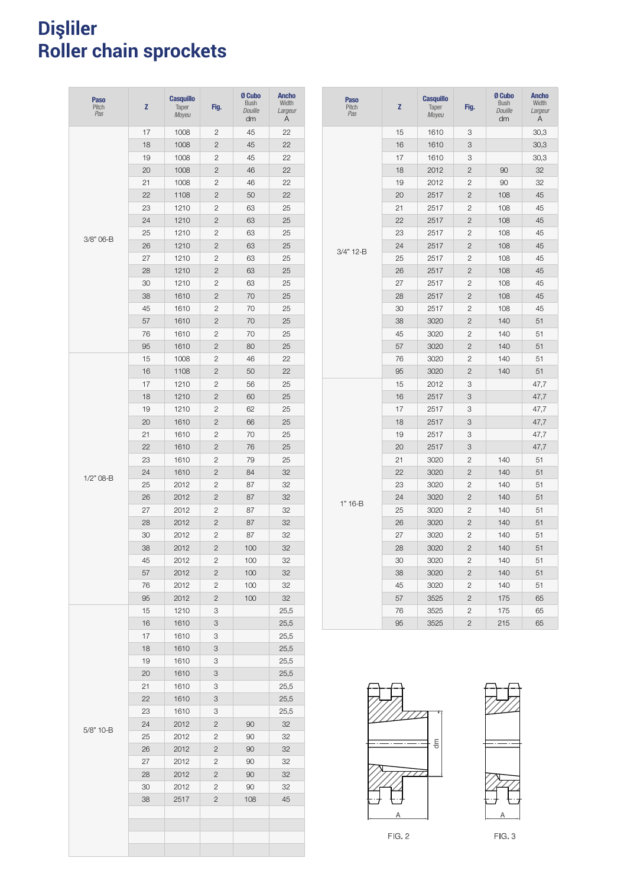#### **Dişliler Roller chain sprockets** 1123 PINCES PARA TAPER - PARA TAPER - PARA TAPER - PARA TAPER - PARA TAPER - PARA TAPER - PARA TAPER - PARA TA Lar aboin oprockets *Pignons pour moyeu amovible - double*

| <b>Paso</b><br>Pitch<br>Pas | Z  | <b>Casquillo</b><br>Taper<br>Moyeu | Fig.           | Ø Cubo<br><b>Bush</b><br>Douille<br>dm | <b>Ancho</b><br>Width<br>Largeur<br>Α |
|-----------------------------|----|------------------------------------|----------------|----------------------------------------|---------------------------------------|
|                             | 17 | 1008                               | 2              | 45                                     | 22                                    |
|                             | 18 | 1008                               | $\overline{c}$ | 45                                     | 22                                    |
|                             | 19 | 1008                               | 2              | 45                                     | 22                                    |
|                             | 20 | 1008                               | $\overline{c}$ | 46                                     | 22                                    |
|                             | 21 | 1008                               | 2              | 46                                     | 22                                    |
|                             | 22 | 1108                               | 2              | 50                                     | 22                                    |
|                             | 23 | 1210                               | 2              | 63                                     | 25                                    |
|                             | 24 | 1210                               | 2              | 63                                     | 25                                    |
|                             | 25 | 1210                               | 2              | 63                                     | 25                                    |
| 3/8" 06-B                   | 26 | 1210                               | 2              | 63                                     | 25                                    |
|                             | 27 | 1210                               | 2              | 63                                     | 25                                    |
|                             | 28 | 1210                               | 2              | 63                                     | 25                                    |
|                             | 30 | 1210                               | 2              | 63                                     | 25                                    |
|                             | 38 | 1610                               | 2              | 70                                     | 25                                    |
|                             | 45 | 1610                               | $\overline{2}$ | 70                                     | 25                                    |
|                             | 57 | 1610                               | $\mathbf{2}$   | 70                                     | 25                                    |
|                             | 76 | 1610                               | 2              | 70                                     | 25                                    |
|                             | 95 | 1610                               | $\mathbf{2}$   | 80                                     | 25                                    |
|                             | 15 | 1008                               | 2              | 46                                     | 22                                    |
|                             | 16 | 1108                               | $\mathbf{2}$   | 50                                     | 22                                    |
|                             | 17 | 1210                               | $\overline{c}$ | 56                                     | 25                                    |
|                             | 18 | 1210                               | $\overline{2}$ | 60                                     | 25                                    |
| $1/2"$ 08-B                 | 19 | 1210                               | $\overline{c}$ | 62                                     | 25                                    |
|                             | 20 | 1610                               | $\overline{2}$ | 66                                     | 25                                    |
|                             | 21 | 1610                               | $\overline{c}$ | 70                                     | 25                                    |
|                             | 22 | 1610                               | $\overline{2}$ | 76                                     | 25                                    |
|                             | 23 | 1610                               | $\overline{c}$ | 79                                     | 25                                    |
|                             | 24 | 1610                               | $\overline{2}$ | 84                                     | 32                                    |
|                             | 25 | 2012                               | $\overline{c}$ | 87                                     | 32                                    |
|                             | 26 | 2012                               | $\overline{c}$ | 87                                     | 32                                    |
|                             | 27 | 2012                               | $\mathbf{2}$   | 87                                     | 32                                    |
|                             | 28 | 2012                               | $\overline{c}$ | 87                                     | 32                                    |
|                             | 30 | 2012                               | $\mathbf{2}$   | 87                                     | 32                                    |
|                             | 38 | 2012                               | $\overline{c}$ | 100                                    | 32                                    |
|                             | 45 | 2012                               | $\overline{2}$ | 100                                    | 32                                    |
|                             | 57 | 2012                               | 2              | 100                                    | 32                                    |
|                             | 76 | 2012                               | 2              | 100                                    | 32                                    |
|                             | 95 | 2012                               | $\mathbf{2}$   | 100                                    | 32                                    |
|                             | 15 | 1210                               | 3              |                                        | 25,5                                  |
|                             | 16 | 1610                               | 3              |                                        | 25,5                                  |
|                             | 17 | 1610                               | 3              |                                        | 25,5                                  |
|                             | 18 | 1610                               | 3              |                                        | 25,5                                  |
|                             | 19 | 1610                               | 3              |                                        | 25,5                                  |
|                             | 20 | 1610                               | 3              |                                        | 25,5                                  |
|                             | 21 | 1610                               | 3              |                                        | 25,5                                  |
|                             | 22 | 1610                               | 3              |                                        | 25,5                                  |
|                             | 23 | 1610                               | 3              |                                        | 25,5                                  |
|                             | 24 | 2012                               | $\overline{c}$ | 90                                     | 32                                    |
| 5/8" 10-B                   | 25 | 2012                               | $\overline{c}$ | 90                                     | 32                                    |
|                             | 26 | 2012                               | $\overline{c}$ | 90                                     | 32                                    |
|                             | 27 | 2012                               | 2              | 90                                     | 32                                    |
|                             | 28 | 2012                               | $\overline{c}$ | 90                                     | 32                                    |
|                             | 30 | 2012                               | 2              | 90                                     | 32                                    |
|                             | 38 | 2517                               | $\mathbf{2}$   | 108                                    | 45                                    |
|                             |    |                                    |                |                                        |                                       |
|                             |    |                                    |                |                                        |                                       |
|                             |    |                                    |                |                                        |                                       |
|                             |    |                                    |                |                                        |                                       |
|                             |    |                                    |                |                                        |                                       |

| <b>Paso</b><br>Pitch<br>Pas | Z  | <b>Casquillo</b><br>Taper<br>Moyeu | Fig.           | <b>Ø Cubo</b><br><b>Bush</b><br>Douille<br>dm | <b>Ancho</b><br>Width<br>Largeur<br>Α |
|-----------------------------|----|------------------------------------|----------------|-----------------------------------------------|---------------------------------------|
|                             | 15 | 1610                               | 3              |                                               | 30,3                                  |
|                             | 16 | 1610                               | 3              |                                               | 30,3                                  |
|                             | 17 | 1610                               | 3              |                                               | 30,3                                  |
|                             | 18 | 2012                               | $\overline{2}$ | 90                                            | 32                                    |
|                             | 19 | 2012                               | 2              | 90                                            | 32                                    |
|                             | 20 | 2517                               | $\overline{2}$ | 108                                           | 45                                    |
|                             | 21 | 2517                               | $\overline{2}$ | 108                                           | 45                                    |
|                             | 22 | 2517                               | $\overline{c}$ | 108                                           | 45                                    |
|                             | 23 | 2517                               | $\overline{c}$ | 108                                           | 45                                    |
| 3/4" 12-B                   | 24 | 2517                               | $\overline{2}$ | 108                                           | 45                                    |
|                             | 25 | 2517                               | $\overline{c}$ | 108                                           | 45                                    |
|                             | 26 | 2517                               | $\overline{2}$ | 108                                           | 45                                    |
|                             | 27 | 2517                               | 2              | 108                                           | 45                                    |
|                             | 28 | 2517                               | $\overline{2}$ | 108                                           | 45                                    |
|                             | 30 | 2517                               | 2              | 108                                           | 45                                    |
|                             | 38 | 3020                               | $\overline{2}$ | 140                                           | 51                                    |
|                             | 45 | 3020                               | $\overline{2}$ | 140                                           | 51                                    |
|                             | 57 | 3020                               | $\overline{2}$ | 140                                           | 51                                    |
|                             | 76 | 3020                               | 2              | 140                                           | 51                                    |
|                             | 95 | 3020                               | $\overline{c}$ | 140                                           | 51                                    |
|                             | 15 | 2012                               | 3              |                                               | 47,7                                  |
|                             | 16 | 2517                               | 3              |                                               | 47,7                                  |
|                             | 17 | 2517                               | 3              |                                               | 47,7                                  |
|                             | 18 | 2517                               | 3              |                                               | 47,7                                  |
|                             | 19 | 2517                               | З              |                                               | 47,7                                  |
|                             | 20 | 2517                               | 3              |                                               | 47,7                                  |
|                             | 21 | 3020                               | 2              | 140                                           | 51                                    |
|                             | 22 | 3020                               | $\overline{2}$ | 140                                           | 51                                    |
|                             | 23 | 3020                               | $\overline{2}$ | 140                                           | 51                                    |
| 1" 16-B                     | 24 | 3020                               | $\mathcal{P}$  | 140                                           | 51                                    |
|                             | 25 | 3020                               | 2              | 140                                           | 51                                    |
|                             | 26 | 3020                               | 2              | 140                                           | 51                                    |
|                             | 27 | 3020                               | 2              | 140                                           | 51                                    |
|                             | 28 | 3020                               | $\overline{2}$ | 140                                           | 51                                    |
|                             | 30 | 3020                               | $\overline{2}$ | 140                                           | 51                                    |
|                             | 38 | 3020                               | 2              | 140                                           | 51                                    |
|                             | 45 | 3020                               | $\overline{c}$ | 140                                           | 51                                    |
|                             | 57 | 3525                               | $\overline{2}$ | 175                                           | 65                                    |
|                             | 76 | 3525                               | $\overline{2}$ | 175                                           | 65                                    |
|                             | 95 | 3525                               | $\overline{2}$ | 215                                           | 65                                    |





 $FIG. 2$ 

 $FIG. 3$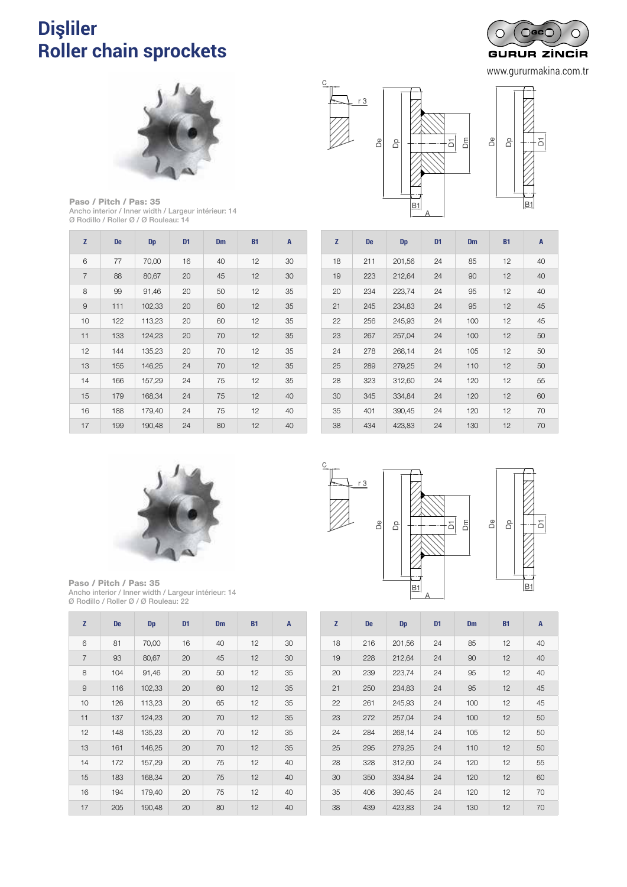### **Dişliler Roller chain sprockets** PIÑONES Y DISCOS PARA CADENA DE TRANSPORTE *Pignons et disques pour chaîne de manutention*



www.gururmakina.com.tr

 $-\overline{a}$ 

 $-\overline{D}$ 



Paso / Pitch / Pas: 35 Ancho interior / Inner width / Largeur intérieur: 14 Ø Rodillo / Roller Ø / Ø Rouleau: 14

| Z              | <b>De</b> | Dp     | D1 | Dm | <b>B1</b> | A  |
|----------------|-----------|--------|----|----|-----------|----|
| 6              | 77        | 70,00  | 16 | 40 | 12        | 30 |
| $\overline{7}$ | 88        | 80,67  | 20 | 45 | 12        | 30 |
| 8              | 99        | 91,46  | 20 | 50 | 12        | 35 |
| $\overline{9}$ | 111       | 102,33 | 20 | 60 | 12        | 35 |
| 10             | 122       | 113,23 | 20 | 60 | 12        | 35 |
| 11             | 133       | 124,23 | 20 | 70 | 12        | 35 |
| 12             | 144       | 135,23 | 20 | 70 | 12        | 35 |
| 13             | 155       | 146,25 | 24 | 70 | 12        | 35 |
| 14             | 166       | 157,29 | 24 | 75 | 12        | 35 |
| 15             | 179       | 168,34 | 24 | 75 | 12        | 40 |
| 16             | 188       | 179,40 | 24 | 75 | 12        | 40 |
| 17             | 199       | 190,48 | 24 | 80 | 12        | 40 |







Paso / Pitch / Pas: 35 Ancho interior / Inner width / Largeur intérieur: 14 Ø Rodillo / Roller Ø / Ø Rouleau: 22

| Z              | <b>De</b> | <b>Dp</b> | D <sub>1</sub> | <b>Dm</b> | <b>B1</b> | A  |
|----------------|-----------|-----------|----------------|-----------|-----------|----|
| 6              | 81        | 70,00     | 16             | 40        | 12        | 30 |
| $\overline{7}$ | 93        | 80,67     | 20             | 45        | 12        | 30 |
| 8              | 104       | 91,46     | 20             | 50        | 12        | 35 |
| 9              | 116       | 102,33    | 20             | 60        | 12        | 35 |
| 10             | 126       | 113,23    | 20             | 65        | 12        | 35 |
| 11             | 137       | 124,23    | 20             | 70        | 12        | 35 |
| 12             | 148       | 135,23    | 20             | 70        | 12        | 35 |
| 13             | 161       | 146,25    | 20             | 70        | 12        | 35 |
| 14             | 172       | 157,29    | 20             | 75        | 12        | 40 |
| 15             | 183       | 168,34    | 20             | 75        | 12        | 40 |
| 16             | 194       | 179,40    | 20             | 75        | 12        | 40 |
| 17             | 205       | 190,48    | 20             | 80        | 12        | 40 |



 401 390,45 24 120 12 70 434 423,83 24 130 12 70

| H  |           |           |                |     |           |                |  |  |  |
|----|-----------|-----------|----------------|-----|-----------|----------------|--|--|--|
| Z  | <b>De</b> | <b>Dp</b> | D <sub>1</sub> | Dm  | <b>B1</b> | $\overline{A}$ |  |  |  |
| 18 | 216       | 201,56    | 24             | 85  | 12        | 40             |  |  |  |
| 19 | 228       | 212,64    | 24             | 90  | 12        | 40             |  |  |  |
| 20 | 239       | 223,74    | 24             | 95  | 12        | 40             |  |  |  |
| 21 | 250       | 234,83    | 24             | 95  | 12        | 45             |  |  |  |
| 22 | 261       | 245,93    | 24             | 100 | 12        | 45             |  |  |  |
| 23 | 272       | 257,04    | 24             | 100 | 12        | 50             |  |  |  |
| 24 | 284       | 268,14    | 24             | 105 | 12        | 50             |  |  |  |
| 25 | 295       | 279,25    | 24             | 110 | 12        | 50             |  |  |  |
| 28 | 328       | 312,60    | 24             | 120 | 12        | 55             |  |  |  |
| 30 | 350       | 334,84    | 24             | 120 | 12        | 60             |  |  |  |
| 35 | 406       | 390,45    | 24             | 120 | 12        | 70             |  |  |  |
| 38 | 439       | 423,83    | 24             | 130 | 12        | 70             |  |  |  |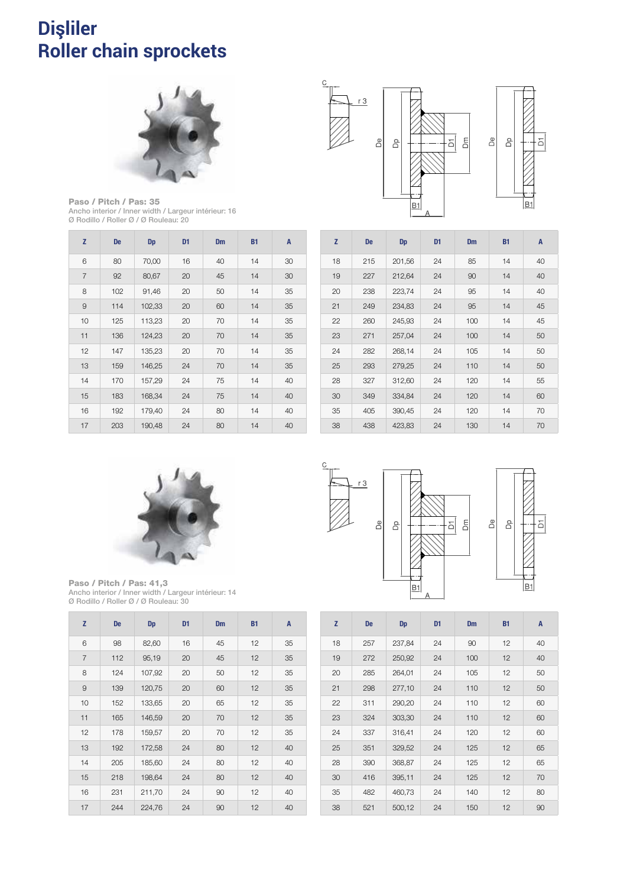### **Dişliler Roller chain sprockets** 1125 PIÑONES Y DISCOVERE Y DISCOVERE ELECTRONICA ELECTRONICA ELECTRONICA ELECTRONICA ELECTRONICA ELECTRONICA E *Pignons et disques pour chaîne de manutention*



Paso / Pitch / Pas: 35 Ancho interior / Inner width / Largeur intérieur: 16 Ø Rodillo / Roller Ø / Ø Rouleau: 20

| Z              | <b>De</b> | Dp     | D <sub>1</sub> | <b>Dm</b> | <b>B1</b> | A  |
|----------------|-----------|--------|----------------|-----------|-----------|----|
| 6              | 80        | 70,00  | 16             | 40        | 14        | 30 |
| $\overline{7}$ | 92        | 80,67  | 20             | 45        | 14        | 30 |
| 8              | 102       | 91,46  | 20             | 50        | 14        | 35 |
| 9              | 114       | 102,33 | 20             | 60        | 14        | 35 |
| 10             | 125       | 113,23 | 20             | 70        | 14        | 35 |
| 11             | 136       | 124,23 | 20             | 70        | 14        | 35 |
| 12             | 147       | 135,23 | 20             | 70        | 14        | 35 |
| 13             | 159       | 146,25 | 24             | 70        | 14        | 35 |
| 14             | 170       | 157,29 | 24             | 75        | 14        | 40 |
| 15             | 183       | 168,34 | 24             | 75        | 14        | 40 |
| 16             | 192       | 179,40 | 24             | 80        | 14        | 40 |
| 17             | 203       | 190,48 | 24             | 80        | 14        | 40 |



| Z  | <b>De</b> | <b>Dp</b> | D <sub>1</sub> | Dm  | <b>B1</b> | A  |
|----|-----------|-----------|----------------|-----|-----------|----|
| 18 | 215       | 201,56    | 24             | 85  | 14        | 40 |
| 19 | 227       | 212,64    | 24             | 90  | 14        | 40 |
| 20 | 238       | 223,74    | 24             | 95  | 14        | 40 |
| 21 | 249       | 234,83    | 24             | 95  | 14        | 45 |
| 22 | 260       | 245,93    | 24             | 100 | 14        | 45 |
| 23 | 271       | 257,04    | 24             | 100 | 14        | 50 |
| 24 | 282       | 268,14    | 24             | 105 | 14        | 50 |
| 25 | 293       | 279,25    | 24             | 110 | 14        | 50 |
| 28 | 327       | 312,60    | 24             | 120 | 14        | 55 |
| 30 | 349       | 334,84    | 24             | 120 | 14        | 60 |
| 35 | 405       | 390,45    | 24             | 120 | 14        | 70 |
| 38 | 438       | 423,83    | 24             | 130 | 14        | 70 |



Paso / Pitch / Pas: 41,3 Ancho interior / Inner width / Largeur intérieur: 14 Ø Rodillo / Roller Ø / Ø Rouleau: 30

| Z              | <b>De</b> | <b>Dp</b> | D <sub>1</sub> | <b>Dm</b> | <b>B1</b> | A  |
|----------------|-----------|-----------|----------------|-----------|-----------|----|
| 6              | 98        | 82,60     | 16             | 45        | 12        | 35 |
| $\overline{7}$ | 112       | 95,19     | 20             | 45        | 12        | 35 |
| 8              | 124       | 107,92    | 20             | 50        | 12        | 35 |
| 9              | 139       | 120,75    | 20             | 60        | 12        | 35 |
| 10             | 152       | 133,65    | 20             | 65        | 12        | 35 |
| 11             | 165       | 146,59    | 20             | 70        | 12        | 35 |
| 12             | 178       | 159,57    | 20             | 70        | 12        | 35 |
| 13             | 192       | 172,58    | 24             | 80        | 12        | 40 |
| 14             | 205       | 185,60    | 24             | 80        | 12        | 40 |
| 15             | 218       | 198,64    | 24             | 80        | 12        | 40 |
| 16             | 231       | 211,70    | 24             | 90        | 12        | 40 |
| 17             | 244       | 224,76    | 24             | 90        | 12        | 40 |



 $-\overline{a}$ 

| Z  | <b>De</b> | <b>Dp</b> | D <sub>1</sub> | <b>Dm</b> | <b>B1</b> | A  |
|----|-----------|-----------|----------------|-----------|-----------|----|
| 18 | 257       | 237,84    | 24             | 90        | 12        | 40 |
| 19 | 272       | 250,92    | 24             | 100       | 12        | 40 |
| 20 | 285       | 264,01    | 24             | 105       | 12        | 50 |
| 21 | 298       | 277,10    | 24             | 110       | 12        | 50 |
| 22 | 311       | 290,20    | 24             | 110       | 12        | 60 |
| 23 | 324       | 303,30    | 24             | 110       | 12        | 60 |
| 24 | 337       | 316,41    | 24             | 120       | 12        | 60 |
| 25 | 351       | 329,52    | 24             | 125       | 12        | 65 |
| 28 | 390       | 368,87    | 24             | 125       | 12        | 65 |
| 30 | 416       | 395,11    | 24             | 125       | 12        | 70 |
| 35 | 482       | 460,73    | 24             | 140       | 12        | 80 |
| 38 | 521       | 500,12    | 24             | 150       | 12        | 90 |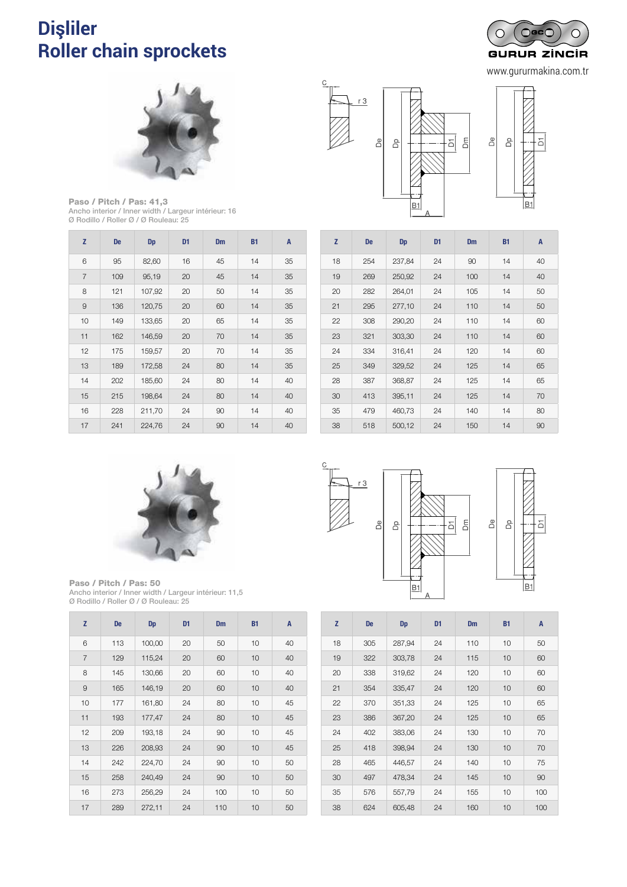### **Dişliler Roller chain sprockets** PIÑONES Y DISCOS PARA CADENA DE TRANSPORTE *Pignons et disques pour chaîne de manutention*



www.gururmakina.com.tr



Paso / Pitch / Pas: 41,3 Ancho interior / Inner width / Largeur intérieur: 16 Ø Rodillo / Roller Ø / Ø Rouleau: 25

| Z              | <b>De</b> | Dp     | D <sub>1</sub> | <b>Dm</b> | <b>B1</b> | A  |
|----------------|-----------|--------|----------------|-----------|-----------|----|
| 6              | 95        | 82,60  | 16             | 45        | 14        | 35 |
| $\overline{7}$ | 109       | 95,19  | 20             | 45        | 14        | 35 |
| 8              | 121       | 107,92 | 20             | 50        | 14        | 35 |
| $\overline{9}$ | 136       | 120,75 | 20             | 60        | 14        | 35 |
| 10             | 149       | 133,65 | 20             | 65        | 14        | 35 |
| 11             | 162       | 146,59 | 20             | 70        | 14        | 35 |
| 12             | 175       | 159,57 | 20             | 70        | 14        | 35 |
| 13             | 189       | 172,58 | 24             | 80        | 14        | 35 |
| 14             | 202       | 185,60 | 24             | 80        | 14        | 40 |
| 15             | 215       | 198,64 | 24             | 80        | 14        | 40 |
| 16             | 228       | 211,70 | 24             | 90        | 14        | 40 |
| 17             | 241       | 224,76 | 24             | 90        | 14        | 40 |





| Z  | <b>De</b> | <b>Dp</b> | D <sub>1</sub> | <b>Dm</b> | <b>B1</b> | A  |
|----|-----------|-----------|----------------|-----------|-----------|----|
| 18 | 254       | 237,84    | 24             | 90        | 14        | 40 |
| 19 | 269       | 250,92    | 24             | 100       | 14        | 40 |
| 20 | 282       | 264,01    | 24             | 105       | 14        | 50 |
| 21 | 295       | 277,10    | 24             | 110       | 14        | 50 |
| 22 | 308       | 290,20    | 24             | 110       | 14        | 60 |
| 23 | 321       | 303,30    | 24             | 110       | 14        | 60 |
| 24 | 334       | 316,41    | 24             | 120       | 14        | 60 |
| 25 | 349       | 329,52    | 24             | 125       | 14        | 65 |
| 28 | 387       | 368,87    | 24             | 125       | 14        | 65 |
| 30 | 413       | 395,11    | 24             | 125       | 14        | 70 |
| 35 | 479       | 460,73    | 24             | 140       | 14        | 80 |
| 38 | 518       | 500,12    | 24             | 150       | 14        | 90 |



Paso / Pitch / Pas: 50 Ancho interior / Inner width / Largeur intérieur: 11,5 Ø Rodillo / Roller Ø / Ø Rouleau: 25

| Z              | <b>De</b> | <b>Dp</b> | D <sub>1</sub> | <b>Dm</b> | <b>B1</b> | A  |
|----------------|-----------|-----------|----------------|-----------|-----------|----|
| 6              | 113       | 100,00    | 20             | 50        | 10        | 40 |
| $\overline{7}$ | 129       | 115,24    | 20             | 60        | 10        | 40 |
| 8              | 145       | 130,66    | 20             | 60        | 10        | 40 |
| 9              | 165       | 146,19    | 20             | 60        | 10        | 40 |
| 10             | 177       | 161,80    | 24             | 80        | 10        | 45 |
| 11             | 193       | 177,47    | 24             | 80        | 10        | 45 |
| 12             | 209       | 193,18    | 24             | 90        | 10        | 45 |
| 13             | 226       | 208,93    | 24             | 90        | 10        | 45 |
| 14             | 242       | 224,70    | 24             | 90        | 10        | 50 |
| 15             | 258       | 240,49    | 24             | 90        | 10        | 50 |
| 16             | 273       | 256,29    | 24             | 100       | 10        | 50 |
| 17             | 289       | 272,11    | 24             | 110       | 10        | 50 |



 $\overline{C}$ 



| Z  | <b>De</b> | Dp     | D <sub>1</sub> | <b>Dm</b> | <b>B1</b> | A   |
|----|-----------|--------|----------------|-----------|-----------|-----|
| 18 | 305       | 287,94 | 24             | 110       | 10        | 50  |
| 19 | 322       | 303,78 | 24             | 115       | 10        | 60  |
| 20 | 338       | 319,62 | 24             | 120       | 10        | 60  |
| 21 | 354       | 335,47 | 24             | 120       | 10        | 60  |
| 22 | 370       | 351,33 | 24             | 125       | 10        | 65  |
| 23 | 386       | 367,20 | 24             | 125       | 10        | 65  |
| 24 | 402       | 383,06 | 24             | 130       | 10        | 70  |
| 25 | 418       | 398,94 | 24             | 130       | 10        | 70  |
| 28 | 465       | 446,57 | 24             | 140       | 10        | 75  |
| 30 | 497       | 478,34 | 24             | 145       | 10        | 90  |
| 35 | 576       | 557,79 | 24             | 155       | 10        | 100 |
| 38 | 624       | 605,48 | 24             | 160       | 10        | 100 |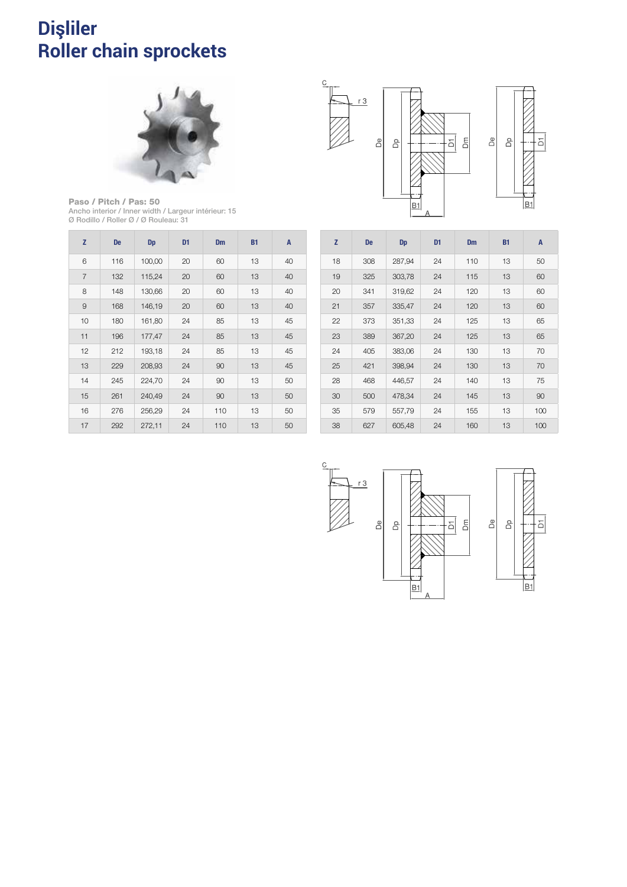#### **Dişliler Roller chain sprockets** 1127 PIÑONES Y DISCOVERE ELECTRONICA ELECTRONICA ELECTRONICA ELECTRONICA ELECTRONICA ELECTRONICA ELECTRONICA E sprockets and plate *Pignons et disques pour chaîne de manutention*



Paso / Pitch / Pas: 50 Ancho interior / Inner width / Largeur intérieur: 15 Ø Rodillo / Roller Ø / Ø Rouleau: 31

| Z              | <b>De</b> | <b>Dp</b> | D <sub>1</sub> | <b>Dm</b> | <b>B1</b> | A  |
|----------------|-----------|-----------|----------------|-----------|-----------|----|
| 6              | 116       | 100,00    | 20             | 60        | 13        | 40 |
| $\overline{7}$ | 132       | 115,24    | 20             | 60        | 13        | 40 |
| 8              | 148       | 130,66    | 20             | 60        | 13        | 40 |
| $\overline{9}$ | 168       | 146,19    | 20             | 60        | 13        | 40 |
| 10             | 180       | 161,80    | 24             | 85        | 13        | 45 |
| 11             | 196       | 177,47    | 24             | 85        | 13        | 45 |
| 12             | 212       | 193,18    | 24             | 85        | 13        | 45 |
| 13             | 229       | 208,93    | 24             | 90        | 13        | 45 |
| 14             | 245       | 224,70    | 24             | 90        | 13        | 50 |
| 15             | 261       | 240,49    | 24             | 90        | 13        | 50 |
| 16             | 276       | 256,29    | 24             | 110       | 13        | 50 |
| 17             | 292       | 272,11    | 24             | 110       | 13        | 50 |



| Z  | <b>De</b> | <b>Dp</b> | D <sub>1</sub> | <b>Dm</b> | <b>B1</b> | A   |
|----|-----------|-----------|----------------|-----------|-----------|-----|
| 18 | 308       | 287,94    | 24             | 110       | 13        | 50  |
| 19 | 325       | 303,78    | 24             | 115       | 13        | 60  |
| 20 | 341       | 319,62    | 24             | 120       | 13        | 60  |
| 21 | 357       | 335,47    | 24             | 120       | 13        | 60  |
| 22 | 373       | 351,33    | 24             | 125       | 13        | 65  |
| 23 | 389       | 367,20    | 24             | 125       | 13        | 65  |
| 24 | 405       | 383,06    | 24             | 130       | 13        | 70  |
| 25 | 421       | 398,94    | 24             | 130       | 13        | 70  |
| 28 | 468       | 446,57    | 24             | 140       | 13        | 75  |
| 30 | 500       | 478,34    | 24             | 145       | 13        | 90  |
| 35 | 579       | 557,79    | 24             | 155       | 13        | 100 |
| 38 | 627       | 605,48    | 24             | 160       | 13        | 100 |